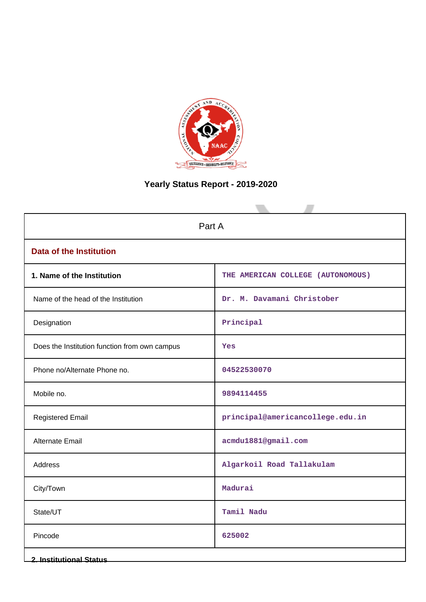

# **Yearly Status Report - 2019-2020**

| Part A                                        |                                   |  |  |
|-----------------------------------------------|-----------------------------------|--|--|
| <b>Data of the Institution</b>                |                                   |  |  |
| 1. Name of the Institution                    | THE AMERICAN COLLEGE (AUTONOMOUS) |  |  |
| Name of the head of the Institution           | Dr. M. Davamani Christober        |  |  |
| Designation                                   | Principal                         |  |  |
| Does the Institution function from own campus | Yes                               |  |  |
| Phone no/Alternate Phone no.                  | 04522530070                       |  |  |
| Mobile no.                                    | 9894114455                        |  |  |
| <b>Registered Email</b>                       | principal@americancollege.edu.in  |  |  |
| Alternate Email                               | acmdu1881@gmail.com               |  |  |
| <b>Address</b>                                | Algarkoil Road Tallakulam         |  |  |
| City/Town                                     | Madurai                           |  |  |
| State/UT                                      | Tamil Nadu                        |  |  |
| Pincode                                       | 625002                            |  |  |
| <b>2. Institutional Status</b>                |                                   |  |  |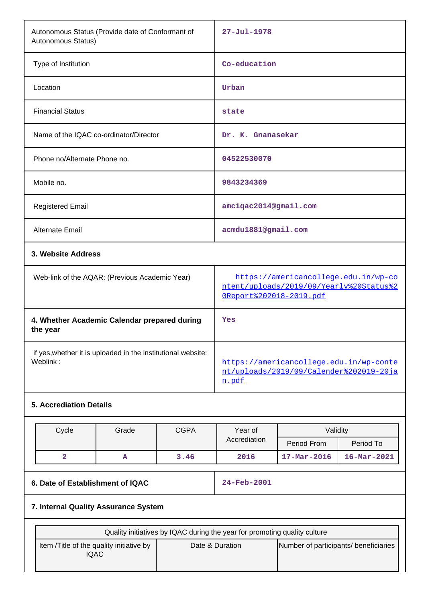| Autonomous Status (Provide date of Conformant of<br>Autonomous Status)   |             |                                                                                                            | $27 - Jul - 1978$                                                                                                                                                                                     |  |  |
|--------------------------------------------------------------------------|-------------|------------------------------------------------------------------------------------------------------------|-------------------------------------------------------------------------------------------------------------------------------------------------------------------------------------------------------|--|--|
| Type of Institution                                                      |             |                                                                                                            | Co-education                                                                                                                                                                                          |  |  |
|                                                                          | Urban       |                                                                                                            |                                                                                                                                                                                                       |  |  |
|                                                                          | state       |                                                                                                            |                                                                                                                                                                                                       |  |  |
| Name of the IQAC co-ordinator/Director                                   |             |                                                                                                            |                                                                                                                                                                                                       |  |  |
|                                                                          | 04522530070 |                                                                                                            |                                                                                                                                                                                                       |  |  |
|                                                                          | 9843234369  |                                                                                                            |                                                                                                                                                                                                       |  |  |
|                                                                          |             |                                                                                                            |                                                                                                                                                                                                       |  |  |
|                                                                          |             |                                                                                                            |                                                                                                                                                                                                       |  |  |
|                                                                          |             |                                                                                                            |                                                                                                                                                                                                       |  |  |
| Web-link of the AQAR: (Previous Academic Year)                           |             | https://americancollege.edu.in/wp-co<br>ntent/uploads/2019/09/Yearly%20Status%2<br>OReport%202018-2019.pdf |                                                                                                                                                                                                       |  |  |
| 4. Whether Academic Calendar prepared during                             | Yes         |                                                                                                            |                                                                                                                                                                                                       |  |  |
| if yes, whether it is uploaded in the institutional website:<br>Weblink: |             | https://americancollege.edu.in/wp-conte<br>nt/uploads/2019/09/Calender%202019-20ja<br>n.pdf                |                                                                                                                                                                                                       |  |  |
|                                                                          |             |                                                                                                            |                                                                                                                                                                                                       |  |  |
| Cycle<br>Grade<br><b>CGPA</b><br>$\overline{a}$<br>3.46<br>A             |             |                                                                                                            | Period To<br>$16 - Mar - 2021$                                                                                                                                                                        |  |  |
| 6. Date of Establishment of IQAC                                         |             |                                                                                                            | 24-Feb-2001                                                                                                                                                                                           |  |  |
| 7. Internal Quality Assurance System                                     |             |                                                                                                            |                                                                                                                                                                                                       |  |  |
|                                                                          |             |                                                                                                            |                                                                                                                                                                                                       |  |  |
| Item /Title of the quality initiative by<br><b>IQAC</b>                  |             |                                                                                                            | Number of participants/ beneficiaries                                                                                                                                                                 |  |  |
|                                                                          |             | Year of<br>Accrediation<br>2016<br>Date & Duration                                                         | Dr. K. Gnanasekar<br>amciqac2014@gmail.com<br>acmdu1881@gmail.com<br>Validity<br>Period From<br>$17 - \text{Mar} - 2016$<br>Quality initiatives by IQAC during the year for promoting quality culture |  |  |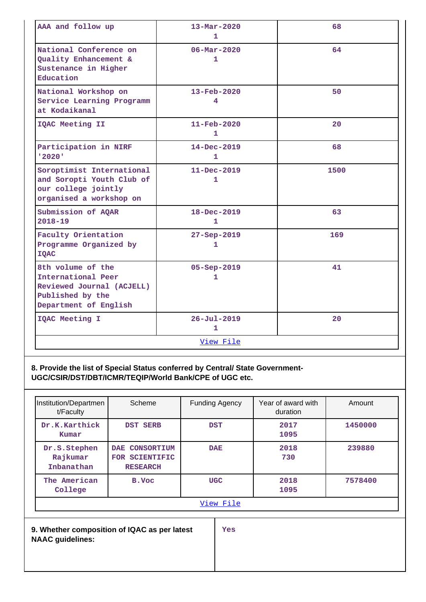| AAA and follow up                                                                                                 | $13 - Mar - 2020$                 | 68   |
|-------------------------------------------------------------------------------------------------------------------|-----------------------------------|------|
|                                                                                                                   | 1                                 |      |
| National Conference on<br>Quality Enhancement &<br>Sustenance in Higher<br>Education                              | $06 - \text{Mar} - 2020$<br>1     | 64   |
| National Workshop on<br>Service Learning Programm<br>at Kodaikanal                                                | $13 - \text{Feb} - 2020$<br>4     | 50   |
| IQAC Meeting II                                                                                                   | $11 - \text{Feb} - 2020$<br>1     | 20   |
| Participation in NIRF<br>'2020'                                                                                   | $14 - Dec - 2019$<br>1            | 68   |
| Soroptimist International<br>and Soropti Youth Club of<br>our college jointly<br>organised a workshop on          | $11 - Dec - 2019$<br>1            | 1500 |
| Submission of AQAR<br>$2018 - 19$                                                                                 | 18-Dec-2019<br>$\mathbf{1}$       | 63   |
| Faculty Orientation<br>Programme Organized by<br><b>IQAC</b>                                                      | $27 - Sep - 2019$<br>1            | 169  |
| 8th volume of the<br>International Peer<br>Reviewed Journal (ACJELL)<br>Published by the<br>Department of English | $05 - Sep - 2019$<br>1            | 41   |
| IQAC Meeting I                                                                                                    | $26 - Jul - 2019$<br>$\mathbf{1}$ | 20   |
|                                                                                                                   | View File                         |      |

**8. Provide the list of Special Status conferred by Central/ State Government-UGC/CSIR/DST/DBT/ICMR/TEQIP/World Bank/CPE of UGC etc.**

| Institution/Departmen<br>t/Faculty     | Scheme                                                                     | <b>Funding Agency</b> | Year of award with<br>duration | Amount  |
|----------------------------------------|----------------------------------------------------------------------------|-----------------------|--------------------------------|---------|
| Dr.K.Karthick<br>Kumar                 | <b>DST SERB</b>                                                            | <b>DST</b>            | 2017<br>1095                   | 1450000 |
| Dr.S.Stephen<br>Rajkumar<br>Inbanathan | CONSORTIUM<br>$\overline{\text{DAE}}$<br>FOR SCIENTIFIC<br><b>RESEARCH</b> | <b>DAE</b>            | 2018<br>730                    | 239880  |
| The American<br>College                | B.Voc                                                                      | <b>UGC</b>            | 2018<br>1095                   | 7578400 |
|                                        |                                                                            | View File             |                                |         |
| <b>NAAC</b> guidelines:                | 9. Whether composition of IQAC as per latest                               | <b>Yes</b>            |                                |         |
|                                        |                                                                            |                       |                                |         |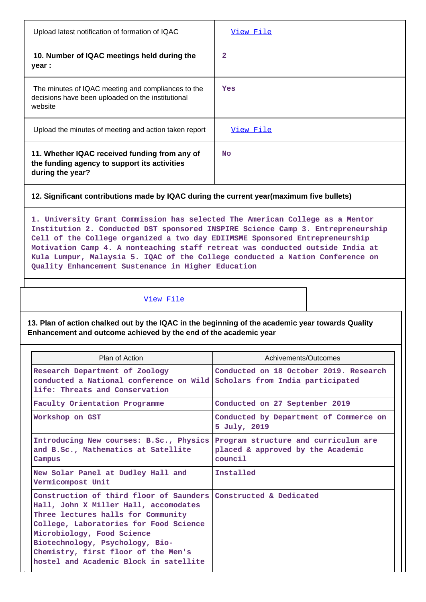| Upload latest notification of formation of IQAC                                                                                                                                                                                                                                                                                                                                                                                                                        | View File                                                                            |
|------------------------------------------------------------------------------------------------------------------------------------------------------------------------------------------------------------------------------------------------------------------------------------------------------------------------------------------------------------------------------------------------------------------------------------------------------------------------|--------------------------------------------------------------------------------------|
| 10. Number of IQAC meetings held during the<br>year :                                                                                                                                                                                                                                                                                                                                                                                                                  | 2                                                                                    |
| The minutes of IQAC meeting and compliances to the<br>decisions have been uploaded on the institutional<br>website                                                                                                                                                                                                                                                                                                                                                     | Yes                                                                                  |
| Upload the minutes of meeting and action taken report                                                                                                                                                                                                                                                                                                                                                                                                                  | View File                                                                            |
| 11. Whether IQAC received funding from any of<br>the funding agency to support its activities<br>during the year?                                                                                                                                                                                                                                                                                                                                                      | <b>No</b>                                                                            |
| 12. Significant contributions made by IQAC during the current year(maximum five bullets)                                                                                                                                                                                                                                                                                                                                                                               |                                                                                      |
| 1. University Grant Commission has selected The American College as a Mentor<br>Institution 2. Conducted DST sponsored INSPIRE Science Camp 3. Entrepreneurship<br>Cell of the College organized a two day EDIIMSME Sponsored Entrepreneurship<br>Motivation Camp 4. A nonteaching staff retreat was conducted outside India at<br>Kula Lumpur, Malaysia 5. IQAC of the College conducted a Nation Conference on<br>Quality Enhancement Sustenance in Higher Education |                                                                                      |
| View File                                                                                                                                                                                                                                                                                                                                                                                                                                                              |                                                                                      |
| 13. Plan of action chalked out by the IQAC in the beginning of the academic year towards Quality<br>Enhancement and outcome achieved by the end of the academic year                                                                                                                                                                                                                                                                                                   |                                                                                      |
| Plan of Action                                                                                                                                                                                                                                                                                                                                                                                                                                                         | Achivements/Outcomes                                                                 |
| Research Department of Zoology<br>conducted a National conference on Wild Scholars from India participated<br>life: Threats and Conservation                                                                                                                                                                                                                                                                                                                           | Conducted on 18 October 2019. Research                                               |
| Faculty Orientation Programme                                                                                                                                                                                                                                                                                                                                                                                                                                          | Conducted on 27 September 2019                                                       |
| Workshop on GST                                                                                                                                                                                                                                                                                                                                                                                                                                                        | Conducted by Department of Commerce on<br>5 July, 2019                               |
| Introducing New courses: B.Sc., Physics<br>and B.Sc., Mathematics at Satellite<br>Campus                                                                                                                                                                                                                                                                                                                                                                               | Program structure and curriculum are<br>placed & approved by the Academic<br>council |
| New Solar Panel at Dudley Hall and<br>Vermicompost Unit                                                                                                                                                                                                                                                                                                                                                                                                                | Installed                                                                            |
| Construction of third floor of Saunders Constructed & Dedicated<br>Hall, John X Miller Hall, accomodates<br>Three lectures halls for Community<br>College, Laboratories for Food Science<br>Microbiology, Food Science<br>Biotechnology, Psychology, Bio-<br>Chemistry, first floor of the Men's                                                                                                                                                                       |                                                                                      |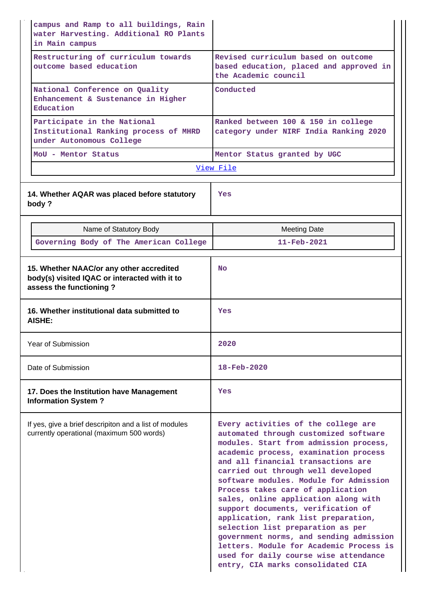| campus and Ramp to all buildings, Rain<br>water Harvesting. Additional RO Plants<br>in Main campus                   |                                                                                                                                                                                                                                                                                                                                                                                                                                                                                                                                                                                                                                                          |
|----------------------------------------------------------------------------------------------------------------------|----------------------------------------------------------------------------------------------------------------------------------------------------------------------------------------------------------------------------------------------------------------------------------------------------------------------------------------------------------------------------------------------------------------------------------------------------------------------------------------------------------------------------------------------------------------------------------------------------------------------------------------------------------|
| Restructuring of curriculum towards<br>outcome based education                                                       | Revised curriculum based on outcome<br>based education, placed and approved in<br>the Academic council                                                                                                                                                                                                                                                                                                                                                                                                                                                                                                                                                   |
| National Conference on Quality<br>Enhancement & Sustenance in Higher<br>Education                                    | Conducted                                                                                                                                                                                                                                                                                                                                                                                                                                                                                                                                                                                                                                                |
| Participate in the National<br>Institutional Ranking process of MHRD<br>under Autonomous College                     | Ranked between 100 & 150 in college<br>category under NIRF India Ranking 2020                                                                                                                                                                                                                                                                                                                                                                                                                                                                                                                                                                            |
| MoU - Mentor Status                                                                                                  | Mentor Status granted by UGC                                                                                                                                                                                                                                                                                                                                                                                                                                                                                                                                                                                                                             |
|                                                                                                                      | View File                                                                                                                                                                                                                                                                                                                                                                                                                                                                                                                                                                                                                                                |
| 14. Whether AQAR was placed before statutory<br>body?                                                                | Yes                                                                                                                                                                                                                                                                                                                                                                                                                                                                                                                                                                                                                                                      |
| Name of Statutory Body                                                                                               | <b>Meeting Date</b>                                                                                                                                                                                                                                                                                                                                                                                                                                                                                                                                                                                                                                      |
| Governing Body of The American College                                                                               | $11 - \text{Feb} - 2021$                                                                                                                                                                                                                                                                                                                                                                                                                                                                                                                                                                                                                                 |
| 15. Whether NAAC/or any other accredited<br>body(s) visited IQAC or interacted with it to<br>assess the functioning? | <b>No</b>                                                                                                                                                                                                                                                                                                                                                                                                                                                                                                                                                                                                                                                |
| 16. Whether institutional data submitted to<br>AISHE:                                                                | Yes                                                                                                                                                                                                                                                                                                                                                                                                                                                                                                                                                                                                                                                      |
| Year of Submission                                                                                                   | 2020                                                                                                                                                                                                                                                                                                                                                                                                                                                                                                                                                                                                                                                     |
| Date of Submission                                                                                                   | $18 - \text{Feb} - 2020$                                                                                                                                                                                                                                                                                                                                                                                                                                                                                                                                                                                                                                 |
| 17. Does the Institution have Management<br><b>Information System?</b>                                               | Yes                                                                                                                                                                                                                                                                                                                                                                                                                                                                                                                                                                                                                                                      |
| If yes, give a brief descripiton and a list of modules<br>currently operational (maximum 500 words)                  | Every activities of the college are<br>automated through customized software<br>modules. Start from admission process,<br>academic process, examination process<br>and all financial transactions are<br>carried out through well developed<br>software modules. Module for Admission<br>Process takes care of application<br>sales, online application along with<br>support documents, verification of<br>application, rank list preparation,<br>selection list preparation as per<br>government norms, and sending admission<br>letters. Module for Academic Process is<br>used for daily course wise attendance<br>entry, CIA marks consolidated CIA |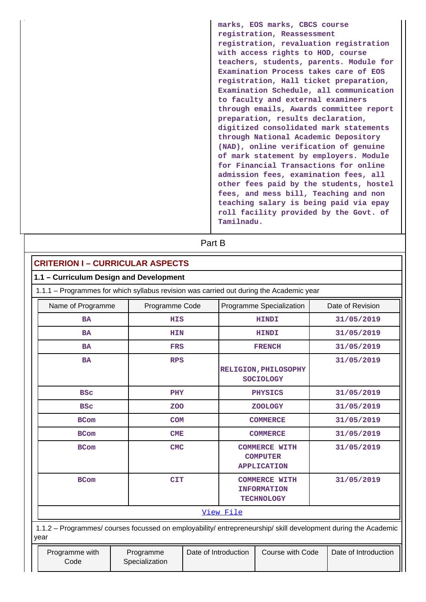**marks, EOS marks, CBCS course registration, Reassessment registration, revaluation registration with access rights to HOD, course teachers, students, parents. Module for Examination Process takes care of EOS registration, Hall ticket preparation, Examination Schedule, all communication to faculty and external examiners through emails, Awards committee report preparation, results declaration, digitized consolidated mark statements through National Academic Depository (NAD), online verification of genuine of mark statement by employers. Module for Financial Transactions for online admission fees, examination fees, all other fees paid by the students, hostel fees, and mess bill, Teaching and non teaching salary is being paid via epay roll facility provided by the Govt. of Tamilnadu.**

**Part B** 

| <b>CRITERION I - CURRICULAR ASPECTS</b>                                                                                   |                |  |                                                                 |                                                                                                                |  |  |
|---------------------------------------------------------------------------------------------------------------------------|----------------|--|-----------------------------------------------------------------|----------------------------------------------------------------------------------------------------------------|--|--|
| 1.1 - Curriculum Design and Development                                                                                   |                |  |                                                                 |                                                                                                                |  |  |
| 1.1.1 - Programmes for which syllabus revision was carried out during the Academic year                                   |                |  |                                                                 |                                                                                                                |  |  |
| Name of Programme                                                                                                         | Programme Code |  | Programme Specialization                                        | Date of Revision                                                                                               |  |  |
| <b>BA</b>                                                                                                                 | <b>HIS</b>     |  | <b>HINDI</b>                                                    | 31/05/2019                                                                                                     |  |  |
| <b>BA</b>                                                                                                                 | <b>HIN</b>     |  | <b>HINDI</b>                                                    | 31/05/2019                                                                                                     |  |  |
| <b>BA</b>                                                                                                                 | <b>FRS</b>     |  | <b>FRENCH</b>                                                   | 31/05/2019                                                                                                     |  |  |
| <b>BA</b>                                                                                                                 | <b>RPS</b>     |  | <b>RELIGION, PHILOSOPHY</b><br><b>SOCIOLOGY</b>                 | 31/05/2019                                                                                                     |  |  |
| <b>BSC</b>                                                                                                                | PHY            |  | 31/05/2019                                                      |                                                                                                                |  |  |
| <b>BSC</b>                                                                                                                | <b>ZOO</b>     |  | <b>ZOOLOGY</b>                                                  | 31/05/2019                                                                                                     |  |  |
| <b>BCom</b>                                                                                                               | <b>COM</b>     |  | <b>COMMERCE</b>                                                 | 31/05/2019                                                                                                     |  |  |
| <b>BCom</b>                                                                                                               | <b>CME</b>     |  | <b>COMMERCE</b>                                                 | 31/05/2019                                                                                                     |  |  |
| <b>BCom</b>                                                                                                               | <b>CMC</b>     |  | <b>COMMERCE WITH</b><br><b>COMPUTER</b><br><b>APPLICATION</b>   | 31/05/2019                                                                                                     |  |  |
| <b>BCom</b>                                                                                                               | <b>CIT</b>     |  | <b>COMMERCE WITH</b><br><b>INFORMATION</b><br><b>TECHNOLOGY</b> | 31/05/2019                                                                                                     |  |  |
| View File                                                                                                                 |                |  |                                                                 |                                                                                                                |  |  |
| year                                                                                                                      |                |  |                                                                 | 1.1.2 - Programmes/ courses focussed on employability/ entrepreneurship/ skill development during the Academic |  |  |
| Date of Introduction<br>Course with Code<br>Date of Introduction<br>Programme with<br>Programme<br>Specialization<br>Code |                |  |                                                                 |                                                                                                                |  |  |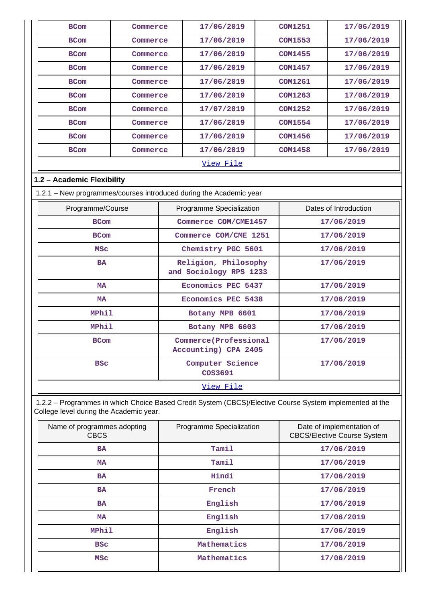| <b>BCom</b>                                                                                                                                        | Commerce     |  | 17/06/2019                                     |                                                                 | <b>COM1251</b> | 17/06/2019            |
|----------------------------------------------------------------------------------------------------------------------------------------------------|--------------|--|------------------------------------------------|-----------------------------------------------------------------|----------------|-----------------------|
| <b>BCom</b>                                                                                                                                        | Commerce     |  | 17/06/2019                                     |                                                                 | <b>COM1553</b> | 17/06/2019            |
| <b>BCom</b>                                                                                                                                        | Commerce     |  | 17/06/2019                                     |                                                                 | <b>COM1455</b> | 17/06/2019            |
| <b>BCom</b>                                                                                                                                        | Commerce     |  | 17/06/2019                                     |                                                                 | <b>COM1457</b> | 17/06/2019            |
| <b>BCom</b>                                                                                                                                        | Commerce     |  | 17/06/2019                                     |                                                                 | <b>COM1261</b> | 17/06/2019            |
| <b>BCom</b>                                                                                                                                        | Commerce     |  | 17/06/2019                                     |                                                                 | <b>COM1263</b> | 17/06/2019            |
| <b>BCom</b>                                                                                                                                        | Commerce     |  | 17/07/2019                                     |                                                                 | <b>COM1252</b> | 17/06/2019            |
| <b>BCom</b>                                                                                                                                        | Commerce     |  | 17/06/2019                                     |                                                                 | <b>COM1554</b> | 17/06/2019            |
| <b>BCom</b>                                                                                                                                        | Commerce     |  | 17/06/2019                                     |                                                                 | <b>COM1456</b> | 17/06/2019            |
| <b>BCom</b>                                                                                                                                        | Commerce     |  | 17/06/2019                                     |                                                                 | <b>COM1458</b> | 17/06/2019            |
|                                                                                                                                                    |              |  | <u>View File</u>                               |                                                                 |                |                       |
| 1.2 - Academic Flexibility                                                                                                                         |              |  |                                                |                                                                 |                |                       |
| 1.2.1 - New programmes/courses introduced during the Academic year                                                                                 |              |  |                                                |                                                                 |                |                       |
| Programme/Course                                                                                                                                   |              |  | Programme Specialization                       |                                                                 |                | Dates of Introduction |
| <b>BCom</b>                                                                                                                                        |              |  | Commerce COM/CME1457                           |                                                                 |                | 17/06/2019            |
| <b>BCom</b>                                                                                                                                        |              |  | Commerce COM/CME 1251                          |                                                                 |                | 17/06/2019            |
| <b>MSC</b>                                                                                                                                         |              |  | Chemistry PGC 5601                             |                                                                 |                | 17/06/2019            |
| <b>BA</b>                                                                                                                                          |              |  | Religion, Philosophy<br>and Sociology RPS 1233 |                                                                 | 17/06/2019     |                       |
| <b>MA</b>                                                                                                                                          |              |  | Economics PEC 5437                             |                                                                 | 17/06/2019     |                       |
| <b>MA</b>                                                                                                                                          |              |  | <b>Economics PEC 5438</b>                      |                                                                 | 17/06/2019     |                       |
| <b>MPhil</b>                                                                                                                                       |              |  | Botany MPB 6601                                |                                                                 | 17/06/2019     |                       |
| <b>MPhil</b>                                                                                                                                       |              |  | Botany MPB 6603                                |                                                                 | 17/06/2019     |                       |
| <b>BCom</b>                                                                                                                                        |              |  | Commerce(Professional<br>Accounting) CPA 2405  |                                                                 | 17/06/2019     |                       |
| <b>BSC</b>                                                                                                                                         |              |  | Computer Science<br>COS3691                    |                                                                 | 17/06/2019     |                       |
|                                                                                                                                                    |              |  | View File                                      |                                                                 |                |                       |
| 1.2.2 - Programmes in which Choice Based Credit System (CBCS)/Elective Course System implemented at the<br>College level during the Academic year. |              |  |                                                |                                                                 |                |                       |
| Name of programmes adopting<br><b>CBCS</b>                                                                                                         |              |  | Programme Specialization                       | Date of implementation of<br><b>CBCS/Elective Course System</b> |                |                       |
| <b>BA</b>                                                                                                                                          |              |  | Tamil                                          |                                                                 | 17/06/2019     |                       |
| <b>MA</b>                                                                                                                                          |              |  | Tamil                                          |                                                                 | 17/06/2019     |                       |
| <b>BA</b>                                                                                                                                          |              |  | Hindi                                          |                                                                 | 17/06/2019     |                       |
| BA                                                                                                                                                 |              |  | French                                         |                                                                 | 17/06/2019     |                       |
| <b>BA</b>                                                                                                                                          |              |  | English                                        |                                                                 | 17/06/2019     |                       |
| <b>MA</b>                                                                                                                                          |              |  | English                                        |                                                                 | 17/06/2019     |                       |
|                                                                                                                                                    | <b>MPhil</b> |  | English                                        |                                                                 |                | 17/06/2019            |
| <b>BSC</b>                                                                                                                                         |              |  | Mathematics                                    |                                                                 |                | 17/06/2019            |
| <b>MSC</b>                                                                                                                                         |              |  | Mathematics                                    |                                                                 |                | 17/06/2019            |

 $\mathsf{L}$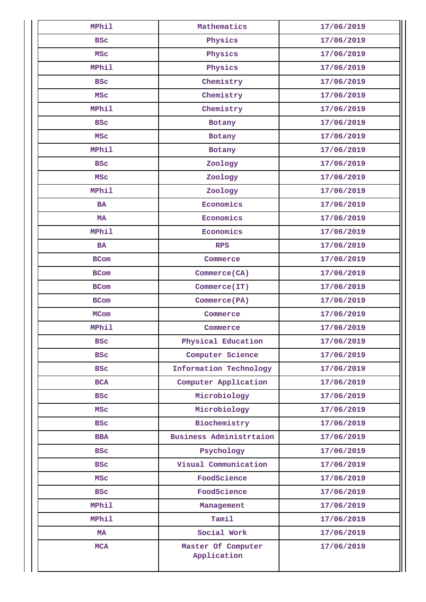| <b>MPhil</b> | Mathematics                       | 17/06/2019 |
|--------------|-----------------------------------|------------|
| <b>BSC</b>   | Physics                           | 17/06/2019 |
| <b>MSC</b>   | Physics                           | 17/06/2019 |
| <b>MPhil</b> | Physics                           | 17/06/2019 |
| <b>BSC</b>   | Chemistry                         | 17/06/2019 |
| <b>MSC</b>   | Chemistry                         | 17/06/2019 |
| <b>MPhil</b> | Chemistry                         | 17/06/2019 |
| <b>BSC</b>   | Botany                            | 17/06/2019 |
| <b>MSC</b>   | Botany                            | 17/06/2019 |
| <b>MPhil</b> | Botany                            | 17/06/2019 |
| <b>BSC</b>   | Zoology                           | 17/06/2019 |
| <b>MSC</b>   | Zoology                           | 17/06/2019 |
| <b>MPhil</b> | Zoology                           | 17/06/2019 |
| <b>BA</b>    | Economics                         | 17/06/2019 |
| <b>MA</b>    | Economics                         | 17/06/2019 |
| <b>MPhil</b> | Economics                         | 17/06/2019 |
| <b>BA</b>    | <b>RPS</b>                        | 17/06/2019 |
| <b>BCom</b>  | Commerce                          | 17/06/2019 |
| <b>BCom</b>  | Commerce (CA)                     | 17/06/2019 |
| <b>BCom</b>  | Commerce(IT)                      | 17/06/2019 |
| <b>BCom</b>  | Commerce (PA)                     | 17/06/2019 |
| <b>MCom</b>  | Commerce                          | 17/06/2019 |
| <b>MPhil</b> | Commerce                          | 17/06/2019 |
| BSC          | Physical Education                | 17/06/2019 |
| <b>BSC</b>   | Computer Science                  | 17/06/2019 |
| <b>BSC</b>   | Information Technology            | 17/06/2019 |
| <b>BCA</b>   | Computer Application              | 17/06/2019 |
| <b>BSC</b>   | Microbiology                      | 17/06/2019 |
| <b>MSC</b>   | Microbiology                      | 17/06/2019 |
| <b>BSC</b>   | Biochemistry                      | 17/06/2019 |
| <b>BBA</b>   | Business Administrtaion           | 17/06/2019 |
| <b>BSC</b>   | Psychology                        | 17/06/2019 |
| <b>BSC</b>   | Visual Communication              | 17/06/2019 |
| <b>MSC</b>   | FoodScience                       | 17/06/2019 |
| <b>BSC</b>   | FoodScience                       | 17/06/2019 |
| MPhil        | Management                        | 17/06/2019 |
| <b>MPhil</b> | Tamil                             | 17/06/2019 |
| MA           | Social Work                       | 17/06/2019 |
| <b>MCA</b>   | Master Of Computer<br>Application | 17/06/2019 |
|              |                                   |            |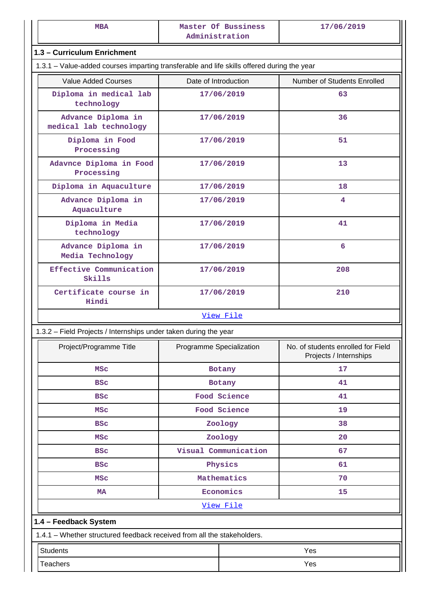| <b>MBA</b>                                                                                 | Master Of Bussiness<br>Administration                                   | 17/06/2019                                                   |
|--------------------------------------------------------------------------------------------|-------------------------------------------------------------------------|--------------------------------------------------------------|
| 1.3 - Curriculum Enrichment                                                                |                                                                         |                                                              |
| 1.3.1 - Value-added courses imparting transferable and life skills offered during the year |                                                                         |                                                              |
| <b>Value Added Courses</b>                                                                 | Date of Introduction                                                    | Number of Students Enrolled                                  |
| Diploma in medical lab<br>technology                                                       | 17/06/2019                                                              | 63                                                           |
| Advance Diploma in<br>medical lab technology                                               | 17/06/2019                                                              | 36                                                           |
| Diploma in Food<br>Processing                                                              | 17/06/2019                                                              | 51                                                           |
| Adavnce Diploma in Food<br>Processing                                                      | 17/06/2019                                                              | 13                                                           |
| Diploma in Aquaculture                                                                     | 17/06/2019                                                              | 18                                                           |
| Advance Diploma in<br>Aquaculture                                                          | 17/06/2019                                                              | 4                                                            |
| Diploma in Media<br>technology                                                             | 17/06/2019                                                              | 41                                                           |
| Advance Diploma in<br>Media Technology                                                     | 17/06/2019                                                              | 6                                                            |
| Effective Communication<br>Skills                                                          | 17/06/2019                                                              | 208                                                          |
| Certificate course in<br>Hindi                                                             | 17/06/2019                                                              | 210                                                          |
|                                                                                            | View File                                                               |                                                              |
| 1.3.2 - Field Projects / Internships under taken during the year                           |                                                                         |                                                              |
| Project/Programme Title                                                                    | Programme Specialization                                                | No. of students enrolled for Field<br>Projects / Internships |
| <b>MSC</b>                                                                                 | Botany                                                                  | 17                                                           |
| <b>BSC</b>                                                                                 | Botany                                                                  | 41                                                           |
| <b>BSC</b>                                                                                 | Food Science                                                            | 41                                                           |
| <b>MSC</b>                                                                                 | Food Science                                                            | 19                                                           |
| <b>BSC</b>                                                                                 | Zoology                                                                 | 38                                                           |
| MSC                                                                                        | Zoology                                                                 | 20                                                           |
| <b>BSC</b>                                                                                 | Visual Communication                                                    | 67                                                           |
| <b>BSC</b>                                                                                 | Physics                                                                 | 61                                                           |
| <b>MSC</b>                                                                                 | Mathematics                                                             | 70                                                           |
| <b>MA</b>                                                                                  | Economics                                                               | 15                                                           |
|                                                                                            | View File                                                               |                                                              |
| 1.4 - Feedback System                                                                      |                                                                         |                                                              |
|                                                                                            | 1.4.1 - Whether structured feedback received from all the stakeholders. |                                                              |
|                                                                                            |                                                                         |                                                              |
| <b>Students</b>                                                                            |                                                                         | Yes                                                          |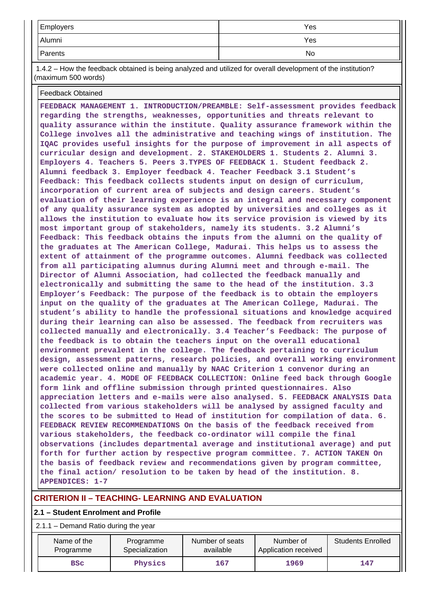| Employers | Yes |
|-----------|-----|
| Alumni    | Yes |
| Parents   | No  |

 1.4.2 – How the feedback obtained is being analyzed and utilized for overall development of the institution? (maximum 500 words)

Feedback Obtained

**FEEDBACK MANAGEMENT 1. INTRODUCTION/PREAMBLE: Self-assessment provides feedback regarding the strengths, weaknesses, opportunities and threats relevant to quality assurance within the institute. Quality assurance framework within the College involves all the administrative and teaching wings of institution. The IQAC provides useful insights for the purpose of improvement in all aspects of curricular design and development. 2. STAKEHOLDERS 1. Students 2. Alumni 3. Employers 4. Teachers 5. Peers 3.TYPES OF FEEDBACK 1. Student feedback 2. Alumni feedback 3. Employer feedback 4. Teacher Feedback 3.1 Student's Feedback: This feedback collects students input on design of curriculum, incorporation of current area of subjects and design careers. Student's evaluation of their learning experience is an integral and necessary component of any quality assurance system as adopted by universities and colleges as it allows the institution to evaluate how its service provision is viewed by its most important group of stakeholders, namely its students. 3.2 Alumni's Feedback: This feedback obtains the inputs from the alumni on the quality of the graduates at The American College, Madurai. This helps us to assess the extent of attainment of the programme outcomes. Alumni feedback was collected from all participating alumnus during Alumni meet and through e-mail. The Director of Alumni Association, had collected the feedback manually and electronically and submitting the same to the head of the institution. 3.3 Employer's Feedback: The purpose of the feedback is to obtain the employers input on the quality of the graduates at The American College, Madurai. The student's ability to handle the professional situations and knowledge acquired during their learning can also be assessed. The feedback from recruiters was collected manually and electronically. 3.4 Teacher's Feedback: The purpose of the feedback is to obtain the teachers input on the overall educational environment prevalent in the college. The feedback pertaining to curriculum design, assessment patterns, research policies, and overall working environment were collected online and manually by NAAC Criterion 1 convenor during an academic year. 4. MODE OF FEEDBACK COLLECTION: Online feed back through Google form link and offline submission through printed questionnaires. Also appreciation letters and e-mails were also analysed. 5. FEEDBACK ANALYSIS Data collected from various stakeholders will be analysed by assigned faculty and the scores to be submitted to Head of institution for compilation of data. 6. FEEDBACK REVIEW RECOMMENDATIONS On the basis of the feedback received from various stakeholders, the feedback co-ordinator will compile the final observations (includes departmental average and institutional average) and put forth for further action by respective program committee. 7. ACTION TAKEN On the basis of feedback review and recommendations given by program committee, the final action/ resolution to be taken by head of the institution. 8. APPENDICES: 1-7**

#### **CRITERION II – TEACHING- LEARNING AND EVALUATION**

#### **2.1 – Student Enrolment and Profile**

#### 2.1.1 – Demand Ratio during the year

| Name of the | Programme      | Number of seats | Number of            | <b>Students Enrolled</b> |
|-------------|----------------|-----------------|----------------------|--------------------------|
| Programme   | Specialization | available       | Application received |                          |
| <b>BSC</b>  | Physics        | 167             | 1969                 | 147                      |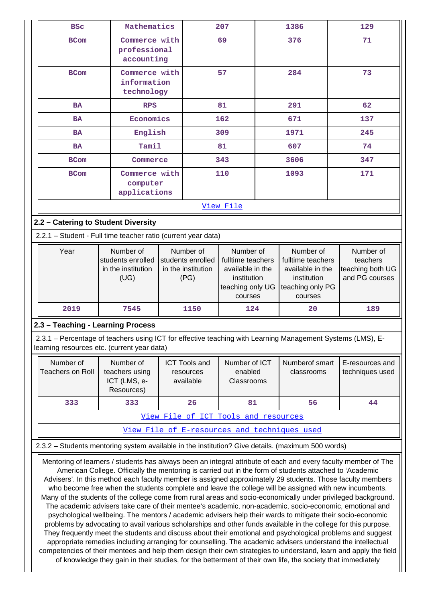| <b>BSC</b>                                                                                                                                                                                                                                                                                                                                                                                                                                                                                                                                                                                                                                                                                                                                                                                                                                                                                                                                                                                                                                                                                                                                                                                                                                                                                                                                                                     | Mathematics                                                  |  |                                                              | 207                                                                                              | 1386                                                                                             | 129                                                         |
|--------------------------------------------------------------------------------------------------------------------------------------------------------------------------------------------------------------------------------------------------------------------------------------------------------------------------------------------------------------------------------------------------------------------------------------------------------------------------------------------------------------------------------------------------------------------------------------------------------------------------------------------------------------------------------------------------------------------------------------------------------------------------------------------------------------------------------------------------------------------------------------------------------------------------------------------------------------------------------------------------------------------------------------------------------------------------------------------------------------------------------------------------------------------------------------------------------------------------------------------------------------------------------------------------------------------------------------------------------------------------------|--------------------------------------------------------------|--|--------------------------------------------------------------|--------------------------------------------------------------------------------------------------|--------------------------------------------------------------------------------------------------|-------------------------------------------------------------|
| <b>BCom</b>                                                                                                                                                                                                                                                                                                                                                                                                                                                                                                                                                                                                                                                                                                                                                                                                                                                                                                                                                                                                                                                                                                                                                                                                                                                                                                                                                                    | Commerce with<br>professional<br>accounting                  |  |                                                              | 69                                                                                               | 376                                                                                              | 71                                                          |
| <b>BCom</b>                                                                                                                                                                                                                                                                                                                                                                                                                                                                                                                                                                                                                                                                                                                                                                                                                                                                                                                                                                                                                                                                                                                                                                                                                                                                                                                                                                    | Commerce with<br>information<br>technology                   |  |                                                              | 57                                                                                               | 284                                                                                              | 73                                                          |
| <b>BA</b>                                                                                                                                                                                                                                                                                                                                                                                                                                                                                                                                                                                                                                                                                                                                                                                                                                                                                                                                                                                                                                                                                                                                                                                                                                                                                                                                                                      | <b>RPS</b>                                                   |  |                                                              | 81                                                                                               | 291                                                                                              | 62                                                          |
| <b>BA</b>                                                                                                                                                                                                                                                                                                                                                                                                                                                                                                                                                                                                                                                                                                                                                                                                                                                                                                                                                                                                                                                                                                                                                                                                                                                                                                                                                                      | Economics                                                    |  |                                                              | 162                                                                                              | 671                                                                                              | 137                                                         |
| <b>BA</b>                                                                                                                                                                                                                                                                                                                                                                                                                                                                                                                                                                                                                                                                                                                                                                                                                                                                                                                                                                                                                                                                                                                                                                                                                                                                                                                                                                      | English                                                      |  |                                                              | 309                                                                                              | 1971                                                                                             | 245                                                         |
| <b>BA</b>                                                                                                                                                                                                                                                                                                                                                                                                                                                                                                                                                                                                                                                                                                                                                                                                                                                                                                                                                                                                                                                                                                                                                                                                                                                                                                                                                                      | Tamil                                                        |  |                                                              | 81                                                                                               | 607                                                                                              | 74                                                          |
| <b>BCom</b>                                                                                                                                                                                                                                                                                                                                                                                                                                                                                                                                                                                                                                                                                                                                                                                                                                                                                                                                                                                                                                                                                                                                                                                                                                                                                                                                                                    | Commerce                                                     |  |                                                              | 343                                                                                              | 3606                                                                                             | 347                                                         |
| <b>BCom</b>                                                                                                                                                                                                                                                                                                                                                                                                                                                                                                                                                                                                                                                                                                                                                                                                                                                                                                                                                                                                                                                                                                                                                                                                                                                                                                                                                                    | Commerce with<br>computer<br>applications                    |  |                                                              | 110                                                                                              | 1093                                                                                             | 171                                                         |
|                                                                                                                                                                                                                                                                                                                                                                                                                                                                                                                                                                                                                                                                                                                                                                                                                                                                                                                                                                                                                                                                                                                                                                                                                                                                                                                                                                                |                                                              |  |                                                              | View File                                                                                        |                                                                                                  |                                                             |
| 2.2 - Catering to Student Diversity                                                                                                                                                                                                                                                                                                                                                                                                                                                                                                                                                                                                                                                                                                                                                                                                                                                                                                                                                                                                                                                                                                                                                                                                                                                                                                                                            |                                                              |  |                                                              |                                                                                                  |                                                                                                  |                                                             |
| 2.2.1 - Student - Full time teacher ratio (current year data)                                                                                                                                                                                                                                                                                                                                                                                                                                                                                                                                                                                                                                                                                                                                                                                                                                                                                                                                                                                                                                                                                                                                                                                                                                                                                                                  |                                                              |  |                                                              |                                                                                                  |                                                                                                  |                                                             |
| Year                                                                                                                                                                                                                                                                                                                                                                                                                                                                                                                                                                                                                                                                                                                                                                                                                                                                                                                                                                                                                                                                                                                                                                                                                                                                                                                                                                           | Number of<br>students enrolled<br>in the institution<br>(UG) |  | Number of<br>students enrolled<br>in the institution<br>(PG) | Number of<br>fulltime teachers<br>available in the<br>institution<br>teaching only UG<br>courses | Number of<br>fulltime teachers<br>available in the<br>institution<br>teaching only PG<br>courses | Number of<br>teachers<br>teaching both UG<br>and PG courses |
| 2019                                                                                                                                                                                                                                                                                                                                                                                                                                                                                                                                                                                                                                                                                                                                                                                                                                                                                                                                                                                                                                                                                                                                                                                                                                                                                                                                                                           | 7545                                                         |  | 1150                                                         | 124                                                                                              | 20                                                                                               | 189                                                         |
| 2.3 - Teaching - Learning Process                                                                                                                                                                                                                                                                                                                                                                                                                                                                                                                                                                                                                                                                                                                                                                                                                                                                                                                                                                                                                                                                                                                                                                                                                                                                                                                                              |                                                              |  |                                                              |                                                                                                  |                                                                                                  |                                                             |
| 2.3.1 - Percentage of teachers using ICT for effective teaching with Learning Management Systems (LMS), E-<br>learning resources etc. (current year data)                                                                                                                                                                                                                                                                                                                                                                                                                                                                                                                                                                                                                                                                                                                                                                                                                                                                                                                                                                                                                                                                                                                                                                                                                      |                                                              |  |                                                              |                                                                                                  |                                                                                                  |                                                             |
| Number of<br><b>Teachers on Roll</b>                                                                                                                                                                                                                                                                                                                                                                                                                                                                                                                                                                                                                                                                                                                                                                                                                                                                                                                                                                                                                                                                                                                                                                                                                                                                                                                                           | Number of<br>teachers using<br>ICT (LMS, e-<br>Resources)    |  | <b>ICT Tools and</b><br>resources<br>available               | Number of ICT<br>enabled<br>Classrooms                                                           | Numberof smart<br>classrooms                                                                     | E-resources and<br>techniques used                          |
| 333                                                                                                                                                                                                                                                                                                                                                                                                                                                                                                                                                                                                                                                                                                                                                                                                                                                                                                                                                                                                                                                                                                                                                                                                                                                                                                                                                                            | 333                                                          |  | 26                                                           | 81                                                                                               | 56                                                                                               | 44                                                          |
|                                                                                                                                                                                                                                                                                                                                                                                                                                                                                                                                                                                                                                                                                                                                                                                                                                                                                                                                                                                                                                                                                                                                                                                                                                                                                                                                                                                |                                                              |  |                                                              | View File of ICT Tools and resources                                                             |                                                                                                  |                                                             |
|                                                                                                                                                                                                                                                                                                                                                                                                                                                                                                                                                                                                                                                                                                                                                                                                                                                                                                                                                                                                                                                                                                                                                                                                                                                                                                                                                                                |                                                              |  |                                                              |                                                                                                  | View File of E-resources and techniques used                                                     |                                                             |
| 2.3.2 - Students mentoring system available in the institution? Give details. (maximum 500 words)                                                                                                                                                                                                                                                                                                                                                                                                                                                                                                                                                                                                                                                                                                                                                                                                                                                                                                                                                                                                                                                                                                                                                                                                                                                                              |                                                              |  |                                                              |                                                                                                  |                                                                                                  |                                                             |
| Mentoring of learners / students has always been an integral attribute of each and every faculty member of The<br>American College. Officially the mentoring is carried out in the form of students attached to 'Academic<br>Advisers'. In this method each faculty member is assigned approximately 29 students. Those faculty members<br>who become free when the students complete and leave the college will be assigned with new incumbents.<br>Many of the students of the college come from rural areas and socio-economically under privileged background.<br>The academic advisers take care of their mentee's academic, non-academic, socio-economic, emotional and<br>psychological wellbeing. The mentors / academic advisers help their wards to mitigate their socio-economic<br>problems by advocating to avail various scholarships and other funds available in the college for this purpose.<br>They frequently meet the students and discuss about their emotional and psychological problems and suggest<br>appropriate remedies including arranging for counselling. The academic advisers understand the intellectual<br>competencies of their mentees and help them design their own strategies to understand, learn and apply the field<br>of knowledge they gain in their studies, for the betterment of their own life, the society that immediately |                                                              |  |                                                              |                                                                                                  |                                                                                                  |                                                             |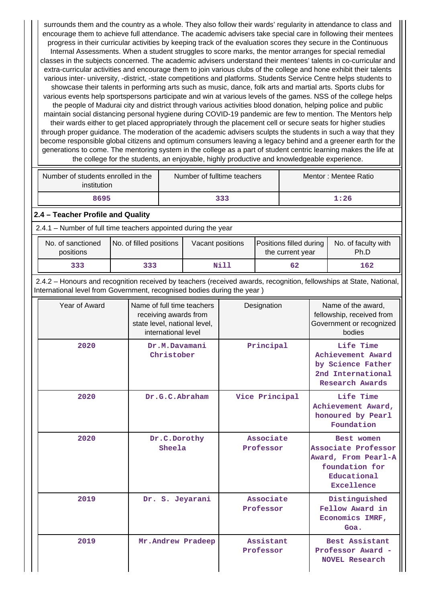surrounds them and the country as a whole. They also follow their wards' regularity in attendance to class and encourage them to achieve full attendance. The academic advisers take special care in following their mentees progress in their curricular activities by keeping track of the evaluation scores they secure in the Continuous Internal Assessments. When a student struggles to score marks, the mentor arranges for special remedial classes in the subjects concerned. The academic advisers understand their mentees' talents in co-curricular and extra-curricular activities and encourage them to join various clubs of the college and hone exhibit their talents various inter- university, -district, -state competitions and platforms. Students Service Centre helps students to showcase their talents in performing arts such as music, dance, folk arts and martial arts. Sports clubs for various events help sportspersons participate and win at various levels of the games. NSS of the college helps the people of Madurai city and district through various activities blood donation, helping police and public maintain social distancing personal hygiene during COVID-19 pandemic are few to mention. The Mentors help their wards either to get placed appropriately through the placement cell or secure seats for higher studies through proper guidance. The moderation of the academic advisers sculpts the students in such a way that they become responsible global citizens and optimum consumers leaving a legacy behind and a greener earth for the generations to come. The mentoring system in the college as a part of student centric learning makes the life at the college for the students, an enjoyable, highly productive and knowledgeable experience.

| Number of students enrolled in the<br>institution | Number of fulltime teachers | Mentor: Mentee Ratio |
|---------------------------------------------------|-----------------------------|----------------------|
| 8695                                              | 333                         | 1:26                 |

#### **2.4 – Teacher Profile and Quality**

2.4.1 – Number of full time teachers appointed during the year

| No. of sanctioned<br>positions | No. of filled positions | Vacant positions | <b>Positions filled during</b><br>the current year | No. of faculty with<br>Ph.D |
|--------------------------------|-------------------------|------------------|----------------------------------------------------|-----------------------------|
| 333                            | 333                     | Nill             | 62                                                 | 162                         |

 2.4.2 – Honours and recognition received by teachers (received awards, recognition, fellowships at State, National, International level from Government, recognised bodies during the year )

| Year of Award | Name of full time teachers<br>receiving awards from<br>state level, national level,<br>international level | Designation            | Name of the award,<br>fellowship, received from<br>Government or recognized<br>bodies                   |
|---------------|------------------------------------------------------------------------------------------------------------|------------------------|---------------------------------------------------------------------------------------------------------|
| 2020          | Dr.M.Davamani<br>Christober                                                                                | Principal              | Life Time<br>Achievement Award<br>by Science Father<br>2nd International<br>Research Awards             |
| 2020          | Dr.G.C.Abraham                                                                                             | Vice Principal         | Life Time<br>Achievement Award,<br>honoured by Pearl<br>Foundation                                      |
| 2020          | Dr.C.Dorothy<br>Sheela                                                                                     | Associate<br>Professor | Best women<br>Associate Professor<br>Award, From Pearl-A<br>foundation for<br>Educational<br>Excellence |
| 2019          | Dr. S. Jeyarani                                                                                            | Associate<br>Professor | Distinguished<br>Fellow Award in<br>Economics IMRF,<br>Goa.                                             |
| 2019          | Mr. Andrew Pradeep                                                                                         | Assistant<br>Professor | Best Assistant<br>Professor Award -<br><b>NOVEL Research</b>                                            |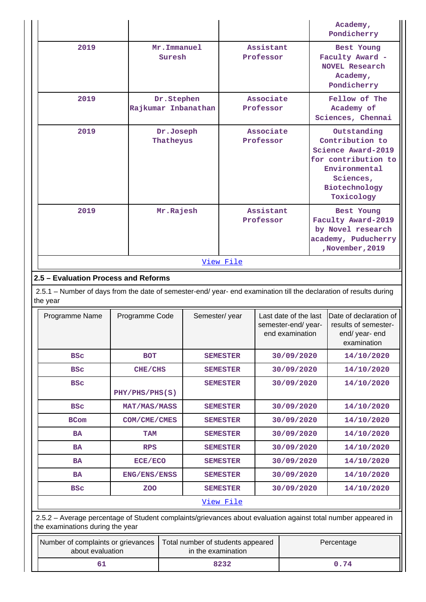|           |                                   |                        | Academy,<br>Pondicherry                                                                                                                  |  |
|-----------|-----------------------------------|------------------------|------------------------------------------------------------------------------------------------------------------------------------------|--|
| 2019      | Mr. Immanuel<br>Suresh            | Assistant<br>Professor | Best Young<br>Faculty Award -<br><b>NOVEL Research</b><br>Academy,<br>Pondicherry                                                        |  |
| 2019      | Dr.Stephen<br>Rajkumar Inbanathan | Associate<br>Professor | Fellow of The<br>Academy of<br>Sciences, Chennai                                                                                         |  |
| 2019      | Dr.Joseph<br>Thatheyus            | Associate<br>Professor | Outstanding<br>Contribution to<br>Science Award-2019<br>for contribution to<br>Environmental<br>Sciences,<br>Biotechnology<br>Toxicology |  |
| 2019      | Mr.Rajesh                         | Assistant<br>Professor | Best Young<br>Faculty Award-2019<br>by Novel research<br>academy, Puducherry<br>November, 2019                                           |  |
| View File |                                   |                        |                                                                                                                                          |  |

# **2.5 – Evaluation Process and Reforms**

 2.5.1 – Number of days from the date of semester-end/ year- end examination till the declaration of results during the year

| Programme Name | Programme Code | Semester/year   | Last date of the last<br>semester-end/year-<br>end examination | Date of declaration of<br>results of semester-<br>end/ year- end<br>examination |  |
|----------------|----------------|-----------------|----------------------------------------------------------------|---------------------------------------------------------------------------------|--|
| <b>BSC</b>     | <b>BOT</b>     | <b>SEMESTER</b> | 30/09/2020                                                     | 14/10/2020                                                                      |  |
| <b>BSC</b>     | CHE/CHS        | <b>SEMESTER</b> | 30/09/2020                                                     | 14/10/2020                                                                      |  |
| <b>BSC</b>     | PHY/PHS/PHS(S) | <b>SEMESTER</b> | 30/09/2020                                                     | 14/10/2020                                                                      |  |
| <b>BSC</b>     | MAT/MAS/MASS   | <b>SEMESTER</b> | 30/09/2020                                                     | 14/10/2020                                                                      |  |
| <b>BCom</b>    | COM/CME/CMES   | <b>SEMESTER</b> | 30/09/2020                                                     | 14/10/2020                                                                      |  |
| <b>BA</b>      | <b>TAM</b>     | <b>SEMESTER</b> | 30/09/2020                                                     | 14/10/2020                                                                      |  |
| <b>BA</b>      | <b>RPS</b>     | <b>SEMESTER</b> | 30/09/2020                                                     | 14/10/2020                                                                      |  |
| <b>BA</b>      | ECE/ECO        | <b>SEMESTER</b> | 30/09/2020                                                     | 14/10/2020                                                                      |  |
| <b>BA</b>      | ENG/ENS/ENSS   | <b>SEMESTER</b> | 30/09/2020                                                     | 14/10/2020                                                                      |  |
| <b>BSC</b>     | <b>ZOO</b>     | <b>SEMESTER</b> | 30/09/2020                                                     | 14/10/2020                                                                      |  |
| View File      |                |                 |                                                                |                                                                                 |  |

 2.5.2 – Average percentage of Student complaints/grievances about evaluation against total number appeared in the examinations during the year

| Number of complaints or grievances<br>about evaluation | Total number of students appeared<br>in the examination | Percentage |
|--------------------------------------------------------|---------------------------------------------------------|------------|
|                                                        | 8232                                                    | 0.74       |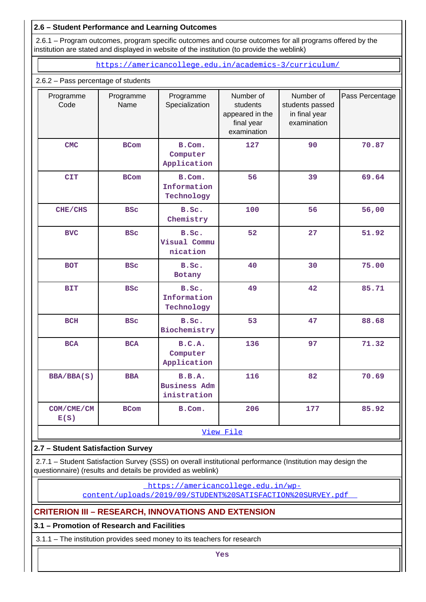## **2.6 – Student Performance and Learning Outcomes**

 2.6.1 – Program outcomes, program specific outcomes and course outcomes for all programs offered by the institution are stated and displayed in website of the institution (to provide the weblink)

<https://americancollege.edu.in/academics-3/curriculum/>

## 2.6.2 – Pass percentage of students

| Programme<br>Code  | Programme<br>Name | Programme<br>Specialization                  | Number of<br>students<br>appeared in the<br>final year<br>examination | Number of<br>students passed<br>in final year<br>examination | Pass Percentage |
|--------------------|-------------------|----------------------------------------------|-----------------------------------------------------------------------|--------------------------------------------------------------|-----------------|
| <b>CMC</b>         | <b>BCom</b>       | B.Com.<br>Computer<br>Application            | 127                                                                   | 90                                                           | 70.87           |
| <b>CIT</b>         | <b>BCom</b>       | B.Com.<br>Information<br>Technology          | 56                                                                    | 39                                                           | 69.64           |
| CHE/CHS            | <b>BSC</b>        | B.Sc.<br>Chemistry                           | 100                                                                   | 56                                                           | 56,00           |
| <b>BVC</b>         | <b>BSC</b>        | B.Sc.<br>Visual Commu<br>nication            | 52                                                                    | 27                                                           | 51.92           |
| <b>BOT</b>         | <b>BSC</b>        | B.Sc.<br><b>Botany</b>                       | 40                                                                    | 30                                                           | 75.00           |
| <b>BIT</b>         | <b>BSC</b>        | B.Sc.<br>Information<br>Technology           | 49                                                                    | 42                                                           | 85.71           |
| <b>BCH</b>         | <b>BSC</b>        | B.Sc.<br>Biochemistry                        | 53                                                                    | 47                                                           | 88.68           |
| <b>BCA</b>         | <b>BCA</b>        | B.C.A.<br>Computer<br>Application            | 136                                                                   | 97                                                           | 71.32           |
| BBA/BBA(S)         | <b>BBA</b>        | B.B.A.<br><b>Business Adm</b><br>inistration | 116                                                                   | 82                                                           | 70.69           |
| COM/CME/CM<br>E(S) | <b>BCom</b>       | B.Com.                                       | 206                                                                   | 177                                                          | 85.92           |
| View File          |                   |                                              |                                                                       |                                                              |                 |

## **2.7 – Student Satisfaction Survey**

 2.7.1 – Student Satisfaction Survey (SSS) on overall institutional performance (Institution may design the questionnaire) (results and details be provided as weblink)

[https://americancollege.edu.in/wp-](https://americancollege.edu.in/wp-content/uploads/2019/09/STUDENT%20SATISFACTION%20SURVEY.pdf)

[content/uploads/2019/09/STUDENT%20SATISFACTION%20SURVEY.pdf](https://americancollege.edu.in/wp-content/uploads/2019/09/STUDENT%20SATISFACTION%20SURVEY.pdf) 

## **CRITERION III – RESEARCH, INNOVATIONS AND EXTENSION**

## **3.1 – Promotion of Research and Facilities**

3.1.1 – The institution provides seed money to its teachers for research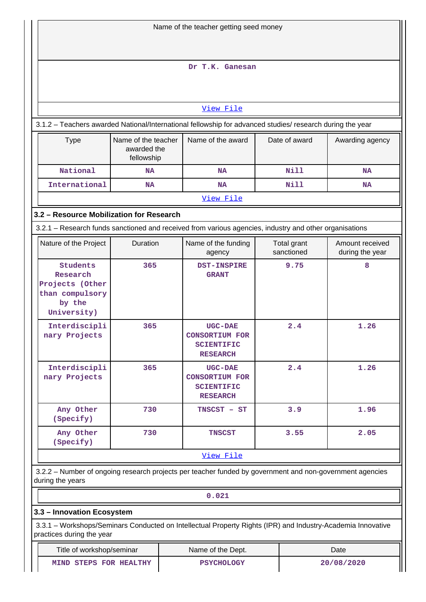| Name of the teacher getting seed money                                                                                                   |                                                                                                          |                                                                                 |  |                           |                                    |  |
|------------------------------------------------------------------------------------------------------------------------------------------|----------------------------------------------------------------------------------------------------------|---------------------------------------------------------------------------------|--|---------------------------|------------------------------------|--|
|                                                                                                                                          |                                                                                                          |                                                                                 |  |                           |                                    |  |
|                                                                                                                                          |                                                                                                          | Dr T.K. Ganesan                                                                 |  |                           |                                    |  |
|                                                                                                                                          |                                                                                                          |                                                                                 |  |                           |                                    |  |
|                                                                                                                                          |                                                                                                          | View File                                                                       |  |                           |                                    |  |
| 3.1.2 - Teachers awarded National/International fellowship for advanced studies/ research during the year                                |                                                                                                          |                                                                                 |  |                           |                                    |  |
| <b>Type</b>                                                                                                                              | Name of the teacher<br>awarded the<br>fellowship                                                         | Name of the award                                                               |  | Date of award             | Awarding agency                    |  |
| National                                                                                                                                 | <b>NA</b>                                                                                                | <b>NA</b>                                                                       |  | <b>Nill</b>               | <b>NA</b>                          |  |
| International                                                                                                                            | NA                                                                                                       | <b>NA</b>                                                                       |  | Nill                      | <b>NA</b>                          |  |
|                                                                                                                                          |                                                                                                          | View File                                                                       |  |                           |                                    |  |
| 3.2 - Resource Mobilization for Research                                                                                                 |                                                                                                          |                                                                                 |  |                           |                                    |  |
| 3.2.1 – Research funds sanctioned and received from various agencies, industry and other organisations                                   |                                                                                                          |                                                                                 |  |                           |                                    |  |
| Nature of the Project                                                                                                                    | Duration                                                                                                 | Name of the funding<br>agency                                                   |  | Total grant<br>sanctioned | Amount received<br>during the year |  |
| <b>Students</b><br>Research<br>Projects (Other<br>than compulsory<br>by the<br>University)                                               | 365                                                                                                      | <b>DST-INSPIRE</b><br><b>GRANT</b>                                              |  | 9.75                      | 8                                  |  |
| Interdiscipli<br>nary Projects                                                                                                           | 365                                                                                                      | <b>UGC-DAE</b><br><b>CONSORTIUM FOR</b><br><b>SCIENTIFIC</b><br><b>RESEARCH</b> |  | 2.4                       | 1.26                               |  |
| Interdiscipli<br>nary Projects                                                                                                           | 365                                                                                                      | <b>UGC-DAE</b><br><b>CONSORTIUM FOR</b><br><b>SCIENTIFIC</b><br><b>RESEARCH</b> |  | 2.4                       | 1.26                               |  |
| Any Other<br>(Specify)                                                                                                                   | 730                                                                                                      | TNSCST - ST                                                                     |  | 3.9                       | 1.96                               |  |
| Any Other<br>(Specify)                                                                                                                   | 730                                                                                                      | <b>TNSCST</b>                                                                   |  | 3.55                      | 2.05                               |  |
|                                                                                                                                          |                                                                                                          | View File                                                                       |  |                           |                                    |  |
| during the years                                                                                                                         | 3.2.2 - Number of ongoing research projects per teacher funded by government and non-government agencies |                                                                                 |  |                           |                                    |  |
|                                                                                                                                          |                                                                                                          | 0.021                                                                           |  |                           |                                    |  |
| 3.3 - Innovation Ecosystem                                                                                                               |                                                                                                          |                                                                                 |  |                           |                                    |  |
| 3.3.1 – Workshops/Seminars Conducted on Intellectual Property Rights (IPR) and Industry-Academia Innovative<br>practices during the year |                                                                                                          |                                                                                 |  |                           |                                    |  |
| Title of workshop/seminar<br>Date<br>Name of the Dept.                                                                                   |                                                                                                          |                                                                                 |  |                           |                                    |  |

MIND STEPS FOR HEALTHY PSYCHOLOGY 20/08/2020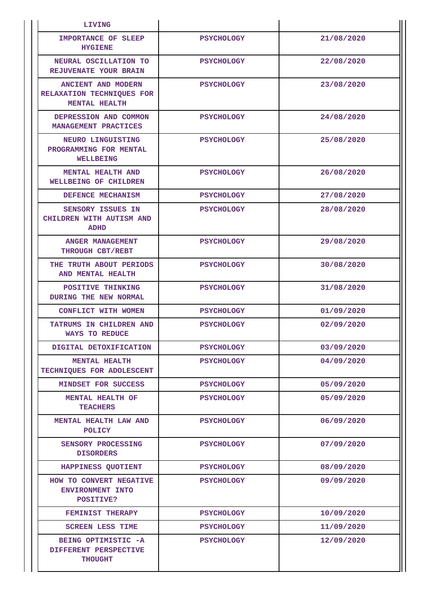| LIVING                                                                  |                   |            |
|-------------------------------------------------------------------------|-------------------|------------|
| <b>IMPORTANCE OF SLEEP</b><br><b>HYGIENE</b>                            | <b>PSYCHOLOGY</b> | 21/08/2020 |
| NEURAL OSCILLATION TO<br><b>REJUVENATE YOUR BRAIN</b>                   | <b>PSYCHOLOGY</b> | 22/08/2020 |
| <b>ANCIENT AND MODERN</b><br>RELAXATION TECHNIQUES FOR<br>MENTAL HEALTH | <b>PSYCHOLOGY</b> | 23/08/2020 |
| DEPRESSION AND COMMON<br>MANAGEMENT PRACTICES                           | <b>PSYCHOLOGY</b> | 24/08/2020 |
| NEURO LINGUISTING<br>PROGRAMMING FOR MENTAL<br><b>WELLBEING</b>         | <b>PSYCHOLOGY</b> | 25/08/2020 |
| <b>MENTAL HEALTH AND</b><br>WELLBEING OF CHILDREN                       | <b>PSYCHOLOGY</b> | 26/08/2020 |
| DEFENCE MECHANISM                                                       | <b>PSYCHOLOGY</b> | 27/08/2020 |
| <b>SENSORY ISSUES IN</b><br>CHILDREN WITH AUTISM AND<br><b>ADHD</b>     | <b>PSYCHOLOGY</b> | 28/08/2020 |
| ANGER MANAGEMENT<br>THROUGH CBT/REBT                                    | <b>PSYCHOLOGY</b> | 29/08/2020 |
| THE TRUTH ABOUT PERIODS<br>AND MENTAL HEALTH                            | <b>PSYCHOLOGY</b> | 30/08/2020 |
| POSITIVE THINKING<br>DURING THE NEW NORMAL                              | <b>PSYCHOLOGY</b> | 31/08/2020 |
| CONFLICT WITH WOMEN                                                     | <b>PSYCHOLOGY</b> | 01/09/2020 |
| TATRUMS IN CHILDREN AND<br><b>WAYS TO REDUCE</b>                        | <b>PSYCHOLOGY</b> | 02/09/2020 |
| DIGITAL DETOXIFICATION                                                  | <b>PSYCHOLOGY</b> | 03/09/2020 |
| <b>MENTAL HEALTH</b><br>TECHNIQUES FOR ADOLESCENT                       | <b>PSYCHOLOGY</b> | 04/09/2020 |
| MINDSET FOR SUCCESS                                                     | <b>PSYCHOLOGY</b> | 05/09/2020 |
| MENTAL HEALTH OF<br><b>TEACHERS</b>                                     | <b>PSYCHOLOGY</b> | 05/09/2020 |
| MENTAL HEALTH LAW AND<br><b>POLICY</b>                                  | <b>PSYCHOLOGY</b> | 06/09/2020 |
| SENSORY PROCESSING<br><b>DISORDERS</b>                                  | <b>PSYCHOLOGY</b> | 07/09/2020 |
| HAPPINESS QUOTIENT                                                      | <b>PSYCHOLOGY</b> | 08/09/2020 |
| HOW TO CONVERT NEGATIVE<br>ENVIRONMENT INTO<br>POSITIVE?                | <b>PSYCHOLOGY</b> | 09/09/2020 |
| FEMINIST THERAPY                                                        | <b>PSYCHOLOGY</b> | 10/09/2020 |
| <b>SCREEN LESS TIME</b>                                                 | <b>PSYCHOLOGY</b> | 11/09/2020 |
| BEING OPTIMISTIC -A<br>DIFFERENT PERSPECTIVE<br><b>THOUGHT</b>          | <b>PSYCHOLOGY</b> | 12/09/2020 |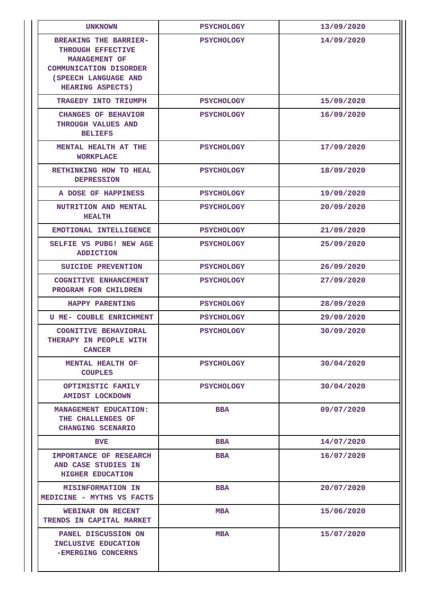| <b>UNKNOWN</b>                                                                                                                                         | <b>PSYCHOLOGY</b> | 13/09/2020 |
|--------------------------------------------------------------------------------------------------------------------------------------------------------|-------------------|------------|
| <b>BREAKING THE BARRIER-</b><br>THROUGH EFFECTIVE<br>MANAGEMENT OF<br><b>COMMUNICATION DISORDER</b><br>(SPEECH LANGUAGE AND<br><b>HEARING ASPECTS)</b> | <b>PSYCHOLOGY</b> | 14/09/2020 |
| TRAGEDY INTO TRIUMPH                                                                                                                                   | <b>PSYCHOLOGY</b> | 15/09/2020 |
| <b>CHANGES OF BEHAVIOR</b><br>THROUGH VALUES AND<br><b>BELIEFS</b>                                                                                     | <b>PSYCHOLOGY</b> | 16/09/2020 |
| MENTAL HEALTH AT THE<br><b>WORKPLACE</b>                                                                                                               | <b>PSYCHOLOGY</b> | 17/09/2020 |
| RETHINKING HOW TO HEAL<br><b>DEPRESSION</b>                                                                                                            | <b>PSYCHOLOGY</b> | 18/09/2020 |
| A DOSE OF HAPPINESS                                                                                                                                    | <b>PSYCHOLOGY</b> | 19/09/2020 |
| NUTRITION AND MENTAL<br><b>HEALTH</b>                                                                                                                  | <b>PSYCHOLOGY</b> | 20/09/2020 |
| EMOTIONAL INTELLIGENCE                                                                                                                                 | <b>PSYCHOLOGY</b> | 21/09/2020 |
| SELFIE VS PUBG! NEW AGE<br><b>ADDICTION</b>                                                                                                            | <b>PSYCHOLOGY</b> | 25/09/2020 |
| SUICIDE PREVENTION                                                                                                                                     | <b>PSYCHOLOGY</b> | 26/09/2020 |
| <b>COGNITIVE ENHANCEMENT</b><br>PROGRAM FOR CHILDREN                                                                                                   | <b>PSYCHOLOGY</b> | 27/09/2020 |
| HAPPY PARENTING                                                                                                                                        | <b>PSYCHOLOGY</b> | 28/09/2020 |
| <b>U ME- COUBLE ENRICHMENT</b>                                                                                                                         | <b>PSYCHOLOGY</b> | 29/09/2020 |
| <b>COGNITIVE BEHAVIORAL</b><br>THERAPY IN PEOPLE WITH<br><b>CANCER</b>                                                                                 | <b>PSYCHOLOGY</b> | 30/09/2020 |
| MENTAL HEALTH OF<br><b>COUPLES</b>                                                                                                                     | <b>PSYCHOLOGY</b> | 30/04/2020 |
| OPTIMISTIC FAMILY<br><b>AMIDST LOCKDOWN</b>                                                                                                            | <b>PSYCHOLOGY</b> | 30/04/2020 |
| MANAGEMENT EDUCATION:<br>THE CHALLENGES OF<br>CHANGING SCENARIO                                                                                        | <b>BBA</b>        | 09/07/2020 |
| <b>BVE</b>                                                                                                                                             | <b>BBA</b>        | 14/07/2020 |
| <b>IMPORTANCE OF RESEARCH</b><br>AND CASE STUDIES IN<br>HIGHER EDUCATION                                                                               | <b>BBA</b>        | 16/07/2020 |
| <b>MISINFORMATION IN</b><br>MEDICINE - MYTHS VS FACTS                                                                                                  | <b>BBA</b>        | 20/07/2020 |
| WEBINAR ON RECENT<br><b>TRENDS IN CAPITAL MARKET</b>                                                                                                   | <b>MBA</b>        | 15/06/2020 |
| PANEL DISCUSSION ON<br>INCLUSIVE EDUCATION<br>-EMERGING CONCERNS                                                                                       | <b>MBA</b>        | 15/07/2020 |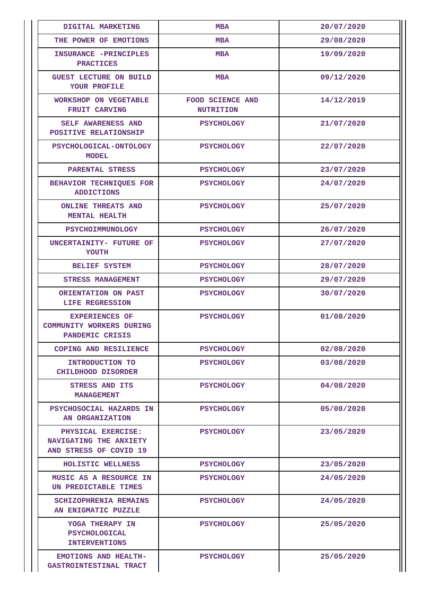| DIGITAL MARKETING                                                           | <b>MBA</b>                                  | 20/07/2020 |
|-----------------------------------------------------------------------------|---------------------------------------------|------------|
| THE POWER OF EMOTIONS                                                       | <b>MBA</b>                                  | 29/08/2020 |
| INSURANCE -PRINCIPLES<br><b>PRACTICES</b>                                   | <b>MBA</b>                                  | 19/09/2020 |
| <b>GUEST LECTURE ON BUILD</b><br>YOUR PROFILE                               | <b>MBA</b>                                  | 09/12/2020 |
| WORKSHOP ON VEGETABLE<br>FRUIT CARVING                                      | <b>FOOD SCIENCE AND</b><br><b>NUTRITION</b> | 14/12/2019 |
| SELF AWARENESS AND<br>POSITIVE RELATIONSHIP                                 | <b>PSYCHOLOGY</b>                           | 21/07/2020 |
| PSYCHOLOGICAL-ONTOLOGY<br><b>MODEL</b>                                      | <b>PSYCHOLOGY</b>                           | 22/07/2020 |
| PARENTAL STRESS                                                             | <b>PSYCHOLOGY</b>                           | 23/07/2020 |
| BEHAVIOR TECHNIQUES FOR<br><b>ADDICTIONS</b>                                | <b>PSYCHOLOGY</b>                           | 24/07/2020 |
| <b>ONLINE THREATS AND</b><br><b>MENTAL HEALTH</b>                           | <b>PSYCHOLOGY</b>                           | 25/07/2020 |
| PSYCHOIMMUNOLOGY                                                            | <b>PSYCHOLOGY</b>                           | 26/07/2020 |
| UNCERTAINITY- FUTURE OF<br>YOUTH                                            | <b>PSYCHOLOGY</b>                           | 27/07/2020 |
| <b>BELIEF SYSTEM</b>                                                        | <b>PSYCHOLOGY</b>                           | 28/07/2020 |
| <b>STRESS MANAGEMENT</b>                                                    | <b>PSYCHOLOGY</b>                           | 29/07/2020 |
| ORIENTATION ON PAST<br>LIFE REGRESSION                                      | <b>PSYCHOLOGY</b>                           | 30/07/2020 |
| <b>EXPERIENCES OF</b><br><b>COMMUNITY WORKERS DURING</b><br>PANDEMIC CRISIS | <b>PSYCHOLOGY</b>                           | 01/08/2020 |
| COPING AND RESILIENCE                                                       | <b>PSYCHOLOGY</b>                           | 02/08/2020 |
| <b>INTRODUCTION TO</b><br><b>CHILDHOOD DISORDER</b>                         | <b>PSYCHOLOGY</b>                           | 03/08/2020 |
| STRESS AND ITS<br><b>MANAGEMENT</b>                                         | <b>PSYCHOLOGY</b>                           | 04/08/2020 |
| PSYCHOSOCIAL HAZARDS IN<br>AN ORGANIZATION                                  | <b>PSYCHOLOGY</b>                           | 05/08/2020 |
| PHYSICAL EXERCISE:<br>NAVIGATING THE ANXIETY<br>AND STRESS OF COVID 19      | <b>PSYCHOLOGY</b>                           | 23/05/2020 |
| HOLISTIC WELLNESS                                                           | <b>PSYCHOLOGY</b>                           | 23/05/2020 |
| MUSIC AS A RESOURCE IN<br>UN PREDICTABLE TIMES                              | <b>PSYCHOLOGY</b>                           | 24/05/2020 |
| SCHIZOPHRENIA REMAINS<br>AN ENIGMATIC PUZZLE                                | <b>PSYCHOLOGY</b>                           | 24/05/2020 |
| YOGA THERAPY IN<br><b>PSYCHOLOGICAL</b><br><b>INTERVENTIONS</b>             | <b>PSYCHOLOGY</b>                           | 25/05/2020 |
| <b>EMOTIONS AND HEALTH-</b><br>GASTROINTESTINAL TRACT                       | <b>PSYCHOLOGY</b>                           | 25/05/2020 |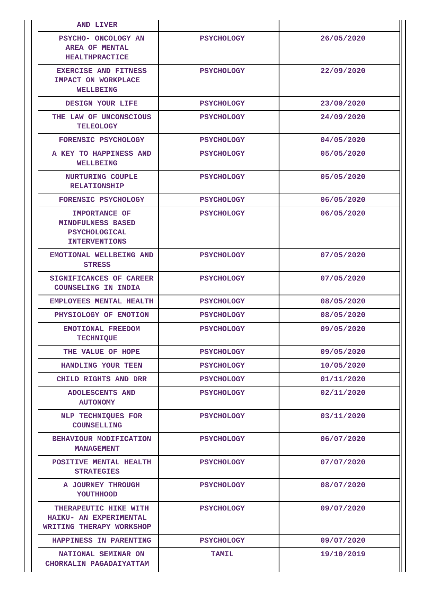| <b>AND LIVER</b>                                                                   |                   |            |
|------------------------------------------------------------------------------------|-------------------|------------|
| <b>PSYCHO- ONCOLOGY AN</b><br>AREA OF MENTAL<br><b>HEALTHPRACTICE</b>              | <b>PSYCHOLOGY</b> | 26/05/2020 |
| <b>EXERCISE AND FITNESS</b><br>IMPACT ON WORKPLACE<br><b>WELLBEING</b>             | <b>PSYCHOLOGY</b> | 22/09/2020 |
| DESIGN YOUR LIFE                                                                   | <b>PSYCHOLOGY</b> | 23/09/2020 |
| THE LAW OF UNCONSCIOUS<br><b>TELEOLOGY</b>                                         | <b>PSYCHOLOGY</b> | 24/09/2020 |
| <b>FORENSIC PSYCHOLOGY</b>                                                         | <b>PSYCHOLOGY</b> | 04/05/2020 |
| A KEY TO HAPPINESS AND<br><b>WELLBEING</b>                                         | <b>PSYCHOLOGY</b> | 05/05/2020 |
| <b>NURTURING COUPLE</b><br><b>RELATIONSHIP</b>                                     | <b>PSYCHOLOGY</b> | 05/05/2020 |
| FORENSIC PSYCHOLOGY                                                                | <b>PSYCHOLOGY</b> | 06/05/2020 |
| IMPORTANCE OF<br>MINDFULNESS BASED<br><b>PSYCHOLOGICAL</b><br><b>INTERVENTIONS</b> | <b>PSYCHOLOGY</b> | 06/05/2020 |
| EMOTIONAL WELLBEING AND<br><b>STRESS</b>                                           | <b>PSYCHOLOGY</b> | 07/05/2020 |
| <b>SIGNIFICANCES OF CAREER</b><br>COUNSELING IN INDIA                              | <b>PSYCHOLOGY</b> | 07/05/2020 |
| <b>EMPLOYEES MENTAL HEALTH</b>                                                     | <b>PSYCHOLOGY</b> | 08/05/2020 |
| PHYSIOLOGY OF EMOTION                                                              | <b>PSYCHOLOGY</b> | 08/05/2020 |
| EMOTIONAL FREEDOM<br><b>TECHNIQUE</b>                                              | <b>PSYCHOLOGY</b> | 09/05/2020 |
| THE VALUE OF HOPE                                                                  | <b>PSYCHOLOGY</b> | 09/05/2020 |
| HANDLING YOUR TEEN                                                                 | <b>PSYCHOLOGY</b> | 10/05/2020 |
| CHILD RIGHTS AND DRR                                                               | <b>PSYCHOLOGY</b> | 01/11/2020 |
| <b>ADOLESCENTS AND</b><br><b>AUTONOMY</b>                                          | <b>PSYCHOLOGY</b> | 02/11/2020 |
| NLP TECHNIQUES FOR<br><b>COUNSELLING</b>                                           | <b>PSYCHOLOGY</b> | 03/11/2020 |
| BEHAVIOUR MODIFICATION<br><b>MANAGEMENT</b>                                        | <b>PSYCHOLOGY</b> | 06/07/2020 |
| POSITIVE MENTAL HEALTH<br><b>STRATEGIES</b>                                        | <b>PSYCHOLOGY</b> | 07/07/2020 |
| A JOURNEY THROUGH<br>YOUTHHOOD                                                     | <b>PSYCHOLOGY</b> | 08/07/2020 |
| THERAPEUTIC HIKE WITH<br>HAIKU- AN EXPERIMENTAL<br>WRITING THERAPY WORKSHOP        | <b>PSYCHOLOGY</b> | 09/07/2020 |
| HAPPINESS IN PARENTING                                                             | <b>PSYCHOLOGY</b> | 09/07/2020 |
| NATIONAL SEMINAR ON<br>CHORKALIN PAGADAIYATTAM                                     | <b>TAMIL</b>      | 19/10/2019 |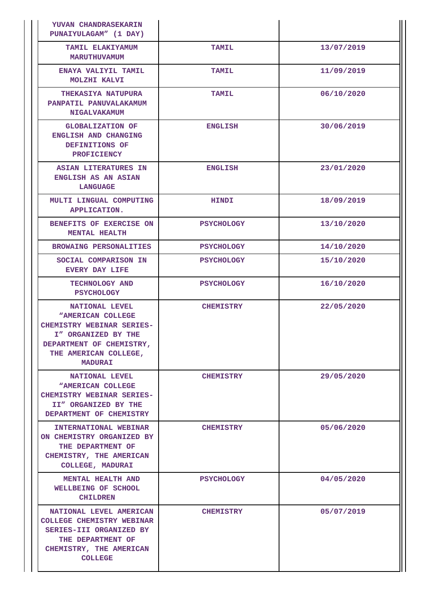| YUVAN CHANDRASEKARIN<br>PUNAIYULAGAM" (1 DAY)                                                                                                                                |                   |            |
|------------------------------------------------------------------------------------------------------------------------------------------------------------------------------|-------------------|------------|
| TAMIL ELAKIYAMUM<br><b>MARUTHUVAMUM</b>                                                                                                                                      | <b>TAMIL</b>      | 13/07/2019 |
| ENAYA VALIYIL TAMIL<br>MOLZHI KALVI                                                                                                                                          | TAMIL             | 11/09/2019 |
| <b>THEKASIYA NATUPURA</b><br>PANPATIL PANUVALAKAMUM<br><b>NIGALVAKAMUM</b>                                                                                                   | <b>TAMIL</b>      | 06/10/2020 |
| <b>GLOBALIZATION OF</b><br>ENGLISH AND CHANGING<br>DEFINITIONS OF<br><b>PROFICIENCY</b>                                                                                      | <b>ENGLISH</b>    | 30/06/2019 |
| <b>ASIAN LITERATURES IN</b><br><b>ENGLISH AS AN ASIAN</b><br><b>LANGUAGE</b>                                                                                                 | <b>ENGLISH</b>    | 23/01/2020 |
| MULTI LINGUAL COMPUTING<br><b>APPLICATION.</b>                                                                                                                               | <b>HINDI</b>      | 18/09/2019 |
| BENEFITS OF EXERCISE ON<br><b>MENTAL HEALTH</b>                                                                                                                              | <b>PSYCHOLOGY</b> | 13/10/2020 |
| <b>BROWAING PERSONALITIES</b>                                                                                                                                                | <b>PSYCHOLOGY</b> | 14/10/2020 |
| SOCIAL COMPARISON IN<br><b>EVERY DAY LIFE</b>                                                                                                                                | <b>PSYCHOLOGY</b> | 15/10/2020 |
| TECHNOLOGY AND<br><b>PSYCHOLOGY</b>                                                                                                                                          | <b>PSYCHOLOGY</b> | 16/10/2020 |
| NATIONAL LEVEL<br><b>"AMERICAN COLLEGE</b><br><b>CHEMISTRY WEBINAR SERIES-</b><br>I" ORGANIZED BY THE<br>DEPARTMENT OF CHEMISTRY,<br>THE AMERICAN COLLEGE,<br><b>MADURAI</b> | <b>CHEMISTRY</b>  | 22/05/2020 |
| NATIONAL LEVEL<br><b>"AMERICAN COLLEGE</b><br><b>CHEMISTRY WEBINAR SERIES-</b><br>II" ORGANIZED BY THE<br>DEPARTMENT OF CHEMISTRY                                            | <b>CHEMISTRY</b>  | 29/05/2020 |
| <b>INTERNATIONAL WEBINAR</b><br>ON CHEMISTRY ORGANIZED BY<br>THE DEPARTMENT OF<br>CHEMISTRY, THE AMERICAN<br>COLLEGE, MADURAI                                                | <b>CHEMISTRY</b>  | 05/06/2020 |
| <b>MENTAL HEALTH AND</b><br>WELLBEING OF SCHOOL<br><b>CHILDREN</b>                                                                                                           | <b>PSYCHOLOGY</b> | 04/05/2020 |
| NATIONAL LEVEL AMERICAN<br><b>COLLEGE CHEMISTRY WEBINAR</b><br>SERIES-III ORGANIZED BY<br>THE DEPARTMENT OF<br>CHEMISTRY, THE AMERICAN<br><b>COLLEGE</b>                     | <b>CHEMISTRY</b>  | 05/07/2019 |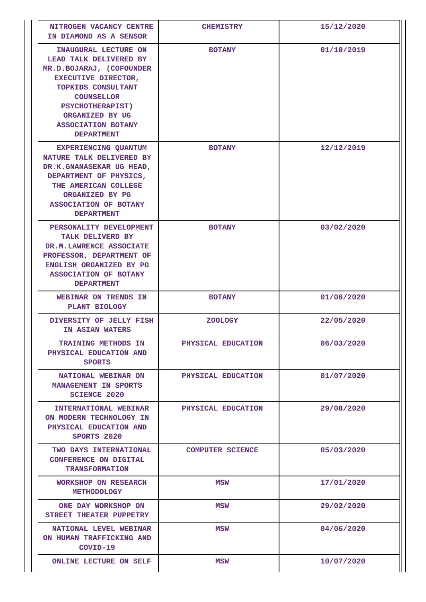| NITROGEN VACANCY CENTRE<br>IN DIAMOND AS A SENSOR                                                                                                                                                                                                   | <b>CHEMISTRY</b>        | 15/12/2020 |
|-----------------------------------------------------------------------------------------------------------------------------------------------------------------------------------------------------------------------------------------------------|-------------------------|------------|
| INAUGURAL LECTURE ON<br>LEAD TALK DELIVERED BY<br>MR.D.BOJARAJ, (COFOUNDER<br><b>EXECUTIVE DIRECTOR,</b><br>TOPKIDS CONSULTANT<br><b>COUNSELLOR</b><br><b>PSYCHOTHERAPIST)</b><br>ORGANIZED BY UG<br><b>ASSOCIATION BOTANY</b><br><b>DEPARTMENT</b> | <b>BOTANY</b>           | 01/10/2019 |
| EXPERIENCING QUANTUM<br>NATURE TALK DELIVERED BY<br>DR.K.GNANASEKAR UG HEAD,<br>DEPARTMENT OF PHYSICS,<br>THE AMERICAN COLLEGE<br>ORGANIZED BY PG<br><b>ASSOCIATION OF BOTANY</b><br><b>DEPARTMENT</b>                                              | <b>BOTANY</b>           | 12/12/2019 |
| PERSONALITY DEVELOPMENT<br>TALK DELIVERD BY<br>DR.M.LAWRENCE ASSOCIATE<br>PROFESSOR, DEPARTMENT OF<br>ENGLISH ORGANIZED BY PG<br>ASSOCIATION OF BOTANY<br><b>DEPARTMENT</b>                                                                         | <b>BOTANY</b>           | 03/02/2020 |
| WEBINAR ON TRENDS IN<br>PLANT BIOLOGY                                                                                                                                                                                                               | <b>BOTANY</b>           | 01/06/2020 |
| DIVERSITY OF JELLY FISH<br>IN ASIAN WATERS                                                                                                                                                                                                          | <b>ZOOLOGY</b>          | 22/05/2020 |
| <b>TRAINING METHODS IN</b><br>PHYSICAL EDUCATION AND<br><b>SPORTS</b>                                                                                                                                                                               | PHYSICAL EDUCATION      | 06/03/2020 |
| NATIONAL WEBINAR ON<br>MANAGEMENT IN SPORTS<br><b>SCIENCE 2020</b>                                                                                                                                                                                  | PHYSICAL EDUCATION      | 01/07/2020 |
| <b>INTERNATIONAL WEBINAR</b><br>ON MODERN TECHNOLOGY IN<br>PHYSICAL EDUCATION AND<br>SPORTS 2020                                                                                                                                                    | PHYSICAL EDUCATION      | 29/08/2020 |
| TWO DAYS INTERNATIONAL<br>CONFERENCE ON DIGITAL<br><b>TRANSFORMATION</b>                                                                                                                                                                            | <b>COMPUTER SCIENCE</b> | 05/03/2020 |
| WORKSHOP ON RESEARCH<br>METHODOLOGY                                                                                                                                                                                                                 | <b>MSW</b>              | 17/01/2020 |
| ONE DAY WORKSHOP ON<br>STREET THEATER PUPPETRY                                                                                                                                                                                                      | MSW                     | 29/02/2020 |
| NATIONAL LEVEL WEBINAR<br>ON HUMAN TRAFFICKING AND<br>COVID-19                                                                                                                                                                                      | <b>MSW</b>              | 04/06/2020 |
| ONLINE LECTURE ON SELF                                                                                                                                                                                                                              | MSW                     | 10/07/2020 |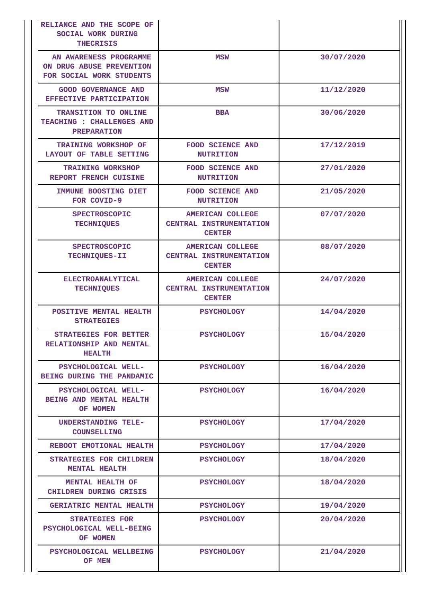| RELIANCE AND THE SCOPE OF<br>SOCIAL WORK DURING<br><b>THECRISIS</b>            |                                                                     |            |
|--------------------------------------------------------------------------------|---------------------------------------------------------------------|------------|
| AN AWARENESS PROGRAMME<br>ON DRUG ABUSE PREVENTION<br>FOR SOCIAL WORK STUDENTS | MSW                                                                 | 30/07/2020 |
| <b>GOOD GOVERNANCE AND</b><br>EFFECTIVE PARTICIPATION                          | <b>MSW</b>                                                          | 11/12/2020 |
| TRANSITION TO ONLINE<br><b>TEACHING : CHALLENGES AND</b><br><b>PREPARATION</b> | <b>BBA</b>                                                          | 30/06/2020 |
| <b>TRAINING WORKSHOP OF</b><br>LAYOUT OF TABLE SETTING                         | <b>FOOD SCIENCE AND</b><br><b>NUTRITION</b>                         | 17/12/2019 |
| <b>TRAINING WORKSHOP</b><br><b>REPORT FRENCH CUISINE</b>                       | <b>FOOD SCIENCE AND</b><br><b>NUTRITION</b>                         | 27/01/2020 |
| <b>IMMUNE BOOSTING DIET</b><br>FOR COVID-9                                     | <b>FOOD SCIENCE AND</b><br><b>NUTRITION</b>                         | 21/05/2020 |
| <b>SPECTROSCOPIC</b><br><b>TECHNIQUES</b>                                      | <b>AMERICAN COLLEGE</b><br>CENTRAL INSTRUMENTATION<br><b>CENTER</b> | 07/07/2020 |
| <b>SPECTROSCOPIC</b><br>TECHNIQUES-II                                          | <b>AMERICAN COLLEGE</b><br>CENTRAL INSTRUMENTATION<br><b>CENTER</b> | 08/07/2020 |
| ELECTROANALYTICAL<br><b>TECHNIQUES</b>                                         | <b>AMERICAN COLLEGE</b><br>CENTRAL INSTRUMENTATION<br><b>CENTER</b> | 24/07/2020 |
| POSITIVE MENTAL HEALTH<br><b>STRATEGIES</b>                                    | <b>PSYCHOLOGY</b>                                                   | 14/04/2020 |
| <b>STRATEGIES FOR BETTER</b><br>RELATIONSHIP AND MENTAL<br><b>HEALTH</b>       | <b>PSYCHOLOGY</b>                                                   | 15/04/2020 |
| PSYCHOLOGICAL WELL-<br>BEING DURING THE PANDAMIC                               | <b>PSYCHOLOGY</b>                                                   | 16/04/2020 |
| PSYCHOLOGICAL WELL-<br>BEING AND MENTAL HEALTH<br>OF WOMEN                     | <b>PSYCHOLOGY</b>                                                   | 16/04/2020 |
| UNDERSTANDING TELE-<br>COUNSELLING                                             | <b>PSYCHOLOGY</b>                                                   | 17/04/2020 |
| REBOOT EMOTIONAL HEALTH                                                        | <b>PSYCHOLOGY</b>                                                   | 17/04/2020 |
| <b>STRATEGIES FOR CHILDREN</b><br><b>MENTAL HEALTH</b>                         | <b>PSYCHOLOGY</b>                                                   | 18/04/2020 |
| MENTAL HEALTH OF                                                               | <b>PSYCHOLOGY</b>                                                   | 18/04/2020 |
| CHILDREN DURING CRISIS                                                         |                                                                     |            |
| GERIATRIC MENTAL HEALTH                                                        | <b>PSYCHOLOGY</b>                                                   | 19/04/2020 |
| <b>STRATEGIES FOR</b><br>PSYCHOLOGICAL WELL-BEING<br>OF WOMEN                  | <b>PSYCHOLOGY</b>                                                   | 20/04/2020 |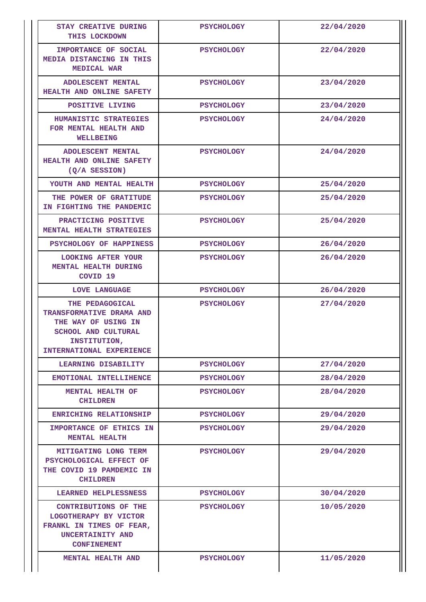| <b>STAY CREATIVE DURING</b><br>THIS LOCKDOWN                                                                                                 | <b>PSYCHOLOGY</b> | 22/04/2020 |
|----------------------------------------------------------------------------------------------------------------------------------------------|-------------------|------------|
| IMPORTANCE OF SOCIAL<br>MEDIA DISTANCING IN THIS<br>MEDICAL WAR                                                                              | <b>PSYCHOLOGY</b> | 22/04/2020 |
| <b>ADOLESCENT MENTAL</b><br>HEALTH AND ONLINE SAFETY                                                                                         | <b>PSYCHOLOGY</b> | 23/04/2020 |
| POSITIVE LIVING                                                                                                                              | <b>PSYCHOLOGY</b> | 23/04/2020 |
| HUMANISTIC STRATEGIES<br>FOR MENTAL HEALTH AND<br>WELLBEING                                                                                  | <b>PSYCHOLOGY</b> | 24/04/2020 |
| <b>ADOLESCENT MENTAL</b><br><b>HEALTH AND ONLINE SAFETY</b><br>$(Q/A$ SESSION)                                                               | <b>PSYCHOLOGY</b> | 24/04/2020 |
| YOUTH AND MENTAL HEALTH                                                                                                                      | <b>PSYCHOLOGY</b> | 25/04/2020 |
| THE POWER OF GRATITUDE<br>IN FIGHTING THE PANDEMIC                                                                                           | <b>PSYCHOLOGY</b> | 25/04/2020 |
| PRACTICING POSITIVE<br>MENTAL HEALTH STRATEGIES                                                                                              | <b>PSYCHOLOGY</b> | 25/04/2020 |
| PSYCHOLOGY OF HAPPINESS                                                                                                                      | <b>PSYCHOLOGY</b> | 26/04/2020 |
| <b>LOOKING AFTER YOUR</b><br><b>MENTAL HEALTH DURING</b><br>COVID <sub>19</sub>                                                              | <b>PSYCHOLOGY</b> | 26/04/2020 |
| LOVE LANGUAGE                                                                                                                                | <b>PSYCHOLOGY</b> | 26/04/2020 |
| THE PEDAGOGICAL<br>TRANSFORMATIVE DRAMA AND<br>THE WAY OF USING IN<br><b>SCHOOL AND CULTURAL</b><br>INSTITUTION,<br>INTERNATIONAL EXPERIENCE | <b>PSYCHOLOGY</b> | 27/04/2020 |
| LEARNING DISABILITY                                                                                                                          | <b>PSYCHOLOGY</b> | 27/04/2020 |
| EMOTIONAL INTELLIHENCE                                                                                                                       | <b>PSYCHOLOGY</b> | 28/04/2020 |
| MENTAL HEALTH OF<br><b>CHILDREN</b>                                                                                                          | <b>PSYCHOLOGY</b> | 28/04/2020 |
| ENRICHING RELATIONSHIP                                                                                                                       | <b>PSYCHOLOGY</b> | 29/04/2020 |
| IMPORTANCE OF ETHICS IN<br><b>MENTAL HEALTH</b>                                                                                              | <b>PSYCHOLOGY</b> | 29/04/2020 |
| MITIGATING LONG TERM<br>PSYCHOLOGICAL EFFECT OF<br>THE COVID 19 PAMDEMIC IN<br><b>CHILDREN</b>                                               | <b>PSYCHOLOGY</b> | 29/04/2020 |
| LEARNED HELPLESSNESS                                                                                                                         | <b>PSYCHOLOGY</b> | 30/04/2020 |
| CONTRIBUTIONS OF THE<br>LOGOTHERAPY BY VICTOR<br>FRANKL IN TIMES OF FEAR,<br>UNCERTAINITY AND<br><b>CONFINEMENT</b>                          | <b>PSYCHOLOGY</b> | 10/05/2020 |
| <b>MENTAL HEALTH AND</b>                                                                                                                     | <b>PSYCHOLOGY</b> | 11/05/2020 |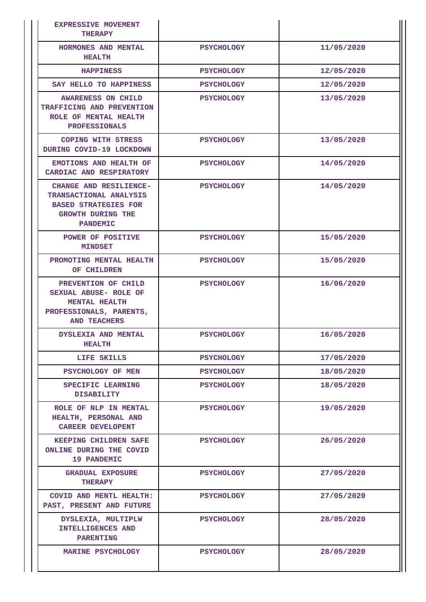| <b>EXPRESSIVE MOVEMENT</b><br><b>THERAPY</b>                                                                                   |                   |            |
|--------------------------------------------------------------------------------------------------------------------------------|-------------------|------------|
| HORMONES AND MENTAL<br><b>HEALTH</b>                                                                                           | <b>PSYCHOLOGY</b> | 11/05/2020 |
| <b>HAPPINESS</b>                                                                                                               | <b>PSYCHOLOGY</b> | 12/05/2020 |
| SAY HELLO TO HAPPINESS                                                                                                         | <b>PSYCHOLOGY</b> | 12/05/2020 |
| <b>AWARENESS ON CHILD</b><br>TRAFFICING AND PREVENTION<br>ROLE OF MENTAL HEALTH<br><b>PROFESSIONALS</b>                        | <b>PSYCHOLOGY</b> | 13/05/2020 |
| COPING WITH STRESS<br>DURING COVID-19 LOCKDOWN                                                                                 | <b>PSYCHOLOGY</b> | 13/05/2020 |
| EMOTIONS AND HEALTH OF<br>CARDIAC AND RESPIRATORY                                                                              | <b>PSYCHOLOGY</b> | 14/05/2020 |
| CHANGE AND RESILIENCE-<br>TRANSACTIONAL ANALYSIS<br><b>BASED STRATEGIES FOR</b><br><b>GROWTH DURING THE</b><br><b>PANDEMIC</b> | <b>PSYCHOLOGY</b> | 14/05/2020 |
| POWER OF POSITIVE<br><b>MINDSET</b>                                                                                            | <b>PSYCHOLOGY</b> | 15/05/2020 |
| PROMOTING MENTAL HEALTH<br>OF CHILDREN                                                                                         | <b>PSYCHOLOGY</b> | 15/05/2020 |
| PREVENTION OF CHILD<br>SEXUAL ABUSE- ROLE OF<br><b>MENTAL HEALTH</b><br>PROFESSIONALS, PARENTS,<br><b>AND TEACHERS</b>         | <b>PSYCHOLOGY</b> | 16/06/2020 |
| <b>DYSLEXIA AND MENTAL</b><br><b>HEALTH</b>                                                                                    | <b>PSYCHOLOGY</b> | 16/05/2020 |
| LIFE SKILLS                                                                                                                    | <b>PSYCHOLOGY</b> | 17/05/2020 |
| PSYCHOLOGY OF MEN                                                                                                              | <b>PSYCHOLOGY</b> | 18/05/2020 |
| SPECIFIC LEARNING<br><b>DISABILITY</b>                                                                                         | <b>PSYCHOLOGY</b> | 18/05/2020 |
| ROLE OF NLP IN MENTAL<br>HEALTH, PERSONAL AND<br><b>CAREER DEVELOPENT</b>                                                      | <b>PSYCHOLOGY</b> | 19/05/2020 |
| <b>KEEPING CHILDREN SAFE</b><br>ONLINE DURING THE COVID<br>19 PANDEMIC                                                         | <b>PSYCHOLOGY</b> | 26/05/2020 |
| <b>GRADUAL EXPOSURE</b><br><b>THERAPY</b>                                                                                      | <b>PSYCHOLOGY</b> | 27/05/2020 |
| COVID AND MENTL HEALTH:<br>PAST, PRESENT AND FUTURE                                                                            | <b>PSYCHOLOGY</b> | 27/05/2020 |
| DYSLEXIA, MULTIPLW<br><b>INTELLIGENCES AND</b><br><b>PARENTING</b>                                                             | <b>PSYCHOLOGY</b> | 28/05/2020 |
| <b>MARINE PSYCHOLOGY</b>                                                                                                       | <b>PSYCHOLOGY</b> | 28/05/2020 |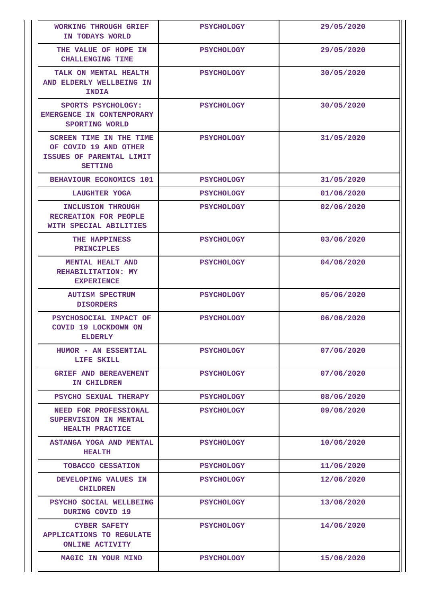| WORKING THROUGH GRIEF<br>IN TODAYS WORLD                                                       | <b>PSYCHOLOGY</b> | 29/05/2020 |
|------------------------------------------------------------------------------------------------|-------------------|------------|
| THE VALUE OF HOPE IN<br><b>CHALLENGING TIME</b>                                                | <b>PSYCHOLOGY</b> | 29/05/2020 |
| TALK ON MENTAL HEALTH<br>AND ELDERLY WELLBEING IN<br><b>INDIA</b>                              | <b>PSYCHOLOGY</b> | 30/05/2020 |
| SPORTS PSYCHOLOGY:<br>EMERGENCE IN CONTEMPORARY<br>SPORTING WORLD                              | <b>PSYCHOLOGY</b> | 30/05/2020 |
| SCREEN TIME IN THE TIME<br>OF COVID 19 AND OTHER<br>ISSUES OF PARENTAL LIMIT<br><b>SETTING</b> | <b>PSYCHOLOGY</b> | 31/05/2020 |
| <b>BEHAVIOUR ECONOMICS 101</b>                                                                 | <b>PSYCHOLOGY</b> | 31/05/2020 |
| LAUGHTER YOGA                                                                                  | <b>PSYCHOLOGY</b> | 01/06/2020 |
| INCLUSION THROUGH<br>RECREATION FOR PEOPLE<br>WITH SPECIAL ABILITIES                           | <b>PSYCHOLOGY</b> | 02/06/2020 |
| THE HAPPINESS<br><b>PRINCIPLES</b>                                                             | <b>PSYCHOLOGY</b> | 03/06/2020 |
| <b>MENTAL HEALT AND</b><br>REHABILITATION: MY<br><b>EXPERIENCE</b>                             | <b>PSYCHOLOGY</b> | 04/06/2020 |
| <b>AUTISM SPECTRUM</b><br><b>DISORDERS</b>                                                     | <b>PSYCHOLOGY</b> | 05/06/2020 |
| PSYCHOSOCIAL IMPACT OF<br>COVID 19 LOCKDOWN ON<br><b>ELDERLY</b>                               | <b>PSYCHOLOGY</b> | 06/06/2020 |
| HUMOR - AN ESSENTIAL<br>LIFE SKILL                                                             | <b>PSYCHOLOGY</b> | 07/06/2020 |
| <b>GRIEF AND BEREAVEMENT</b><br>IN CHILDREN                                                    | <b>PSYCHOLOGY</b> | 07/06/2020 |
| PSYCHO SEXUAL THERAPY                                                                          | <b>PSYCHOLOGY</b> | 08/06/2020 |
| NEED FOR PROFESSIONAL<br>SUPERVISION IN MENTAL<br>HEALTH PRACTICE                              | <b>PSYCHOLOGY</b> | 09/06/2020 |
| ASTANGA YOGA AND MENTAL<br><b>HEALTH</b>                                                       | <b>PSYCHOLOGY</b> | 10/06/2020 |
| TOBACCO CESSATION                                                                              | <b>PSYCHOLOGY</b> | 11/06/2020 |
| DEVELOPING VALUES IN<br><b>CHILDREN</b>                                                        | <b>PSYCHOLOGY</b> | 12/06/2020 |
| PSYCHO SOCIAL WELLBEING<br>DURING COVID 19                                                     | <b>PSYCHOLOGY</b> | 13/06/2020 |
| <b>CYBER SAFETY</b><br><b>APPLICATIONS TO REGULATE</b><br><b>ONLINE ACTIVITY</b>               | <b>PSYCHOLOGY</b> | 14/06/2020 |
| MAGIC IN YOUR MIND                                                                             | <b>PSYCHOLOGY</b> | 15/06/2020 |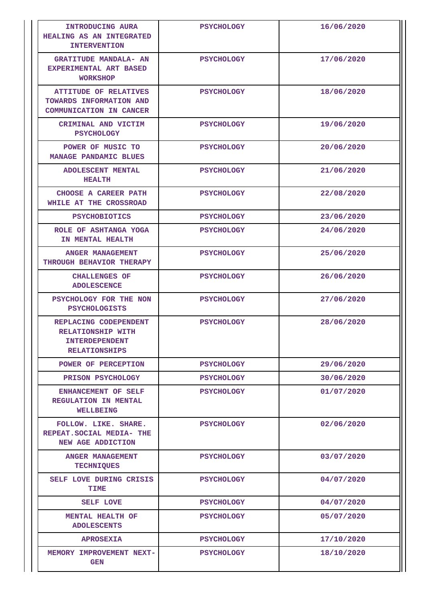| <b>INTRODUCING AURA</b><br><b>HEALING AS AN INTEGRATED</b><br><b>INTERVENTION</b>                  | <b>PSYCHOLOGY</b> | 16/06/2020 |
|----------------------------------------------------------------------------------------------------|-------------------|------------|
| <b>GRATITUDE MANDALA- AN</b><br>EXPERIMENTAL ART BASED<br><b>WORKSHOP</b>                          | <b>PSYCHOLOGY</b> | 17/06/2020 |
| <b>ATTITUDE OF RELATIVES</b><br>TOWARDS INFORMATION AND<br>COMMUNICATION IN CANCER                 | <b>PSYCHOLOGY</b> | 18/06/2020 |
| CRIMINAL AND VICTIM<br><b>PSYCHOLOGY</b>                                                           | <b>PSYCHOLOGY</b> | 19/06/2020 |
| POWER OF MUSIC TO<br>MANAGE PANDAMIC BLUES                                                         | <b>PSYCHOLOGY</b> | 20/06/2020 |
| <b>ADOLESCENT MENTAL</b><br><b>HEALTH</b>                                                          | <b>PSYCHOLOGY</b> | 21/06/2020 |
| CHOOSE A CAREER PATH<br>WHILE AT THE CROSSROAD                                                     | <b>PSYCHOLOGY</b> | 22/08/2020 |
| <b>PSYCHOBIOTICS</b>                                                                               | <b>PSYCHOLOGY</b> | 23/06/2020 |
| ROLE OF ASHTANGA YOGA<br>IN MENTAL HEALTH                                                          | <b>PSYCHOLOGY</b> | 24/06/2020 |
| ANGER MANAGEMENT<br>THROUGH BEHAVIOR THERAPY                                                       | <b>PSYCHOLOGY</b> | 25/06/2020 |
| <b>CHALLENGES OF</b><br><b>ADOLESCENCE</b>                                                         | <b>PSYCHOLOGY</b> | 26/06/2020 |
| PSYCHOLOGY FOR THE NON<br><b>PSYCHOLOGISTS</b>                                                     | <b>PSYCHOLOGY</b> | 27/06/2020 |
| REPLACING CODEPENDENT<br><b>RELATIONSHIP WITH</b><br><b>INTERDEPENDENT</b><br><b>RELATIONSHIPS</b> | <b>PSYCHOLOGY</b> | 28/06/2020 |
| POWER OF PERCEPTION                                                                                | <b>PSYCHOLOGY</b> | 29/06/2020 |
| PRISON PSYCHOLOGY                                                                                  | <b>PSYCHOLOGY</b> | 30/06/2020 |
| ENHANCEMENT OF SELF<br><b>REGULATION IN MENTAL</b><br><b>WELLBEING</b>                             | <b>PSYCHOLOGY</b> | 01/07/2020 |
| FOLLOW. LIKE. SHARE.<br>REPEAT. SOCIAL MEDIA- THE<br>NEW AGE ADDICTION                             | <b>PSYCHOLOGY</b> | 02/06/2020 |
| <b>ANGER MANAGEMENT</b><br><b>TECHNIQUES</b>                                                       | <b>PSYCHOLOGY</b> | 03/07/2020 |
| SELF LOVE DURING CRISIS<br>TIME                                                                    | <b>PSYCHOLOGY</b> | 04/07/2020 |
| SELF LOVE                                                                                          | <b>PSYCHOLOGY</b> | 04/07/2020 |
| MENTAL HEALTH OF<br><b>ADOLESCENTS</b>                                                             | <b>PSYCHOLOGY</b> | 05/07/2020 |
| <b>APROSEXIA</b>                                                                                   | <b>PSYCHOLOGY</b> | 17/10/2020 |
| MEMORY IMPROVEMENT NEXT-<br><b>GEN</b>                                                             | <b>PSYCHOLOGY</b> | 18/10/2020 |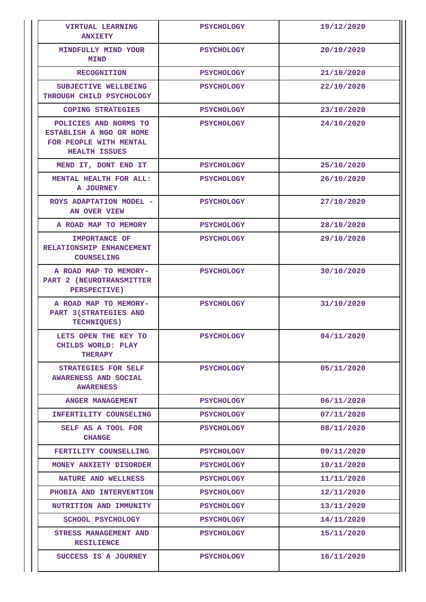| <b>VIRTUAL LEARNING</b><br><b>ANXIETY</b>                                                          | <b>PSYCHOLOGY</b> | 19/12/2020 |
|----------------------------------------------------------------------------------------------------|-------------------|------------|
| MINDFULLY MIND YOUR<br><b>MIND</b>                                                                 | <b>PSYCHOLOGY</b> | 20/10/2020 |
| <b>RECOGNITION</b>                                                                                 | <b>PSYCHOLOGY</b> | 21/10/2020 |
| SUBJECTIVE WELLBEING<br><b>THROUGH CHILD PSYCHOLOGY</b>                                            | <b>PSYCHOLOGY</b> | 22/10/2020 |
| <b>COPING STRATEGIES</b>                                                                           | <b>PSYCHOLOGY</b> | 23/10/2020 |
| POLICIES AND NORMS TO<br>ESTABLISH A NGO OR HOME<br>FOR PEOPLE WITH MENTAL<br><b>HEALTH ISSUES</b> | <b>PSYCHOLOGY</b> | 24/10/2020 |
| MEND IT, DONT END IT                                                                               | <b>PSYCHOLOGY</b> | 25/10/2020 |
| MENTAL HEALTH FOR ALL:<br>A JOURNEY                                                                | <b>PSYCHOLOGY</b> | 26/10/2020 |
| ROYS ADAPTATION MODEL -<br>AN OVER VIEW                                                            | <b>PSYCHOLOGY</b> | 27/10/2020 |
| A ROAD MAP TO MEMORY                                                                               | <b>PSYCHOLOGY</b> | 28/10/2020 |
| IMPORTANCE OF<br>RELATIONSHIP ENHANCEMENT<br><b>COUNSELING</b>                                     | <b>PSYCHOLOGY</b> | 29/10/2020 |
| A ROAD MAP TO MEMORY-<br>PART 2 (NEUROTRANSMITTER<br>PERSPECTIVE)                                  | <b>PSYCHOLOGY</b> | 30/10/2020 |
| A ROAD MAP TO MEMORY-<br>PART 3 (STRATEGIES AND<br><b>TECHNIQUES)</b>                              | <b>PSYCHOLOGY</b> | 31/10/2020 |
| LETS OPEN THE KEY TO<br>CHILDS WORLD: PLAY<br><b>THERAPY</b>                                       | <b>PSYCHOLOGY</b> | 04/11/2020 |
| <b>STRATEGIES FOR SELF</b><br>AWARENESS AND SOCIAL<br><b>AWARENESS</b>                             | <b>PSYCHOLOGY</b> | 05/11/2020 |
| ANGER MANAGEMENT                                                                                   | <b>PSYCHOLOGY</b> | 06/11/2020 |
| INFERTILITY COUNSELING                                                                             | <b>PSYCHOLOGY</b> | 07/11/2020 |
| SELF AS A TOOL FOR<br><b>CHANGE</b>                                                                | <b>PSYCHOLOGY</b> | 08/11/2020 |
| FERTILITY COUNSELLING                                                                              | <b>PSYCHOLOGY</b> | 09/11/2020 |
| MONEY ANXIETY DISORDER                                                                             | <b>PSYCHOLOGY</b> | 10/11/2020 |
| NATURE AND WELLNESS                                                                                | <b>PSYCHOLOGY</b> | 11/11/2020 |
| PHOBIA AND INTERVENTION                                                                            | <b>PSYCHOLOGY</b> | 12/11/2020 |
| NUTRITION AND IMMUNITY                                                                             | <b>PSYCHOLOGY</b> | 13/11/2020 |
| SCHOOL PSYCHOLOGY                                                                                  | <b>PSYCHOLOGY</b> | 14/11/2020 |
| <b>STRESS MANAGEMENT AND</b><br><b>RESILIENCE</b>                                                  | <b>PSYCHOLOGY</b> | 15/11/2020 |
| SUCCESS IS A JOURNEY                                                                               | <b>PSYCHOLOGY</b> | 16/11/2020 |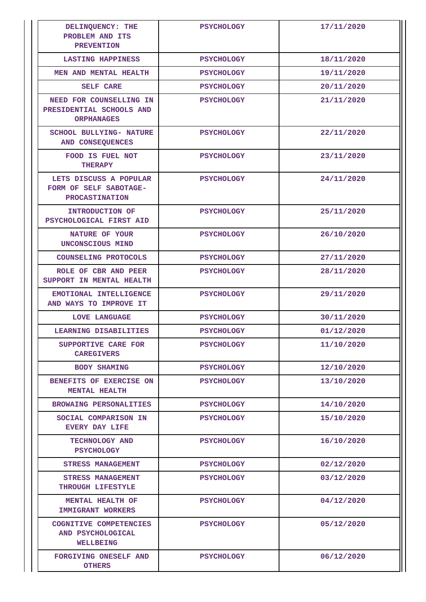| DELINQUENCY: THE<br>PROBLEM AND ITS<br><b>PREVENTION</b>                  | <b>PSYCHOLOGY</b> | 17/11/2020 |
|---------------------------------------------------------------------------|-------------------|------------|
| <b>LASTING HAPPINESS</b>                                                  | <b>PSYCHOLOGY</b> | 18/11/2020 |
| MEN AND MENTAL HEALTH                                                     | <b>PSYCHOLOGY</b> | 19/11/2020 |
| <b>SELF CARE</b>                                                          | <b>PSYCHOLOGY</b> | 20/11/2020 |
| NEED FOR COUNSELLING IN<br>PRESIDENTIAL SCHOOLS AND<br><b>ORPHANAGES</b>  | <b>PSYCHOLOGY</b> | 21/11/2020 |
| <b>SCHOOL BULLYING- NATURE</b><br>AND CONSEQUENCES                        | <b>PSYCHOLOGY</b> | 22/11/2020 |
| FOOD IS FUEL NOT<br><b>THERAPY</b>                                        | <b>PSYCHOLOGY</b> | 23/11/2020 |
| LETS DISCUSS A POPULAR<br>FORM OF SELF SABOTAGE-<br><b>PROCASTINATION</b> | <b>PSYCHOLOGY</b> | 24/11/2020 |
| INTRODUCTION OF<br>PSYCHOLOGICAL FIRST AID                                | <b>PSYCHOLOGY</b> | 25/11/2020 |
| NATURE OF YOUR<br>UNCONSCIOUS MIND                                        | <b>PSYCHOLOGY</b> | 26/10/2020 |
| COUNSELING PROTOCOLS                                                      | <b>PSYCHOLOGY</b> | 27/11/2020 |
| ROLE OF CBR AND PEER<br>SUPPORT IN MENTAL HEALTH                          | <b>PSYCHOLOGY</b> | 28/11/2020 |
| EMOTIONAL INTELLIGENCE<br>AND WAYS TO IMPROVE IT                          | <b>PSYCHOLOGY</b> | 29/11/2020 |
| <b>LOVE LANGUAGE</b>                                                      | <b>PSYCHOLOGY</b> | 30/11/2020 |
| LEARNING DISABILITIES                                                     | <b>PSYCHOLOGY</b> | 01/12/2020 |
| SUPPORTIVE CARE FOR<br><b>CAREGIVERS</b>                                  | <b>PSYCHOLOGY</b> | 11/10/2020 |
| <b>BODY SHAMING</b>                                                       | <b>PSYCHOLOGY</b> | 12/10/2020 |
| BENEFITS OF EXERCISE ON<br><b>MENTAL HEALTH</b>                           | <b>PSYCHOLOGY</b> | 13/10/2020 |
| <b>BROWAING PERSONALITIES</b>                                             | <b>PSYCHOLOGY</b> | 14/10/2020 |
| SOCIAL COMPARISON IN<br><b>EVERY DAY LIFE</b>                             | <b>PSYCHOLOGY</b> | 15/10/2020 |
| TECHNOLOGY AND<br><b>PSYCHOLOGY</b>                                       | <b>PSYCHOLOGY</b> | 16/10/2020 |
| <b>STRESS MANAGEMENT</b>                                                  | <b>PSYCHOLOGY</b> | 02/12/2020 |
| <b>STRESS MANAGEMENT</b><br>THROUGH LIFESTYLE                             | <b>PSYCHOLOGY</b> | 03/12/2020 |
| MENTAL HEALTH OF<br><b>IMMIGRANT WORKERS</b>                              | <b>PSYCHOLOGY</b> | 04/12/2020 |
| COGNITIVE COMPETENCIES<br>AND PSYCHOLOGICAL<br>WELLBEING                  | <b>PSYCHOLOGY</b> | 05/12/2020 |
| FORGIVING ONESELF AND<br><b>OTHERS</b>                                    | <b>PSYCHOLOGY</b> | 06/12/2020 |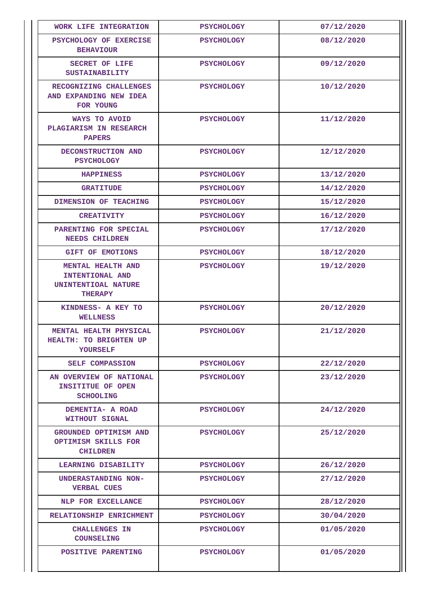| WORK LIFE INTEGRATION                                                                | <b>PSYCHOLOGY</b> | 07/12/2020 |
|--------------------------------------------------------------------------------------|-------------------|------------|
| PSYCHOLOGY OF EXERCISE<br><b>BEHAVIOUR</b>                                           | <b>PSYCHOLOGY</b> | 08/12/2020 |
| SECRET OF LIFE<br><b>SUSTAINABILITY</b>                                              | <b>PSYCHOLOGY</b> | 09/12/2020 |
| RECOGNIZING CHALLENGES<br>AND EXPANDING NEW IDEA<br>FOR YOUNG                        | <b>PSYCHOLOGY</b> | 10/12/2020 |
| WAYS TO AVOID<br>PLAGIARISM IN RESEARCH<br><b>PAPERS</b>                             | <b>PSYCHOLOGY</b> | 11/12/2020 |
| DECONSTRUCTION AND<br><b>PSYCHOLOGY</b>                                              | <b>PSYCHOLOGY</b> | 12/12/2020 |
| <b>HAPPINESS</b>                                                                     | <b>PSYCHOLOGY</b> | 13/12/2020 |
| <b>GRATITUDE</b>                                                                     | <b>PSYCHOLOGY</b> | 14/12/2020 |
| DIMENSION OF TEACHING                                                                | <b>PSYCHOLOGY</b> | 15/12/2020 |
| <b>CREATIVITY</b>                                                                    | <b>PSYCHOLOGY</b> | 16/12/2020 |
| PARENTING FOR SPECIAL<br><b>NEEDS CHILDREN</b>                                       | <b>PSYCHOLOGY</b> | 17/12/2020 |
| <b>GIFT OF EMOTIONS</b>                                                              | <b>PSYCHOLOGY</b> | 18/12/2020 |
| <b>MENTAL HEALTH AND</b><br>INTENTIONAL AND<br>UNINTENTIOAL NATURE<br><b>THERAPY</b> | <b>PSYCHOLOGY</b> | 19/12/2020 |
| KINDNESS- A KEY TO<br><b>WELLNESS</b>                                                | <b>PSYCHOLOGY</b> | 20/12/2020 |
| MENTAL HEALTH PHYSICAL<br><b>HEALTH: TO BRIGHTEN UP</b><br><b>YOURSELF</b>           | <b>PSYCHOLOGY</b> | 21/12/2020 |
| SELF COMPASSION                                                                      | <b>PSYCHOLOGY</b> | 22/12/2020 |
| AN OVERVIEW OF NATIONAL<br>INSITITUE OF OPEN<br><b>SCHOOLING</b>                     | <b>PSYCHOLOGY</b> | 23/12/2020 |
| DEMENTIA- A ROAD<br>WITHOUT SIGNAL                                                   | <b>PSYCHOLOGY</b> | 24/12/2020 |
| GROUNDED OPTIMISM AND<br>OPTIMISM SKILLS FOR<br><b>CHILDREN</b>                      | <b>PSYCHOLOGY</b> | 25/12/2020 |
| LEARNING DISABILITY                                                                  | <b>PSYCHOLOGY</b> | 26/12/2020 |
| UNDERASTANDING NON-<br><b>VERBAL CUES</b>                                            | <b>PSYCHOLOGY</b> | 27/12/2020 |
| NLP FOR EXCELLANCE                                                                   | <b>PSYCHOLOGY</b> | 28/12/2020 |
| RELATIONSHIP ENRICHMENT                                                              | <b>PSYCHOLOGY</b> | 30/04/2020 |
| <b>CHALLENGES IN</b><br><b>COUNSELING</b>                                            | <b>PSYCHOLOGY</b> | 01/05/2020 |
| POSITIVE PARENTING                                                                   | <b>PSYCHOLOGY</b> | 01/05/2020 |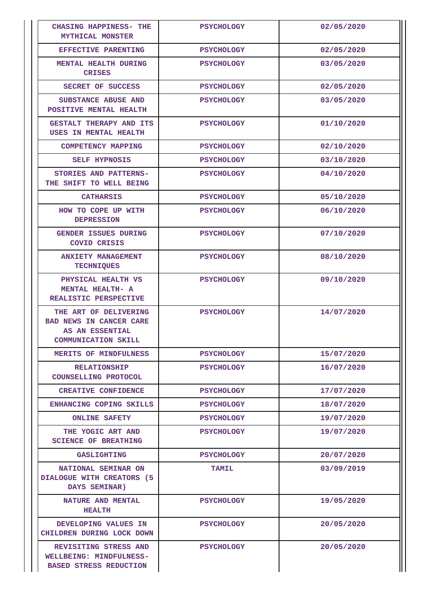| <b>CHASING HAPPINESS- THE</b><br><b>MYTHICAL MONSTER</b>                                                 | <b>PSYCHOLOGY</b> | 02/05/2020 |
|----------------------------------------------------------------------------------------------------------|-------------------|------------|
| EFFECTIVE PARENTING                                                                                      | <b>PSYCHOLOGY</b> | 02/05/2020 |
| MENTAL HEALTH DURING<br><b>CRISES</b>                                                                    | <b>PSYCHOLOGY</b> | 03/05/2020 |
| SECRET OF SUCCESS                                                                                        | <b>PSYCHOLOGY</b> | 02/05/2020 |
| SUBSTANCE ABUSE AND<br>POSITIVE MENTAL HEALTH                                                            | <b>PSYCHOLOGY</b> | 03/05/2020 |
| GESTALT THERAPY AND ITS<br>USES IN MENTAL HEALTH                                                         | <b>PSYCHOLOGY</b> | 01/10/2020 |
| <b>COMPETENCY MAPPING</b>                                                                                | <b>PSYCHOLOGY</b> | 02/10/2020 |
| <b>SELF HYPNOSIS</b>                                                                                     | <b>PSYCHOLOGY</b> | 03/10/2020 |
| STORIES AND PATTERNS-<br>THE SHIFT TO WELL BEING                                                         | <b>PSYCHOLOGY</b> | 04/10/2020 |
| <b>CATHARSIS</b>                                                                                         | <b>PSYCHOLOGY</b> | 05/10/2020 |
| HOW TO COPE UP WITH<br><b>DEPRESSION</b>                                                                 | <b>PSYCHOLOGY</b> | 06/10/2020 |
| GENDER ISSUES DURING<br><b>COVID CRISIS</b>                                                              | <b>PSYCHOLOGY</b> | 07/10/2020 |
| <b>ANXIETY MANAGEMENT</b><br><b>TECHNIQUES</b>                                                           | <b>PSYCHOLOGY</b> | 08/10/2020 |
| PHYSICAL HEALTH VS<br>MENTAL HEALTH- A<br>REALISTIC PERSPECTIVE                                          | <b>PSYCHOLOGY</b> | 09/10/2020 |
| THE ART OF DELIVERING<br><b>BAD NEWS IN CANCER CARE</b><br>AS AN ESSENTIAL<br><b>COMMUNICATION SKILL</b> | <b>PSYCHOLOGY</b> | 14/07/2020 |
| <b>MERITS OF MINDFULNESS</b>                                                                             | <b>PSYCHOLOGY</b> | 15/07/2020 |
| <b>RELATIONSHIP</b><br>COUNSELLING PROTOCOL                                                              | <b>PSYCHOLOGY</b> | 16/07/2020 |
| <b>CREATIVE CONFIDENCE</b>                                                                               | <b>PSYCHOLOGY</b> | 17/07/2020 |
| <b>ENHANCING COPING SKILLS</b>                                                                           | <b>PSYCHOLOGY</b> | 18/07/2020 |
| <b>ONLINE SAFETY</b>                                                                                     | <b>PSYCHOLOGY</b> | 19/07/2020 |
| THE YOGIC ART AND<br><b>SCIENCE OF BREATHING</b>                                                         | <b>PSYCHOLOGY</b> | 19/07/2020 |
| <b>GASLIGHTING</b>                                                                                       | <b>PSYCHOLOGY</b> | 20/07/2020 |
| NATIONAL SEMINAR ON<br>DIALOGUE WITH CREATORS (5<br>DAYS SEMINAR)                                        | <b>TAMIL</b>      | 03/09/2019 |
| NATURE AND MENTAL<br><b>HEALTH</b>                                                                       | <b>PSYCHOLOGY</b> | 19/05/2020 |
| DEVELOPING VALUES IN<br>CHILDREN DURING LOCK DOWN                                                        | <b>PSYCHOLOGY</b> | 20/05/2020 |
| REVISITING STRESS AND<br>WELLBEING: MINDFULNESS-<br><b>BASED STRESS REDUCTION</b>                        | <b>PSYCHOLOGY</b> | 20/05/2020 |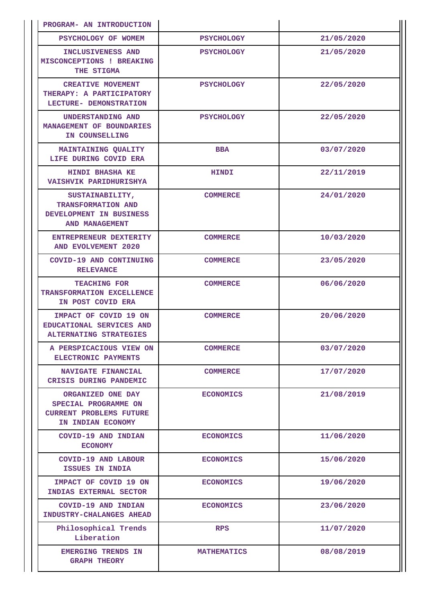| PROGRAM- AN INTRODUCTION                                                                         |                    |            |
|--------------------------------------------------------------------------------------------------|--------------------|------------|
| PSYCHOLOGY OF WOMEM                                                                              | <b>PSYCHOLOGY</b>  | 21/05/2020 |
| INCLUSIVENESS AND<br>MISCONCEPTIONS ! BREAKING<br>THE STIGMA                                     | <b>PSYCHOLOGY</b>  | 21/05/2020 |
| <b>CREATIVE MOVEMENT</b><br>THERAPY: A PARTICIPATORY<br>LECTURE- DEMONSTRATION                   | <b>PSYCHOLOGY</b>  | 22/05/2020 |
| UNDERSTANDING AND<br>MANAGEMENT OF BOUNDARIES<br>IN COUNSELLING                                  | <b>PSYCHOLOGY</b>  | 22/05/2020 |
| <b>MAINTAINING QUALITY</b><br>LIFE DURING COVID ERA                                              | <b>BBA</b>         | 03/07/2020 |
| <b>HINDI BHASHA KE</b><br>VAISHVIK PARIDHURISHYA                                                 | <b>HINDI</b>       | 22/11/2019 |
| SUSTAINABILITY,<br>TRANSFORMATION AND<br>DEVELOPMENT IN BUSINESS<br>AND MANAGEMENT               | <b>COMMERCE</b>    | 24/01/2020 |
| ENTREPRENEUR DEXTERITY<br>AND EVOLVEMENT 2020                                                    | <b>COMMERCE</b>    | 10/03/2020 |
| COVID-19 AND CONTINUING<br><b>RELEVANCE</b>                                                      | <b>COMMERCE</b>    | 23/05/2020 |
| <b>TEACHING FOR</b><br>TRANSFORMATION EXCELLENCE<br>IN POST COVID ERA                            | <b>COMMERCE</b>    | 06/06/2020 |
| IMPACT OF COVID 19 ON<br>EDUCATIONAL SERVICES AND<br>ALTERNATING STRATEGIES                      | <b>COMMERCE</b>    | 20/06/2020 |
| A PERSPICACIOUS VIEW ON<br>ELECTRONIC PAYMENTS                                                   | <b>COMMERCE</b>    | 03/07/2020 |
| NAVIGATE FINANCIAL<br>CRISIS DURING PANDEMIC                                                     | <b>COMMERCE</b>    | 17/07/2020 |
| ORGANIZED ONE DAY<br>SPECIAL PROGRAMME ON<br><b>CURRENT PROBLEMS FUTURE</b><br>IN INDIAN ECONOMY | <b>ECONOMICS</b>   | 21/08/2019 |
| COVID-19 AND INDIAN<br><b>ECONOMY</b>                                                            | <b>ECONOMICS</b>   | 11/06/2020 |
| COVID-19 AND LABOUR<br><b>ISSUES IN INDIA</b>                                                    | <b>ECONOMICS</b>   | 15/06/2020 |
| IMPACT OF COVID 19 ON<br>INDIAS EXTERNAL SECTOR                                                  | <b>ECONOMICS</b>   | 19/06/2020 |
| COVID-19 AND INDIAN<br>INDUSTRY-CHALANGES AHEAD                                                  | <b>ECONOMICS</b>   | 23/06/2020 |
| Philosophical Trends<br>Liberation                                                               | <b>RPS</b>         | 11/07/2020 |
| <b>EMERGING TRENDS IN</b><br><b>GRAPH THEORY</b>                                                 | <b>MATHEMATICS</b> | 08/08/2019 |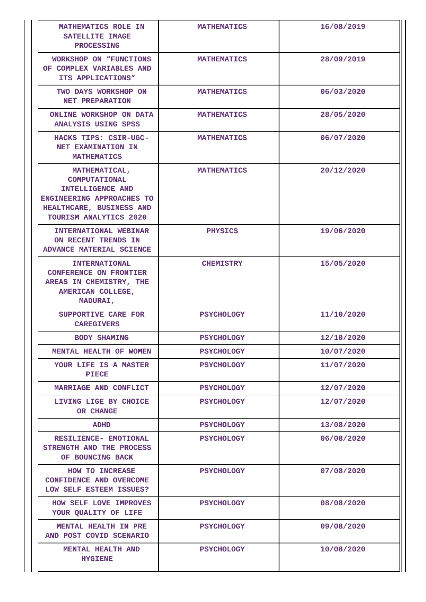| MATHEMATICS ROLE IN<br>SATELLITE IMAGE<br><b>PROCESSING</b>                                                                                                | <b>MATHEMATICS</b> | 16/08/2019 |
|------------------------------------------------------------------------------------------------------------------------------------------------------------|--------------------|------------|
| <b>WORKSHOP ON "FUNCTIONS</b><br>OF COMPLEX VARIABLES AND<br>ITS APPLICATIONS"                                                                             | <b>MATHEMATICS</b> | 28/09/2019 |
| TWO DAYS WORKSHOP ON<br>NET PREPARATION                                                                                                                    | <b>MATHEMATICS</b> | 06/03/2020 |
| ONLINE WORKSHOP ON DATA<br><b>ANALYSIS USING SPSS</b>                                                                                                      | <b>MATHEMATICS</b> | 28/05/2020 |
| HACKS TIPS: CSIR-UGC-<br>NET EXAMINATION IN<br><b>MATHEMATICS</b>                                                                                          | <b>MATHEMATICS</b> | 06/07/2020 |
| MATHEMATICAL,<br><b>COMPUTATIONAL</b><br>INTELLIGENCE AND<br><b>ENGINEERING APPROACHES TO</b><br>HEALTHCARE, BUSINESS AND<br><b>TOURISM ANALYTICS 2020</b> | <b>MATHEMATICS</b> | 20/12/2020 |
| INTERNATIONAL WEBINAR<br>ON RECENT TRENDS IN<br>ADVANCE MATERIAL SCIENCE                                                                                   | <b>PHYSICS</b>     | 19/06/2020 |
| <b>INTERNATIONAL</b><br><b>CONFERENCE ON FRONTIER</b><br>AREAS IN CHEMISTRY, THE<br>AMERICAN COLLEGE,<br><b>MADURAI,</b>                                   | <b>CHEMISTRY</b>   | 15/05/2020 |
| SUPPORTIVE CARE FOR<br><b>CAREGIVERS</b>                                                                                                                   | <b>PSYCHOLOGY</b>  | 11/10/2020 |
| <b>BODY SHAMING</b>                                                                                                                                        | <b>PSYCHOLOGY</b>  | 12/10/2020 |
| MENTAL HEALTH OF WOMEN                                                                                                                                     | <b>PSYCHOLOGY</b>  | 10/07/2020 |
| YOUR LIFE IS A MASTER<br><b>PIECE</b>                                                                                                                      | <b>PSYCHOLOGY</b>  | 11/07/2020 |
| MARRIAGE AND CONFLICT                                                                                                                                      | <b>PSYCHOLOGY</b>  | 12/07/2020 |
| LIVING LIGE BY CHOICE<br>OR CHANGE                                                                                                                         | <b>PSYCHOLOGY</b>  | 12/07/2020 |
| <b>ADHD</b>                                                                                                                                                | <b>PSYCHOLOGY</b>  | 13/08/2020 |
| RESILIENCE- EMOTIONAL<br>STRENGTH AND THE PROCESS<br>OF BOUNCING BACK                                                                                      | <b>PSYCHOLOGY</b>  | 06/08/2020 |
| HOW TO INCREASE<br>CONFIDENCE AND OVERCOME<br>LOW SELF ESTEEM ISSUES?                                                                                      | <b>PSYCHOLOGY</b>  | 07/08/2020 |
| HOW SELF LOVE IMPROVES<br>YOUR QUALITY OF LIFE                                                                                                             | <b>PSYCHOLOGY</b>  | 08/08/2020 |
| MENTAL HEALTH IN PRE<br>AND POST COVID SCENARIO                                                                                                            | <b>PSYCHOLOGY</b>  | 09/08/2020 |
| <b>MENTAL HEALTH AND</b><br><b>HYGIENE</b>                                                                                                                 | <b>PSYCHOLOGY</b>  | 10/08/2020 |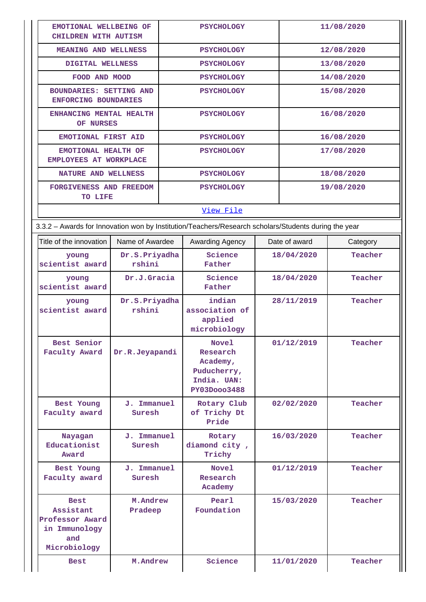| EMOTIONAL WELLBEING OF<br>CHILDREN WITH AUTISM                                                       |                         | <b>PSYCHOLOGY</b>                 |                                                                             |            | 11/08/2020    |            |  |
|------------------------------------------------------------------------------------------------------|-------------------------|-----------------------------------|-----------------------------------------------------------------------------|------------|---------------|------------|--|
| MEANING AND WELLNESS                                                                                 |                         |                                   | <b>PSYCHOLOGY</b>                                                           |            | 12/08/2020    |            |  |
| DIGITAL WELLNESS                                                                                     |                         |                                   | <b>PSYCHOLOGY</b>                                                           |            | 13/08/2020    |            |  |
| FOOD AND MOOD                                                                                        |                         |                                   | <b>PSYCHOLOGY</b>                                                           |            | 14/08/2020    |            |  |
| <b>BOUNDARIES: SETTING AND</b><br>ENFORCING BOUNDARIES                                               |                         |                                   | <b>PSYCHOLOGY</b>                                                           |            |               | 15/08/2020 |  |
| ENHANCING MENTAL HEALTH<br>OF NURSES                                                                 |                         | <b>PSYCHOLOGY</b>                 |                                                                             |            | 16/08/2020    |            |  |
| <b>EMOTIONAL FIRST AID</b>                                                                           |                         |                                   | <b>PSYCHOLOGY</b>                                                           |            | 16/08/2020    |            |  |
| EMOTIONAL HEALTH OF<br>EMPLOYEES AT WORKPLACE                                                        |                         |                                   | <b>PSYCHOLOGY</b>                                                           |            | 17/08/2020    |            |  |
| <b>NATURE AND WELLNESS</b>                                                                           |                         |                                   | <b>PSYCHOLOGY</b>                                                           |            |               | 18/08/2020 |  |
| FORGIVENESS AND FREEDOM<br>TO LIFE                                                                   |                         |                                   | <b>PSYCHOLOGY</b>                                                           |            |               | 19/08/2020 |  |
|                                                                                                      |                         |                                   | View File                                                                   |            |               |            |  |
| 3.3.2 - Awards for Innovation won by Institution/Teachers/Research scholars/Students during the year |                         |                                   |                                                                             |            |               |            |  |
| Title of the innovation                                                                              | Name of Awardee         |                                   | Awarding Agency                                                             |            | Date of award | Category   |  |
| young<br>scientist award                                                                             | Dr.S.Priyadha<br>rshini |                                   | Science<br>Father                                                           |            | 18/04/2020    | Teacher    |  |
| young<br>scientist award                                                                             | Dr.J.Gracia             |                                   | Science<br>Father                                                           | 18/04/2020 |               | Teacher    |  |
| young<br>scientist award                                                                             | Dr.S.Priyadha<br>rshini |                                   | indian<br>association of<br>applied<br>microbiology                         | 28/11/2019 |               | Teacher    |  |
| Best Senior<br>Faculty Award<br>Dr.R.Jeyapandi                                                       |                         |                                   | Novel<br>Research<br>Academy,<br>Puducherry,<br>India. UAN:<br>PY03Dooo3488 | 01/12/2019 |               | Teacher    |  |
| Best Young<br>Faculty award                                                                          | J. Immanuel<br>Suresh   |                                   | Rotary Club<br>of Trichy Dt<br>Pride                                        | 02/02/2020 |               | Teacher    |  |
| J. Immanuel<br>Nayagan<br>Educationist<br>Suresh<br>Award                                            |                         | Rotary<br>diamond city,<br>Trichy | 16/03/2020                                                                  |            | Teacher       |            |  |
| Best Young<br>Faculty award                                                                          | J. Immanuel<br>Suresh   |                                   | <b>Novel</b><br>Research<br>Academy                                         | 01/12/2019 |               | Teacher    |  |
| <b>Best</b><br>Assistant<br>Professor Award<br>in Immunology<br>and<br>Microbiology                  | M.Andrew<br>Pradeep     |                                   | Pearl<br>Foundation                                                         |            | 15/03/2020    | Teacher    |  |
| M.Andrew<br><b>Best</b>                                                                              |                         |                                   | Science                                                                     |            | 11/01/2020    | Teacher    |  |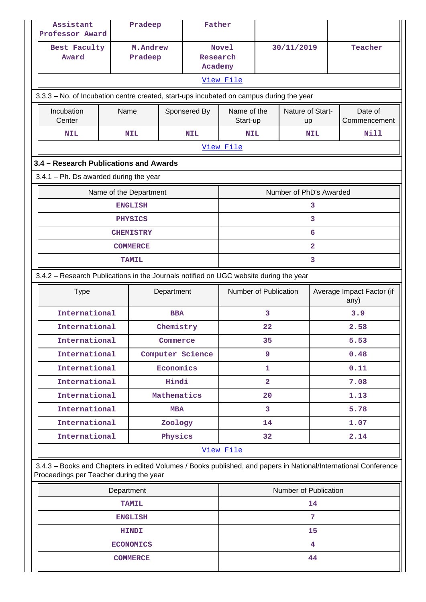| Assistant<br>Professor Award                                                                                                                                            | Pradeep                             |             | Father                        |                                                                                       |            |                           |                    |                         |  |  |
|-------------------------------------------------------------------------------------------------------------------------------------------------------------------------|-------------------------------------|-------------|-------------------------------|---------------------------------------------------------------------------------------|------------|---------------------------|--------------------|-------------------------|--|--|
| Best Faculty<br>Award                                                                                                                                                   | M.Andrew<br>Pradeep                 |             | Research<br>Academy           | <b>Novel</b>                                                                          |            | 30/11/2019                | Teacher            |                         |  |  |
| View File                                                                                                                                                               |                                     |             |                               |                                                                                       |            |                           |                    |                         |  |  |
| 3.3.3 - No. of Incubation centre created, start-ups incubated on campus during the year                                                                                 |                                     |             |                               |                                                                                       |            |                           |                    |                         |  |  |
| Incubation<br>Center                                                                                                                                                    | Name<br>Sponsered By                |             |                               | Name of the<br>Start-up                                                               |            | Nature of Start-<br>up    |                    | Date of<br>Commencement |  |  |
| <b>NIL</b>                                                                                                                                                              | <b>NIL</b>                          |             | <b>NIL</b>                    |                                                                                       | <b>NIL</b> |                           | Nill<br><b>NIL</b> |                         |  |  |
|                                                                                                                                                                         | View File                           |             |                               |                                                                                       |            |                           |                    |                         |  |  |
| 3.4 - Research Publications and Awards                                                                                                                                  |                                     |             |                               |                                                                                       |            |                           |                    |                         |  |  |
| $3.4.1$ – Ph. Ds awarded during the year                                                                                                                                |                                     |             |                               |                                                                                       |            |                           |                    |                         |  |  |
|                                                                                                                                                                         | Name of the Department              |             |                               |                                                                                       |            | Number of PhD's Awarded   |                    |                         |  |  |
|                                                                                                                                                                         | <b>ENGLISH</b>                      |             |                               |                                                                                       |            | 3                         |                    |                         |  |  |
|                                                                                                                                                                         | <b>PHYSICS</b>                      |             |                               |                                                                                       |            | 3                         |                    |                         |  |  |
|                                                                                                                                                                         | <b>CHEMISTRY</b>                    |             |                               |                                                                                       |            | 6                         |                    |                         |  |  |
|                                                                                                                                                                         | <b>COMMERCE</b>                     |             |                               |                                                                                       |            | $\overline{a}$            |                    |                         |  |  |
|                                                                                                                                                                         | <b>TAMIL</b>                        |             | 3                             |                                                                                       |            |                           |                    |                         |  |  |
|                                                                                                                                                                         |                                     |             |                               | 3.4.2 - Research Publications in the Journals notified on UGC website during the year |            |                           |                    |                         |  |  |
| Department<br><b>Type</b>                                                                                                                                               |                                     |             | Number of Publication<br>any) |                                                                                       |            | Average Impact Factor (if |                    |                         |  |  |
| International<br><b>BBA</b>                                                                                                                                             |                                     |             | 3                             |                                                                                       |            | 3.9                       |                    |                         |  |  |
| International<br>Chemistry                                                                                                                                              |                                     |             | 22                            |                                                                                       |            | 2.58                      |                    |                         |  |  |
|                                                                                                                                                                         | International<br>Commerce           |             |                               | 35                                                                                    |            |                           | 5.53               |                         |  |  |
| International                                                                                                                                                           |                                     |             | Computer Science              |                                                                                       | 9          |                           |                    | 0.48                    |  |  |
| International                                                                                                                                                           |                                     | Economics   |                               | 1                                                                                     |            |                           |                    | 0.11                    |  |  |
| International                                                                                                                                                           |                                     | Hindi       |                               | $\overline{\mathbf{2}}$                                                               |            |                           |                    | 7.08                    |  |  |
| International                                                                                                                                                           |                                     | Mathematics |                               | 20                                                                                    |            |                           | 1.13               |                         |  |  |
|                                                                                                                                                                         | International<br><b>MBA</b>         |             | 3                             |                                                                                       |            | 5.78                      |                    |                         |  |  |
| International                                                                                                                                                           |                                     | Zoology     |                               |                                                                                       | 14         |                           |                    | 1.07                    |  |  |
| International                                                                                                                                                           |                                     | Physics     |                               | 2.14<br>32                                                                            |            |                           |                    |                         |  |  |
| View File<br>3.4.3 - Books and Chapters in edited Volumes / Books published, and papers in National/International Conference<br>Proceedings per Teacher during the year |                                     |             |                               |                                                                                       |            |                           |                    |                         |  |  |
|                                                                                                                                                                         | Number of Publication<br>Department |             |                               |                                                                                       |            |                           |                    |                         |  |  |
|                                                                                                                                                                         | <b>TAMIL</b>                        |             |                               | 14                                                                                    |            |                           |                    |                         |  |  |
| <b>ENGLISH</b>                                                                                                                                                          |                                     |             |                               | 7                                                                                     |            |                           |                    |                         |  |  |
| <b>HINDI</b>                                                                                                                                                            |                                     |             |                               | 15                                                                                    |            |                           |                    |                         |  |  |
|                                                                                                                                                                         | 4                                   |             |                               |                                                                                       |            |                           |                    |                         |  |  |
| <b>COMMERCE</b>                                                                                                                                                         |                                     |             |                               | 44                                                                                    |            |                           |                    |                         |  |  |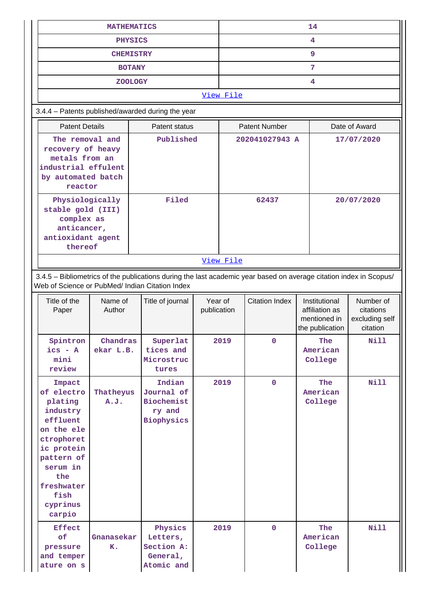| <b>MATHEMATICS</b>                                                                                                          |                                                                                                                                                                                |                       |                                                                                                                    |       | 14                                    |                       |                                                                    |                                                      |  |  |  |
|-----------------------------------------------------------------------------------------------------------------------------|--------------------------------------------------------------------------------------------------------------------------------------------------------------------------------|-----------------------|--------------------------------------------------------------------------------------------------------------------|-------|---------------------------------------|-----------------------|--------------------------------------------------------------------|------------------------------------------------------|--|--|--|
| <b>PHYSICS</b>                                                                                                              |                                                                                                                                                                                |                       |                                                                                                                    |       | 4                                     |                       |                                                                    |                                                      |  |  |  |
| <b>CHEMISTRY</b>                                                                                                            |                                                                                                                                                                                |                       |                                                                                                                    |       | 9                                     |                       |                                                                    |                                                      |  |  |  |
| <b>BOTANY</b>                                                                                                               |                                                                                                                                                                                |                       |                                                                                                                    |       | 7                                     |                       |                                                                    |                                                      |  |  |  |
|                                                                                                                             |                                                                                                                                                                                | <b>ZOOLOGY</b>        |                                                                                                                    |       |                                       |                       | 4                                                                  |                                                      |  |  |  |
|                                                                                                                             | View File                                                                                                                                                                      |                       |                                                                                                                    |       |                                       |                       |                                                                    |                                                      |  |  |  |
|                                                                                                                             | 3.4.4 - Patents published/awarded during the year                                                                                                                              |                       |                                                                                                                    |       |                                       |                       |                                                                    |                                                      |  |  |  |
|                                                                                                                             | <b>Patent Details</b>                                                                                                                                                          |                       | Patent status                                                                                                      |       | <b>Patent Number</b><br>Date of Award |                       |                                                                    |                                                      |  |  |  |
| The removal and<br>Published<br>recovery of heavy<br>metals from an<br>industrial effulent<br>by automated batch<br>reactor |                                                                                                                                                                                |                       | 202041027943 A<br>17/07/2020                                                                                       |       |                                       |                       |                                                                    |                                                      |  |  |  |
|                                                                                                                             | Filed<br>Physiologically<br>stable gold (III)<br>complex as<br>anticancer,<br>antioxidant agent<br>thereof                                                                     |                       |                                                                                                                    | 62437 |                                       |                       | 20/07/2020                                                         |                                                      |  |  |  |
|                                                                                                                             |                                                                                                                                                                                |                       |                                                                                                                    |       | View File                             |                       |                                                                    |                                                      |  |  |  |
|                                                                                                                             | Web of Science or PubMed/ Indian Citation Index                                                                                                                                |                       | 3.4.5 - Bibliometrics of the publications during the last academic year based on average citation index in Scopus/ |       |                                       |                       |                                                                    |                                                      |  |  |  |
|                                                                                                                             | Title of the<br>Paper                                                                                                                                                          | Name of<br>Author     | Year of<br>Title of journal<br>publication                                                                         |       |                                       | <b>Citation Index</b> | Institutional<br>affiliation as<br>mentioned in<br>the publication | Number of<br>citations<br>excluding self<br>citation |  |  |  |
|                                                                                                                             | Spintron<br>$ics - A$<br>mini<br>review                                                                                                                                        | Chandras<br>ekar L.B. | Superlat<br>tices and<br>Microstruc<br>tures                                                                       | 2019  |                                       | 0                     | The<br>American<br>College                                         | Nill                                                 |  |  |  |
|                                                                                                                             | Impact<br>of electro<br>plating<br>industry<br>effluent<br>on the ele<br>ctrophoret<br>ic protein<br>pattern of<br>serum in<br>the<br>freshwater<br>fish<br>cyprinus<br>carpio | Thatheyus<br>A. J.    | Indian<br>Journal of<br>Biochemist<br>ry and<br>Biophysics                                                         |       | 2019                                  | $\mathbf 0$           | The<br>American<br>College                                         | <b>Nill</b>                                          |  |  |  |
|                                                                                                                             | <b>Effect</b><br>of<br>pressure<br>and temper<br>ature on s                                                                                                                    | Gnanasekar<br>K.      | Physics<br>Letters,<br>Section A:<br>General,<br>Atomic and                                                        |       | 2019                                  | $\mathbf 0$           | The<br>American<br>College                                         | <b>Nill</b>                                          |  |  |  |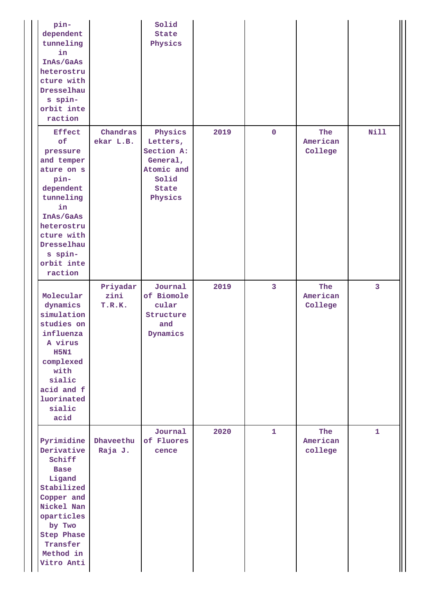| pin-<br>dependent<br>tunneling<br>in<br>InAs/GaAs<br>heterostru<br>cture with<br>Dresselhau<br>s spin-<br>orbit inte<br>raction                                                                |                            | Solid<br><b>State</b><br>Physics                                                                |      |                |                            |              |
|------------------------------------------------------------------------------------------------------------------------------------------------------------------------------------------------|----------------------------|-------------------------------------------------------------------------------------------------|------|----------------|----------------------------|--------------|
| <b>Effect</b><br>of<br>pressure<br>and temper<br>ature on s<br>pin-<br>dependent<br>tunneling<br>in<br>InAs/GaAs<br>heterostru<br>cture with<br>Dresselhau<br>s spin-<br>orbit inte<br>raction | Chandras<br>ekar L.B.      | Physics<br>Letters,<br>Section A:<br>General,<br>Atomic and<br>Solid<br><b>State</b><br>Physics | 2019 | $\mathbf 0$    | The<br>American<br>College | <b>Nill</b>  |
| Molecular<br>dynamics<br>simulation<br>studies on<br>influenza<br>A virus<br><b>H5N1</b><br>complexed<br>with<br>sialic<br>acid and f<br>luorinated<br>sialic<br>acid                          | Priyadar<br>zini<br>T.R.K. | Journal<br>of Biomole<br>cular<br>Structure<br>and<br>Dynamics                                  | 2019 | $\overline{3}$ | The<br>American<br>College | 3            |
| Pyrimidine<br>Derivative<br>Schiff<br><b>Base</b><br>Ligand<br>Stabilized<br>Copper and<br>Nickel Nan<br>oparticles<br>by Two<br><b>Step Phase</b><br>Transfer<br>Method in<br>Vitro Anti      | Dhaveethu<br>Raja J.       | Journal<br>of Fluores<br>cence                                                                  | 2020 | $\mathbf{1}$   | The<br>American<br>college | $\mathbf{1}$ |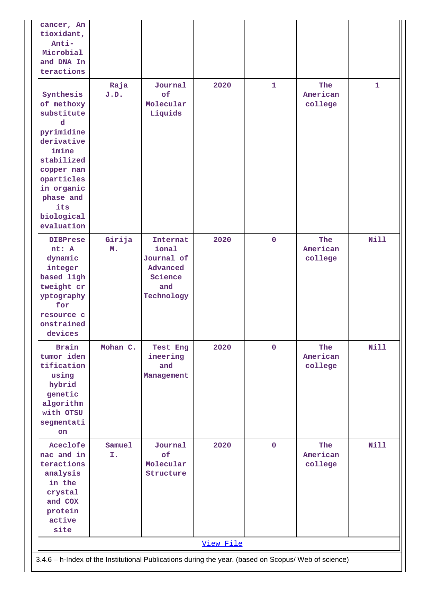| cancer, An<br>tioxidant,<br>Anti-<br>Microbial<br>and DNA In<br>teractions                                                                                                              |                                                                                                      |                                                                             |      |              |                            |              |  |  |  |
|-----------------------------------------------------------------------------------------------------------------------------------------------------------------------------------------|------------------------------------------------------------------------------------------------------|-----------------------------------------------------------------------------|------|--------------|----------------------------|--------------|--|--|--|
| Synthesis<br>of methoxy<br>substitute<br>d<br>pyrimidine<br>derivative<br>imine<br>stabilized<br>copper nan<br>oparticles<br>in organic<br>phase and<br>its<br>biological<br>evaluation | Raja<br>J.D.                                                                                         | Journal<br>of<br>Molecular<br>Liquids                                       | 2020 | $\mathbf{1}$ | The<br>American<br>college | $\mathbf{1}$ |  |  |  |
| <b>DIBPrese</b><br>nt: A<br>dynamic<br>integer<br>based ligh<br>tweight cr<br>yptography<br>for<br>resource c<br>onstrained<br>devices                                                  | Girija<br>M.                                                                                         | Internat<br>ional<br>Journal of<br>Advanced<br>Science<br>and<br>Technology | 2020 | $\mathbf 0$  | The<br>American<br>college | <b>Nill</b>  |  |  |  |
| <b>Brain</b><br>tumor iden<br>tification<br>using<br>hybrid<br>genetic<br>algorithm<br>with OTSU<br>segmentati<br>on                                                                    | Mohan C.                                                                                             | Test Eng<br>ineering<br>and<br>Management                                   | 2020 | $\mathbf 0$  | The<br>American<br>college | <b>Nill</b>  |  |  |  |
| Aceclofe<br>nac and in<br>teractions<br>analysis<br>in the<br>crystal<br>and COX<br>protein<br>active<br>site                                                                           | Samuel<br>I.                                                                                         | Journal<br>of<br>Molecular<br>Structure                                     | 2020 | $\mathbf 0$  | The<br>American<br>college | <b>Nill</b>  |  |  |  |
|                                                                                                                                                                                         | View File                                                                                            |                                                                             |      |              |                            |              |  |  |  |
|                                                                                                                                                                                         | 3.4.6 - h-Index of the Institutional Publications during the year. (based on Scopus/ Web of science) |                                                                             |      |              |                            |              |  |  |  |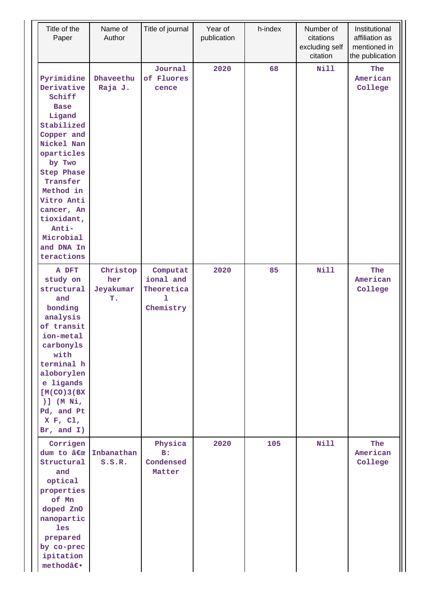| Title of the<br>Paper                                                                                                                                                                                                                                                   | Name of<br>Author                  | Title of journal                                       | Year of<br>publication | h-index | Number of<br>citations<br>excluding self<br>citation | Institutional<br>affiliation as<br>mentioned in<br>the publication |
|-------------------------------------------------------------------------------------------------------------------------------------------------------------------------------------------------------------------------------------------------------------------------|------------------------------------|--------------------------------------------------------|------------------------|---------|------------------------------------------------------|--------------------------------------------------------------------|
| Pyrimidine<br>Derivative<br>Schiff<br><b>Base</b><br>Ligand<br>Stabilized<br>Copper and<br>Nickel Nan<br>oparticles<br>by Two<br><b>Step Phase</b><br>Transfer<br>Method in<br>Vitro Anti<br>cancer, An<br>tioxidant,<br>Anti-<br>Microbial<br>and DNA In<br>teractions | Dhaveethu<br>Raja J.               | Journal<br>of Fluores<br>cence                         | 2020                   | 68      | <b>Nill</b>                                          | The<br>American<br>College                                         |
| A DFT<br>study on<br>structural<br>and<br>bonding<br>analysis<br>of transit<br>ion-metal<br>carbonyls<br>with<br>terminal h<br>aloborylen<br>e ligands<br>[M(CO)3(BX)]<br>$)$ ] (M Ni,<br>Pd, and Pt<br>X F, C1,<br>Br, and $I$ )                                       | Christop<br>her<br>Jeyakumar<br>T. | Computat<br>ional and<br>Theoretica<br>ı.<br>Chemistry | 2020                   | 85      | <b>Nill</b>                                          | The<br>American<br>College                                         |
| Corrigen<br>dum to "<br>Structural<br>and<br>optical<br>properties<br>of Mn<br>doped ZnO<br>nanopartic<br>les<br>prepared<br>by co-prec<br>ipitation<br>method―                                                                                                         | Inbanathan<br>S.S.R.               | Physica<br>B:<br>Condensed<br>Matter                   | 2020                   | 105     | Nill                                                 | The<br>American<br>College                                         |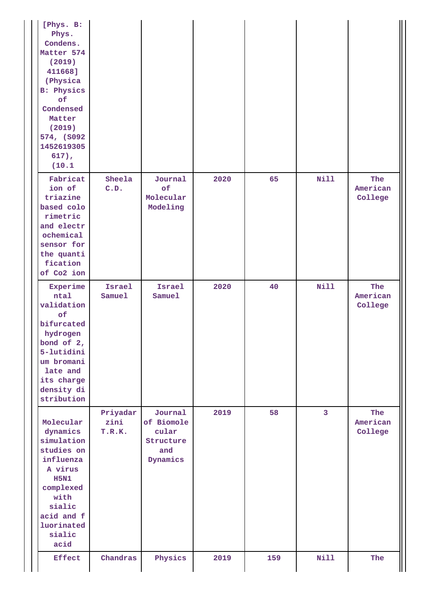| [Phys. B:<br>Phys.<br>Condens.<br>Matter 574<br>(2019)<br>411668]<br>(Physica)<br><b>B: Physics</b><br>of<br>Condensed<br>Matter<br>(2019)<br>574, (S092<br>1452619305<br>$617)$ ,<br>(10.1) |                            |                                                                |      |     |                |                            |
|----------------------------------------------------------------------------------------------------------------------------------------------------------------------------------------------|----------------------------|----------------------------------------------------------------|------|-----|----------------|----------------------------|
| Fabricat<br>ion of<br>triazine<br>based colo<br>rimetric<br>and electr<br>ochemical<br>sensor for<br>the quanti<br>fication<br>of Co2 ion                                                    | Sheela<br>C.D.             | Journal<br>of<br>Molecular<br>Modeling                         | 2020 | 65  | <b>Nill</b>    | The<br>American<br>College |
| Experime<br>ntal<br>validation<br>of<br>bifurcated<br>hydrogen<br>bond of 2,<br>5-lutidini<br>um bromani<br>late and<br>its charge<br>density di<br>stribution                               | Israel<br>Samuel           | Israel<br>Samuel                                               | 2020 | 40  | Nill           | The<br>American<br>College |
| Molecular<br>dynamics<br>simulation<br>studies on<br>influenza<br>A virus<br><b>H5N1</b><br>complexed<br>with<br>sialic<br>acid and f<br>luorinated<br>sialic<br>acid                        | Priyadar<br>zini<br>T.R.K. | Journal<br>of Biomole<br>cular<br>Structure<br>and<br>Dynamics | 2019 | 58  | $\overline{3}$ | The<br>American<br>College |
| <b>Effect</b>                                                                                                                                                                                | Chandras                   | Physics                                                        | 2019 | 159 | <b>Nill</b>    | The                        |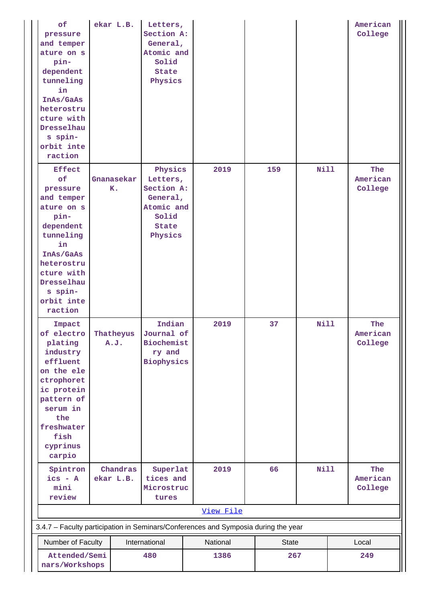| of<br>pressure<br>and temper<br>ature on s<br>pin-<br>dependent<br>tunneling<br>in<br>InAs/GaAs<br>heterostru<br>cture with<br>Dresselhau<br>s spin-<br>orbit inte<br>raction                  |  | ekar L.B.             | Letters,<br>Section A:<br>General,<br>Atomic and<br>Solid<br>State<br>Physics            |           |              |             | American<br>College        |
|------------------------------------------------------------------------------------------------------------------------------------------------------------------------------------------------|--|-----------------------|------------------------------------------------------------------------------------------|-----------|--------------|-------------|----------------------------|
| <b>Effect</b><br>of<br>pressure<br>and temper<br>ature on s<br>pin-<br>dependent<br>tunneling<br>in<br>InAs/GaAs<br>heterostru<br>cture with<br>Dresselhau<br>s spin-<br>orbit inte<br>raction |  | Gnanasekar<br>K.      | Physics<br>Letters,<br>Section A:<br>General,<br>Atomic and<br>Solid<br>State<br>Physics | 2019      | 159          | <b>Nill</b> | The<br>American<br>College |
| Impact<br>of electro<br>plating<br>industry<br>effluent<br>on the ele<br>ctrophoret<br>ic protein<br>pattern of<br>serum in<br>the<br>freshwater<br>fish<br>cyprinus<br>carpio                 |  | Thatheyus<br>A.J.     | Indian<br>Journal of<br><b>Biochemist</b><br>ry and<br>Biophysics                        | 2019      | 37           | <b>Nill</b> | The<br>American<br>College |
| Spintron<br>$ics - A$<br>mini                                                                                                                                                                  |  | Chandras<br>ekar L.B. | Superlat<br>tices and<br>Microstruc                                                      | 2019      | 66           | Nill        | The<br>American<br>College |
| review                                                                                                                                                                                         |  |                       | tures                                                                                    | View File |              |             |                            |
| 3.4.7 - Faculty participation in Seminars/Conferences and Symposia during the year                                                                                                             |  |                       |                                                                                          |           |              |             |                            |
| Number of Faculty                                                                                                                                                                              |  |                       | International                                                                            | National  | <b>State</b> |             | Local                      |
| Attended/Semi<br>nars/Workshops                                                                                                                                                                |  | 480                   | 1386                                                                                     | 267       |              | 249         |                            |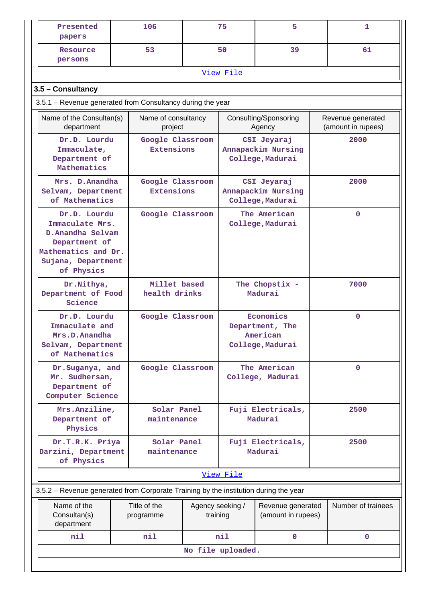| Presented<br>papers                                                                                                             |                                                            | 106                                   |  | 75                                                           | 5                                                     |                                         | 1            |  |  |
|---------------------------------------------------------------------------------------------------------------------------------|------------------------------------------------------------|---------------------------------------|--|--------------------------------------------------------------|-------------------------------------------------------|-----------------------------------------|--------------|--|--|
| Resource<br>persons                                                                                                             |                                                            | 53                                    |  | 50                                                           | 39                                                    |                                         | 61           |  |  |
|                                                                                                                                 |                                                            |                                       |  | View File                                                    |                                                       |                                         |              |  |  |
| 3.5 - Consultancy                                                                                                               |                                                            |                                       |  |                                                              |                                                       |                                         |              |  |  |
|                                                                                                                                 | 3.5.1 – Revenue generated from Consultancy during the year |                                       |  |                                                              |                                                       |                                         |              |  |  |
| Name of the Consultan(s)<br>department                                                                                          |                                                            | Name of consultancy<br>project        |  | Consulting/Sponsoring<br>Agency                              |                                                       | Revenue generated<br>(amount in rupees) |              |  |  |
| Dr.D. Lourdu<br>Immaculate,<br>Department of<br>Mathematics                                                                     |                                                            | Google Classroom<br><b>Extensions</b> |  | CSI Jeyaraj<br>Annapackim Nursing<br>College, Madurai        |                                                       |                                         | 2000         |  |  |
| Mrs. D. Anandha<br>Selvam, Department<br>of Mathematics                                                                         |                                                            | Google Classroom<br><b>Extensions</b> |  |                                                              | CSI Jeyaraj<br>Annapackim Nursing<br>College, Madurai |                                         | 2000         |  |  |
| Dr.D. Lourdu<br>Immaculate Mrs.<br>D.Anandha Selvam<br>Department of<br>Mathematics and Dr.<br>Sujana, Department<br>of Physics |                                                            | Google Classroom                      |  | The American<br>College, Madurai                             |                                                       | $\mathbf 0$                             |              |  |  |
| Dr. Nithya,<br>Department of Food<br>Science                                                                                    |                                                            | Millet based<br>health drinks         |  | The Chopstix -<br>Madurai                                    |                                                       | 7000                                    |              |  |  |
| Dr.D. Lourdu<br>Immaculate and<br>Mrs.D.Anandha<br>Selvam, Department<br>of Mathematics                                         |                                                            | Google Classroom                      |  | Economics<br>Department, The<br>American<br>College, Madurai |                                                       |                                         | $\mathbf 0$  |  |  |
| Dr.Suganya, and<br>Mr. Sudhersan,<br>Department of<br>Computer Science                                                          |                                                            | Google Classroom                      |  |                                                              | The American<br>College, Madurai                      |                                         | $\mathbf 0$  |  |  |
| Mrs.Anziline,<br>Department of<br>Physics                                                                                       |                                                            | Solar Panel<br>maintenance            |  |                                                              | Fuji Electricals,<br>Madurai                          |                                         | 2500         |  |  |
| Dr.T.R.K. Priya<br>Darzini, Department<br>of Physics                                                                            |                                                            | Solar Panel<br>maintenance            |  |                                                              | Fuji Electricals,<br>Madurai                          |                                         | 2500         |  |  |
|                                                                                                                                 |                                                            |                                       |  | View File                                                    |                                                       |                                         |              |  |  |
| 3.5.2 - Revenue generated from Corporate Training by the institution during the year                                            |                                                            |                                       |  |                                                              |                                                       |                                         |              |  |  |
| Name of the<br>Consultan(s)<br>department                                                                                       | Title of the<br>programme                                  |                                       |  | Agency seeking /<br>training                                 | Revenue generated<br>(amount in rupees)               | Number of trainees                      |              |  |  |
| nil                                                                                                                             |                                                            | nil                                   |  | nil                                                          | 0                                                     |                                         | $\mathbf{0}$ |  |  |
|                                                                                                                                 |                                                            |                                       |  | No file uploaded.                                            |                                                       |                                         |              |  |  |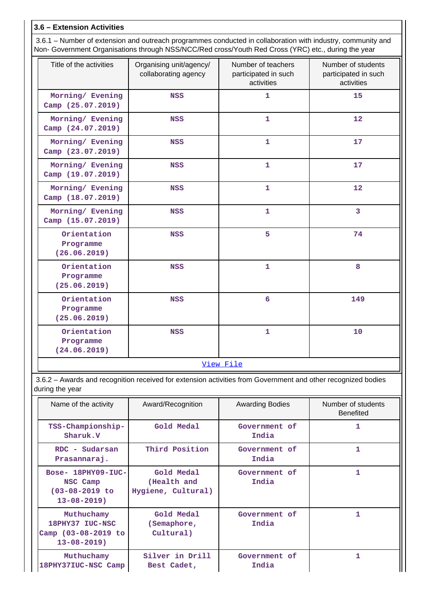# **3.6 – Extension Activities**

| 3.6.1 – Number of extension and outreach programmes conducted in collaboration with industry, community and |
|-------------------------------------------------------------------------------------------------------------|
| Non- Government Organisations through NSS/NCC/Red cross/Youth Red Cross (YRC) etc., during the year         |

| Title of the activities                  | Organising unit/agency/<br>collaborating agency | Number of teachers<br>participated in such<br>activities | Number of students<br>participated in such<br>activities |  |  |  |
|------------------------------------------|-------------------------------------------------|----------------------------------------------------------|----------------------------------------------------------|--|--|--|
| Morning/ Evening<br>Camp (25.07.2019)    | <b>NSS</b>                                      | $\mathbf{1}$                                             | 15                                                       |  |  |  |
| Morning/ Evening<br>Camp (24.07.2019)    | <b>NSS</b>                                      | $\mathbf{1}$                                             | 12                                                       |  |  |  |
| Morning/ Evening<br>Camp (23.07.2019)    | <b>NSS</b>                                      | $\mathbf{1}$                                             | 17                                                       |  |  |  |
| Morning/ Evening<br>Camp (19.07.2019)    | <b>NSS</b>                                      | $\mathbf{1}$                                             | 17                                                       |  |  |  |
| Morning/ Evening<br>Camp (18.07.2019)    | <b>NSS</b>                                      | $\mathbf{1}$                                             | 12                                                       |  |  |  |
| Morning/ Evening<br>Camp (15.07.2019)    | <b>NSS</b>                                      | $\mathbf{1}$                                             | 3                                                        |  |  |  |
| Orientation<br>Programme<br>(26.06.2019) | <b>NSS</b>                                      | 5                                                        | 74                                                       |  |  |  |
| Orientation<br>Programme<br>(25.06.2019) | <b>NSS</b>                                      | $\mathbf{1}$                                             | 8                                                        |  |  |  |
| Orientation<br>Programme<br>(25.06.2019) | <b>NSS</b>                                      | $6\overline{6}$                                          | 149                                                      |  |  |  |
| Orientation<br>Programme<br>(24.06.2019) | <b>NSS</b>                                      | $\mathbf{1}$                                             | 10                                                       |  |  |  |
| View File                                |                                                 |                                                          |                                                          |  |  |  |

 3.6.2 – Awards and recognition received for extension activities from Government and other recognized bodies during the year

| Name of the activity                                                        | Award/Recognition                               | <b>Awarding Bodies</b> | Number of students<br><b>Benefited</b> |
|-----------------------------------------------------------------------------|-------------------------------------------------|------------------------|----------------------------------------|
| TSS-Championship-<br>Sharuk.V                                               | Gold Medal                                      | Government of<br>India | 1                                      |
| RDC - Sudarsan<br>Prasannaraj.                                              | Third Position                                  | Government of<br>India | 1                                      |
| Bose- 18PHY09-IUC-<br>NSC Camp<br>$(03 - 08 - 2019)$ to<br>$13 - 08 - 2019$ | Gold Medal<br>(Health and<br>Hygiene, Cultural) | Government of<br>India | 1                                      |
| Muthuchamy<br>18PHY37 IUC-NSC<br>Camp (03-08-2019 to<br>$13 - 08 - 2019$    | Gold Medal<br>(Semaphore,<br>Cultural)          | Government of<br>India | 1.                                     |
| Muthuchamy<br>18PHY37IUC-NSC Camp                                           | Silver in Drill<br>Best Cadet,                  | Government of<br>India | 1                                      |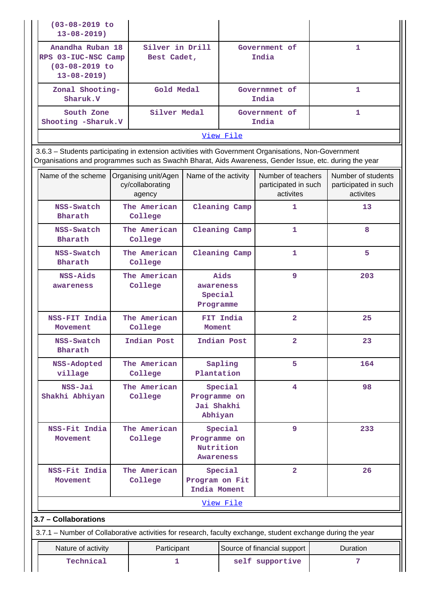|  | $(03 - 08 - 2019)$ to<br>$13 - 08 - 2019$                                                                                                                                                                      |                                                                                                    |                                                    |                                        |                        |                                                         |              |                                                         |
|--|----------------------------------------------------------------------------------------------------------------------------------------------------------------------------------------------------------------|----------------------------------------------------------------------------------------------------|----------------------------------------------------|----------------------------------------|------------------------|---------------------------------------------------------|--------------|---------------------------------------------------------|
|  | $13 - 08 - 2019$ )                                                                                                                                                                                             | Silver in Drill<br>Anandha Ruban 18<br>RPS 03-IUC-NSC Camp<br>Best Cadet,<br>$(03 - 08 - 2019)$ to |                                                    |                                        |                        | Government of<br>India                                  |              | 1                                                       |
|  | Zonal Shooting-<br>Sharuk.V                                                                                                                                                                                    |                                                                                                    | Gold Medal                                         |                                        | Governmnet of<br>India |                                                         | 1            |                                                         |
|  | Silver Medal<br>South Zone<br>Shooting -Sharuk.V                                                                                                                                                               |                                                                                                    |                                                    |                                        | Government of<br>India |                                                         | $\mathbf{1}$ |                                                         |
|  |                                                                                                                                                                                                                |                                                                                                    |                                                    |                                        | View File              |                                                         |              |                                                         |
|  | 3.6.3 - Students participating in extension activities with Government Organisations, Non-Government<br>Organisations and programmes such as Swachh Bharat, Aids Awareness, Gender Issue, etc. during the year |                                                                                                    |                                                    |                                        |                        |                                                         |              |                                                         |
|  | Name of the scheme                                                                                                                                                                                             |                                                                                                    | Organising unit/Agen<br>cy/collaborating<br>agency | Name of the activity                   |                        | Number of teachers<br>participated in such<br>activites |              | Number of students<br>participated in such<br>activites |
|  | NSS-Swatch<br>Bharath                                                                                                                                                                                          |                                                                                                    | The American<br>College                            |                                        | Cleaning Camp          | 1                                                       |              | 13                                                      |
|  | NSS-Swatch<br>Bharath                                                                                                                                                                                          |                                                                                                    | The American<br>College                            |                                        | Cleaning Camp          | 1                                                       |              | 8                                                       |
|  | NSS-Swatch<br>Bharath                                                                                                                                                                                          |                                                                                                    | The American<br>College                            |                                        | Cleaning Camp          | 1                                                       |              | 5                                                       |
|  | NSS-Aids<br>awareness                                                                                                                                                                                          |                                                                                                    | The American<br>College                            | awareness<br>Special<br>Programme      | Aids<br>9              |                                                         |              | 203                                                     |
|  | NSS-FIT India<br>Movement                                                                                                                                                                                      |                                                                                                    | The American<br>College                            | FIT India<br>Moment                    |                        | $\overline{a}$                                          |              | 25                                                      |
|  | NSS-Swatch<br>Bharath                                                                                                                                                                                          |                                                                                                    | Indian Post                                        | Indian Post                            |                        | $\overline{a}$                                          |              | 23                                                      |
|  | NSS-Adopted<br>village                                                                                                                                                                                         |                                                                                                    | The American<br>College                            | Plantation                             | Sapling                | 5                                                       |              | 164                                                     |
|  | NSS-Jai<br>Shakhi Abhiyan                                                                                                                                                                                      |                                                                                                    | The American<br>College                            | Programme on<br>Jai Shakhi<br>Abhiyan  | Special                | 4                                                       |              | 98                                                      |
|  | NSS-Fit India<br>Movement                                                                                                                                                                                      |                                                                                                    | The American<br>College                            | Programme on<br>Nutrition<br>Awareness | Special                | 9                                                       |              | 233                                                     |
|  | NSS-Fit India<br>Movement                                                                                                                                                                                      |                                                                                                    | The American<br>College                            | Program on Fit<br>India Moment         | Special                | $\overline{2}$                                          |              | 26                                                      |
|  |                                                                                                                                                                                                                |                                                                                                    |                                                    |                                        | View File              |                                                         |              |                                                         |
|  | 3.7 - Collaborations                                                                                                                                                                                           |                                                                                                    |                                                    |                                        |                        |                                                         |              |                                                         |
|  | 3.7.1 – Number of Collaborative activities for research, faculty exchange, student exchange during the year                                                                                                    |                                                                                                    |                                                    |                                        |                        |                                                         |              |                                                         |
|  | Nature of activity<br>Technical                                                                                                                                                                                |                                                                                                    | Participant<br>1                                   |                                        |                        | Source of financial support<br>self supportive          |              | Duration<br>7                                           |
|  |                                                                                                                                                                                                                |                                                                                                    |                                                    |                                        |                        |                                                         |              |                                                         |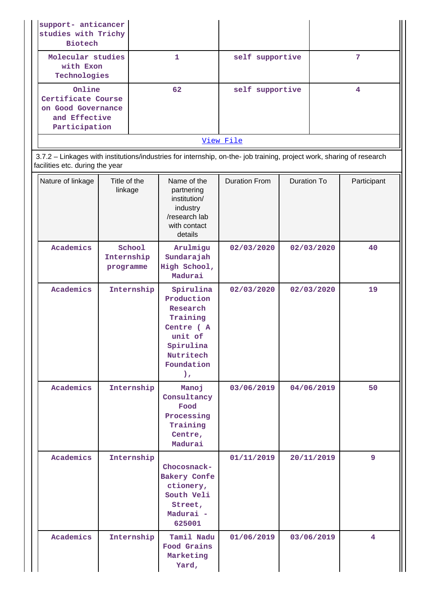| support- anticancer<br>studies with Trichy<br><b>Biotech</b>                         |    |                 |   |  |  |
|--------------------------------------------------------------------------------------|----|-----------------|---|--|--|
| Molecular studies<br>with Exon<br>Technologies                                       |    | self supportive |   |  |  |
| Online<br>Certificate Course<br>on Good Governance<br>and Effective<br>Participation | 62 | self supportive | 4 |  |  |
| View File                                                                            |    |                 |   |  |  |

 3.7.2 – Linkages with institutions/industries for internship, on-the- job training, project work, sharing of research facilities etc. during the year

| Nature of linkage | Title of the<br>linkage           | Name of the<br>partnering<br>institution/<br>industry<br>/research lab<br>with contact<br>details                                | <b>Duration From</b> | Duration To | Participant    |
|-------------------|-----------------------------------|----------------------------------------------------------------------------------------------------------------------------------|----------------------|-------------|----------------|
| Academics         | School<br>Internship<br>programme | Arulmigu<br>Sundarajah<br>High School,<br>Madurai                                                                                | 02/03/2020           | 02/03/2020  | 40             |
| Academics         | Internship                        | Spirulina<br>Production<br>Research<br>Training<br>Centre (A<br>unit of<br>Spirulina<br>Nutritech<br>Foundation<br>$\mathcal{L}$ | 02/03/2020           | 02/03/2020  | 19             |
| Academics         | Internship                        | Manoj<br>Consultancy<br>Food<br>Processing<br>Training<br>Centre,<br>Madurai                                                     | 03/06/2019           | 04/06/2019  | 50             |
| Academics         | Internship                        | Chocosnack-<br>Bakery Confe<br>ctionery,<br>South Veli<br>Street,<br>Madurai -<br>625001                                         | 01/11/2019           | 20/11/2019  | 9              |
| Academics         | Internship                        | Tamil Nadu<br>Food Grains<br>Marketing<br>Yard,                                                                                  | 01/06/2019           | 03/06/2019  | $\overline{4}$ |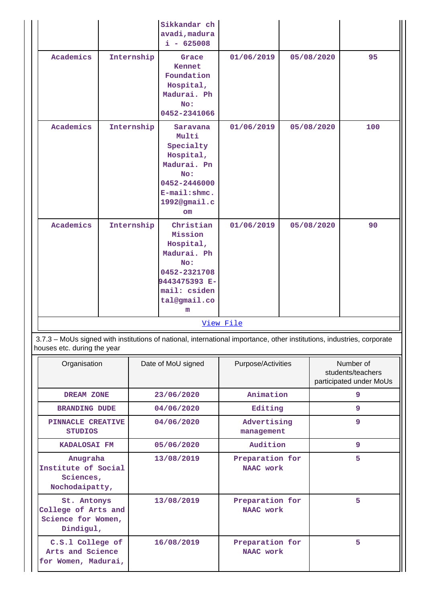|                                                                                                                                                       |                                                                       |            | Sikkandar ch<br>avadi, madura<br>$i - 625008$                                                                                           |                              |  |                                                           |     |
|-------------------------------------------------------------------------------------------------------------------------------------------------------|-----------------------------------------------------------------------|------------|-----------------------------------------------------------------------------------------------------------------------------------------|------------------------------|--|-----------------------------------------------------------|-----|
| Academics                                                                                                                                             |                                                                       | Internship | Grace<br>Kennet<br>Foundation<br>Hospital,<br>Madurai. Ph<br>No:<br>0452-2341066                                                        | 01/06/2019                   |  | 05/08/2020                                                | 95  |
| Academics                                                                                                                                             | Internship<br>Internship                                              |            | Saravana<br>Multi<br>Specialty<br>Hospital,<br>Madurai. Pn<br>No:<br>0452-2446000<br>$E$ -mail: $shmc.$<br>1992@gmail.c<br>$\mathbf{m}$ | 01/06/2019                   |  | 05/08/2020                                                | 100 |
| Academics                                                                                                                                             |                                                                       |            | Christian<br>Mission<br>Hospital,<br>Madurai. Ph<br>No:<br>0452-2321708<br>9443475393 E-<br>mail: csiden<br>tal@gmail.co<br>m           | 01/06/2019                   |  | 05/08/2020                                                | 90  |
|                                                                                                                                                       |                                                                       |            |                                                                                                                                         | View File                    |  |                                                           |     |
| 3.7.3 - MoUs signed with institutions of national, international importance, other institutions, industries, corporate<br>houses etc. during the year |                                                                       |            |                                                                                                                                         |                              |  |                                                           |     |
| Organisation                                                                                                                                          |                                                                       |            | Date of MoU signed                                                                                                                      | Purpose/Activities           |  | Number of<br>students/teachers<br>participated under MoUs |     |
| DREAM ZONE                                                                                                                                            |                                                                       |            | 23/06/2020                                                                                                                              | Animation                    |  |                                                           | 9   |
| <b>BRANDING DUDE</b>                                                                                                                                  |                                                                       |            | 04/06/2020                                                                                                                              | Editing                      |  |                                                           | 9   |
| PINNACLE CREATIVE<br><b>STUDIOS</b>                                                                                                                   |                                                                       |            | 04/06/2020                                                                                                                              | Advertising<br>management    |  |                                                           | 9   |
| KADALOSAI FM                                                                                                                                          |                                                                       |            | 05/06/2020                                                                                                                              | Audition                     |  |                                                           | 9   |
|                                                                                                                                                       | Anugraha<br>Institute of Social<br>Sciences,<br>Nochodaipatty,        |            | 13/08/2019                                                                                                                              | Preparation for<br>NAAC work |  | 5                                                         |     |
|                                                                                                                                                       | St. Antonys<br>College of Arts and<br>Science for Women,<br>Dindigul, |            | 13/08/2019                                                                                                                              | Preparation for<br>NAAC work |  |                                                           | 5   |
| C.S.1 College of<br>Arts and Science<br>for Women, Madurai,                                                                                           |                                                                       |            | 16/08/2019                                                                                                                              | Preparation for<br>NAAC work |  | 5                                                         |     |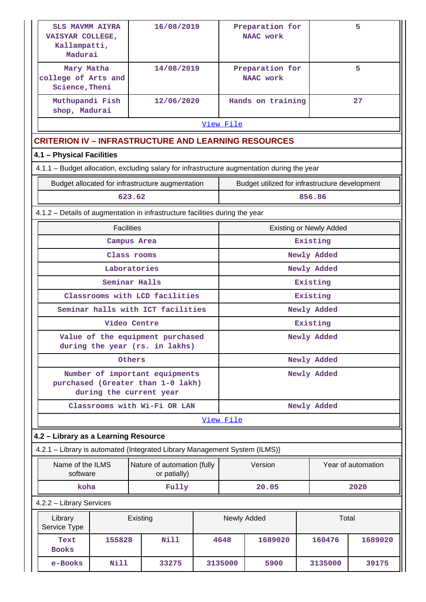| <b>SLS MAVMM AIYRA</b><br>VAISYAR COLLEGE,<br>Kallampatti,<br>Madurai                       |                   | 16/08/2019                                                                                     |  | Preparation for<br>NAAC work   |                                                |  |             | 5                  |
|---------------------------------------------------------------------------------------------|-------------------|------------------------------------------------------------------------------------------------|--|--------------------------------|------------------------------------------------|--|-------------|--------------------|
| Mary Matha<br>college of Arts and<br>Science, Theni                                         |                   | 14/08/2019                                                                                     |  |                                | Preparation for<br>NAAC work                   |  |             | 5                  |
| Muthupandi Fish<br>shop, Madurai                                                            |                   | 12/06/2020                                                                                     |  |                                | Hands on training                              |  |             | 27                 |
|                                                                                             | View File         |                                                                                                |  |                                |                                                |  |             |                    |
| <b>CRITERION IV - INFRASTRUCTURE AND LEARNING RESOURCES</b>                                 |                   |                                                                                                |  |                                |                                                |  |             |                    |
| 4.1 - Physical Facilities                                                                   |                   |                                                                                                |  |                                |                                                |  |             |                    |
| 4.1.1 - Budget allocation, excluding salary for infrastructure augmentation during the year |                   |                                                                                                |  |                                |                                                |  |             |                    |
| Budget allocated for infrastructure augmentation                                            |                   |                                                                                                |  |                                | Budget utilized for infrastructure development |  |             |                    |
|                                                                                             | 623.62            |                                                                                                |  |                                |                                                |  | 856.86      |                    |
| 4.1.2 - Details of augmentation in infrastructure facilities during the year                |                   |                                                                                                |  |                                |                                                |  |             |                    |
|                                                                                             | <b>Facilities</b> |                                                                                                |  | <b>Existing or Newly Added</b> |                                                |  |             |                    |
|                                                                                             | Campus Area       |                                                                                                |  |                                |                                                |  | Existing    |                    |
|                                                                                             | Class rooms       |                                                                                                |  | Newly Added                    |                                                |  |             |                    |
|                                                                                             | Laboratories      |                                                                                                |  | Newly Added                    |                                                |  |             |                    |
|                                                                                             | Seminar Halls     |                                                                                                |  |                                |                                                |  | Existing    |                    |
|                                                                                             |                   | Classrooms with LCD facilities                                                                 |  |                                |                                                |  | Existing    |                    |
|                                                                                             |                   | Seminar halls with ICT facilities                                                              |  |                                |                                                |  | Newly Added |                    |
|                                                                                             | Video Centre      |                                                                                                |  |                                |                                                |  | Existing    |                    |
|                                                                                             |                   | Value of the equipment purchased<br>during the year (rs. in lakhs)                             |  | Newly Added                    |                                                |  |             |                    |
|                                                                                             | Others            |                                                                                                |  | Newly Added                    |                                                |  |             |                    |
|                                                                                             |                   | Number of important equipments<br>purchased (Greater than 1-0 lakh)<br>during the current year |  | Newly Added                    |                                                |  |             |                    |
|                                                                                             |                   | Classrooms with Wi-Fi OR LAN                                                                   |  | Newly Added                    |                                                |  |             |                    |
|                                                                                             |                   |                                                                                                |  | View File                      |                                                |  |             |                    |
| 4.2 - Library as a Learning Resource                                                        |                   |                                                                                                |  |                                |                                                |  |             |                    |
| 4.2.1 - Library is automated {Integrated Library Management System (ILMS)}                  |                   |                                                                                                |  |                                |                                                |  |             |                    |
| Name of the ILMS<br>software                                                                |                   | Nature of automation (fully<br>or patially)                                                    |  |                                | Version                                        |  |             | Year of automation |
| koha                                                                                        |                   | Fully                                                                                          |  |                                | 20.05                                          |  |             | 2020               |
| 4.2.2 - Library Services                                                                    |                   |                                                                                                |  |                                |                                                |  |             |                    |
| Library<br>Service Type                                                                     |                   | Existing                                                                                       |  |                                | Newly Added                                    |  | Total       |                    |
| Text<br><b>Books</b>                                                                        | 155828            | <b>Nill</b>                                                                                    |  | 4648                           | 1689020                                        |  | 160476      | 1689020            |
| e-Books                                                                                     | Nill              | 33275                                                                                          |  | 3135000                        | 5900                                           |  | 3135000     | 39175              |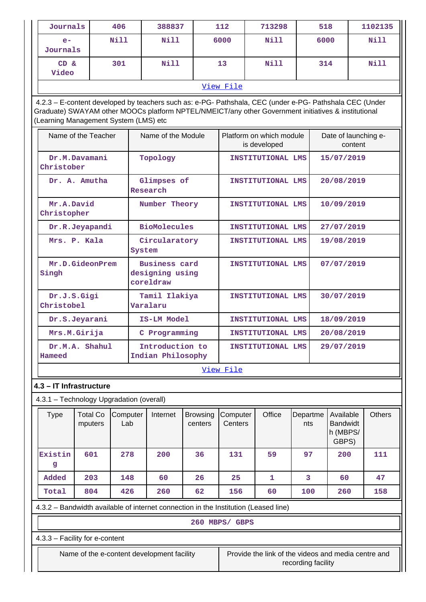| Journals                                                                                                                                                                                                                                                |                                          | 406             | 388837                                                                              |                                         | 112                 | 713298                                              |                    | 518                                               |  | 1102135       |
|---------------------------------------------------------------------------------------------------------------------------------------------------------------------------------------------------------------------------------------------------------|------------------------------------------|-----------------|-------------------------------------------------------------------------------------|-----------------------------------------|---------------------|-----------------------------------------------------|--------------------|---------------------------------------------------|--|---------------|
| $e-$<br>Journals                                                                                                                                                                                                                                        |                                          | Nill            | Nill                                                                                |                                         | 6000                | Nill                                                |                    | 6000                                              |  | Nill          |
| $CD \&$<br>Video                                                                                                                                                                                                                                        |                                          | 301             | <b>Nill</b>                                                                         |                                         | 13                  | Nill                                                |                    | 314                                               |  | Nill          |
|                                                                                                                                                                                                                                                         |                                          |                 |                                                                                     |                                         | View File           |                                                     |                    |                                                   |  |               |
| 4.2.3 - E-content developed by teachers such as: e-PG- Pathshala, CEC (under e-PG- Pathshala CEC (Under<br>Graduate) SWAYAM other MOOCs platform NPTEL/NMEICT/any other Government initiatives & institutional<br>(Learning Management System (LMS) etc |                                          |                 |                                                                                     |                                         |                     |                                                     |                    |                                                   |  |               |
| Name of the Teacher                                                                                                                                                                                                                                     |                                          |                 | Name of the Module                                                                  |                                         |                     | Platform on which module<br>is developed            |                    | Date of launching e-<br>content                   |  |               |
| Christober                                                                                                                                                                                                                                              | Dr.M.Davamani                            |                 | Topology                                                                            |                                         |                     | INSTITUTIONAL LMS                                   |                    | 15/07/2019                                        |  |               |
|                                                                                                                                                                                                                                                         | Dr. A. Amutha                            |                 | Glimpses of<br>Research                                                             |                                         |                     | INSTITUTIONAL LMS                                   |                    | 20/08/2019                                        |  |               |
| Mr.A.David<br>Christopher                                                                                                                                                                                                                               |                                          |                 | Number Theory                                                                       |                                         |                     | INSTITUTIONAL LMS                                   |                    | 10/09/2019                                        |  |               |
|                                                                                                                                                                                                                                                         | Dr.R.Jeyapandi                           |                 | <b>BioMolecules</b>                                                                 |                                         |                     | INSTITUTIONAL LMS                                   |                    | 27/07/2019                                        |  |               |
|                                                                                                                                                                                                                                                         | Mrs. P. Kala                             |                 | Circularatory<br>System                                                             |                                         |                     | INSTITUTIONAL LMS                                   |                    | 19/08/2019                                        |  |               |
| Mr.D.GideonPrem<br>Singh                                                                                                                                                                                                                                |                                          |                 | coreldraw                                                                           | <b>Business card</b><br>designing using |                     | INSTITUTIONAL LMS                                   |                    | 07/07/2019                                        |  |               |
| Dr.J.S.Gigi<br>Christobel                                                                                                                                                                                                                               |                                          |                 | Tamil Ilakiya<br>Varalaru                                                           |                                         |                     | INSTITUTIONAL LMS                                   |                    | 30/07/2019                                        |  |               |
|                                                                                                                                                                                                                                                         | Dr.S.Jeyarani                            |                 | IS-LM Model                                                                         |                                         | INSTITUTIONAL LMS   |                                                     | 18/09/2019         |                                                   |  |               |
|                                                                                                                                                                                                                                                         | Mrs.M.Girija                             |                 | C Programming                                                                       |                                         |                     | INSTITUTIONAL LMS                                   |                    | 20/08/2019                                        |  |               |
| Hameed                                                                                                                                                                                                                                                  | Dr.M.A. Shahul                           |                 | Introduction to<br>Indian Philosophy                                                |                                         |                     | INSTITUTIONAL LMS                                   |                    | 29/07/2019                                        |  |               |
|                                                                                                                                                                                                                                                         |                                          |                 |                                                                                     |                                         | View File           |                                                     |                    |                                                   |  |               |
|                                                                                                                                                                                                                                                         | 4.3 - IT Infrastructure                  |                 |                                                                                     |                                         |                     |                                                     |                    |                                                   |  |               |
|                                                                                                                                                                                                                                                         | 4.3.1 - Technology Upgradation (overall) |                 |                                                                                     |                                         |                     |                                                     |                    |                                                   |  |               |
| <b>Type</b>                                                                                                                                                                                                                                             | <b>Total Co</b><br>mputers               | Computer<br>Lab | Internet                                                                            | <b>Browsing</b><br>centers              | Computer<br>Centers | Office                                              | Departme<br>nts    | Available<br><b>Bandwidt</b><br>h (MBPS/<br>GBPS) |  | <b>Others</b> |
| Existin<br>g                                                                                                                                                                                                                                            | 601                                      | 278             | 200                                                                                 | 36                                      | 131                 | 59                                                  | 97                 | 200                                               |  | 111           |
| Added                                                                                                                                                                                                                                                   | 203                                      | 148             | 60                                                                                  | 26                                      | 25                  | 1                                                   | 3                  | 60                                                |  | 47            |
| Total                                                                                                                                                                                                                                                   | 804                                      | 426             | 260                                                                                 | 62                                      | 156                 | 60                                                  | 100                | 260                                               |  | 158           |
|                                                                                                                                                                                                                                                         |                                          |                 | 4.3.2 - Bandwidth available of internet connection in the Institution (Leased line) |                                         |                     |                                                     |                    |                                                   |  |               |
|                                                                                                                                                                                                                                                         |                                          |                 |                                                                                     |                                         | 260 MBPS/ GBPS      |                                                     |                    |                                                   |  |               |
|                                                                                                                                                                                                                                                         | 4.3.3 - Facility for e-content           |                 |                                                                                     |                                         |                     |                                                     |                    |                                                   |  |               |
|                                                                                                                                                                                                                                                         |                                          |                 | Name of the e-content development facility                                          |                                         |                     | Provide the link of the videos and media centre and | recording facility |                                                   |  |               |
|                                                                                                                                                                                                                                                         |                                          |                 |                                                                                     |                                         |                     |                                                     |                    |                                                   |  |               |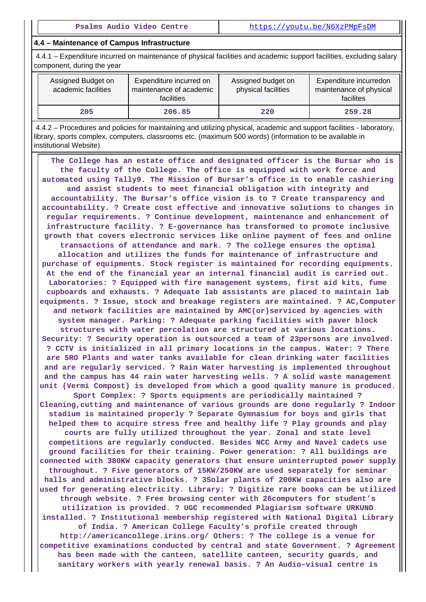#### **4.4 – Maintenance of Campus Infrastructure**

 4.4.1 – Expenditure incurred on maintenance of physical facilities and academic support facilities, excluding salary component, during the year

| Assigned Budget on<br>academic facilities | Expenditure incurred on<br>maintenance of academic<br><b>facilities</b> | Assigned budget on<br>physical facilities | Expenditure incurredon<br>maintenance of physical<br>facilites |  |
|-------------------------------------------|-------------------------------------------------------------------------|-------------------------------------------|----------------------------------------------------------------|--|
| 205                                       | 206.85                                                                  | 220                                       | 259.28                                                         |  |

 4.4.2 – Procedures and policies for maintaining and utilizing physical, academic and support facilities - laboratory, library, sports complex, computers, classrooms etc. (maximum 500 words) (information to be available in institutional Website)

 **The College has an estate office and designated officer is the Bursar who is the faculty of the College. The office is equipped with work force and automated using Tally9. The Mission of Bursar's office is to enable cashiering and assist students to meet financial obligation with integrity and accountability. The Bursar's office vision is to ? Create transparency and accountability. ? Create cost effective and innovative solutions to changes in regular requirements. ? Continue development, maintenance and enhancement of infrastructure facility. ? E-governance has transformed to promote inclusive growth that covers electronic services like online payment of fees and online transactions of attendance and mark. ? The college ensures the optimal allocation and utilizes the funds for maintenance of infrastructure and purchase of equipments. Stock register is maintained for recording equipments. At the end of the financial year an internal financial audit is carried out. Laboratories: ? Equipped with fire management systems, first aid kits, fume cupboards and exhausts. ? Adequate lab assistants are placed to maintain lab equipments. ? Issue, stock and breakage registers are maintained. ? AC,Computer and network facilities are maintained by AMC(or)serviced by agencies with system manager. Parking: ? Adequate parking facilities with paver block structures with water percolation are structured at various locations. Security: ? Security operation is outsourced a team of 23persons are involved. ? CCTV is initialized in all primary locations in the campus. Water: ? There are 5RO Plants and water tanks available for clean drinking water facilities and are regularly serviced. ? Rain Water harvesting is implemented throughout and the campus has 44 rain water harvesting wells. ? A solid waste management unit (Vermi Compost) is developed from which a good quality manure is produced. Sport Complex: ? Sports equipments are periodically maintained ? Cleaning,cutting and maintenance of various grounds are done regularly ? Indoor stadium is maintained properly ? Separate Gymnasium for boys and girls that helped them to acquire stress free and healthy life ? Play grounds and play courts are fully utilized throughout the year. Zonal and state level competitions are regularly conducted. Besides NCC Army and Navel cadets use ground facilities for their training. Power generation: ? All buildings are connected with 380KW capacity generators that ensure uninterrupted power supply throughout. ? Five generators of 15KW/250KW are used separately for seminar halls and administrative blocks. ? 3Solar plants of 200KW capacities also are used for generating electricity. Library: ? Digitize rare books can be utilized through website. ? Free browsing center with 26computers for student's utilization is provided. ? UGC recommended Plagiarism software URKUND installed. ? Institutional membership registered with National Digital Library of India. ? American College Faculty's profile created through http://americancollege.irins.org/ Others: ? The college is a venue for competitive examinations conducted by central and state Government. ? Agreement has been made with the canteen, satellite canteen, security guards, and sanitary workers with yearly renewal basis. ? An Audio–visual centre is**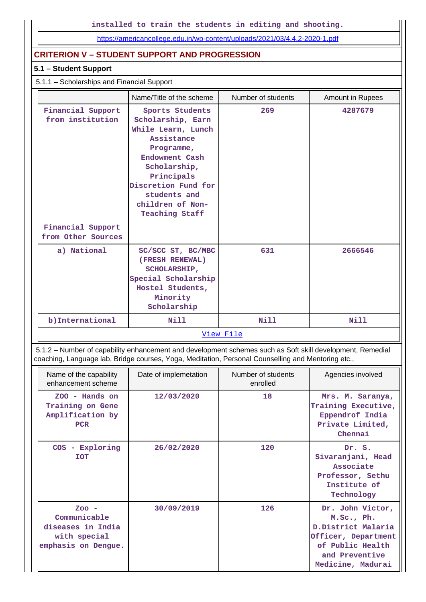**installed to train the students in editing and shooting.**

<https://americancollege.edu.in/wp-content/uploads/2021/03/4.4.2-2020-1.pdf>

### **CRITERION V – STUDENT SUPPORT AND PROGRESSION**

# **5.1 – Student Support**

### 5.1.1 – Scholarships and Financial Support

|                                         | Name/Title of the scheme                                                                                                                                                                                            | Number of students | <b>Amount in Rupees</b> |  |  |
|-----------------------------------------|---------------------------------------------------------------------------------------------------------------------------------------------------------------------------------------------------------------------|--------------------|-------------------------|--|--|
| Financial Support<br>from institution   | Sports Students<br>Scholarship, Earn<br>While Learn, Lunch<br>Assistance<br>Programme,<br>Endowment Cash<br>Scholarship,<br>Principals<br>Discretion Fund for<br>students and<br>children of Non-<br>Teaching Staff | 269                | 4287679                 |  |  |
| Financial Support<br>from Other Sources |                                                                                                                                                                                                                     |                    |                         |  |  |
| a) National                             | SC/SCC ST, BC/MBC<br>(FRESH RENEWAL)<br><b>SCHOLARSHIP,</b><br>Special Scholarship<br>Hostel Students,<br>Minority<br>Scholarship                                                                                   |                    | 2666546                 |  |  |
| b) International                        | <b>Nill</b>                                                                                                                                                                                                         |                    | <b>Nill</b>             |  |  |
|                                         | View File                                                                                                                                                                                                           |                    |                         |  |  |

 5.1.2 – Number of capability enhancement and development schemes such as Soft skill development, Remedial coaching, Language lab, Bridge courses, Yoga, Meditation, Personal Counselling and Mentoring etc.,

| Name of the capability<br>enhancement scheme                                        | Date of implemetation | Number of students<br>enrolled | Agencies involved                                                                                                                       |
|-------------------------------------------------------------------------------------|-----------------------|--------------------------------|-----------------------------------------------------------------------------------------------------------------------------------------|
| $ZOO -$ Hands on<br>Training on Gene<br>Amplification by<br><b>PCR</b>              | 12/03/2020            | 18                             | Mrs. M. Saranya,<br>Training Executive,<br>Eppendrof India<br>Private Limited,<br>Chennai                                               |
| COS - Exploring<br><b>TOT</b>                                                       | 26/02/2020            | 120                            | Dr. S.<br>Sivaranjani, Head<br>Associate<br>Professor, Sethu<br>Institute of<br>Technology                                              |
| $ZOO -$<br>Communicable<br>diseases in India<br>with special<br>emphasis on Dengue. | 30/09/2019            | 126                            | Dr. John Victor,<br>M.Sc., Ph.<br>D. District Malaria<br>Officer, Department<br>of Public Health<br>and Preventive<br>Medicine, Madurai |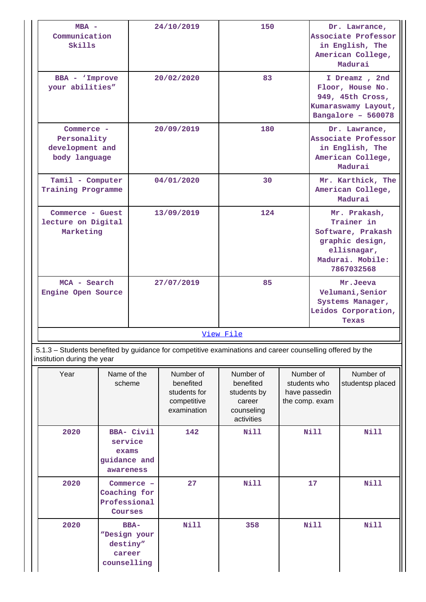| $MBA -$<br>Communication<br>Skills                            |                                               |                   | 24/10/2019                                                           | 150                                                                                                       |                                                 |           | Dr. Lawrance,<br>Associate Professor<br>in English, The<br>American College,<br>Madurai                             |
|---------------------------------------------------------------|-----------------------------------------------|-------------------|----------------------------------------------------------------------|-----------------------------------------------------------------------------------------------------------|-------------------------------------------------|-----------|---------------------------------------------------------------------------------------------------------------------|
| BBA - 'Improve<br>your abilities"                             |                                               |                   | 20/02/2020                                                           | 83                                                                                                        |                                                 |           | I Dreamz, 2nd<br>Floor, House No.<br>949, 45th Cross,<br>Kumaraswamy Layout,<br>Bangalore - 560078                  |
| Commerce -<br>Personality<br>development and<br>body language |                                               |                   | 20/09/2019                                                           | 180                                                                                                       |                                                 |           | Dr. Lawrance,<br>Associate Professor<br>in English, The<br>American College,<br>Madurai                             |
| Tamil - Computer<br>Training Programme                        |                                               |                   | 04/01/2020                                                           | 30                                                                                                        |                                                 |           | Mr. Karthick, The<br>American College,<br>Madurai                                                                   |
| Commerce - Guest<br>lecture on Digital<br>Marketing           |                                               |                   | 13/09/2019                                                           | 124                                                                                                       |                                                 |           | Mr. Prakash,<br>Trainer in<br>Software, Prakash<br>graphic design,<br>ellisnagar,<br>Madurai. Mobile:<br>7867032568 |
| MCA - Search<br>Engine Open Source                            |                                               |                   | 27/07/2019                                                           | 85                                                                                                        |                                                 |           | Mr.Jeeva<br>Velumani, Senior<br>Systems Manager,<br>Leidos Corporation,<br>Texas                                    |
|                                                               |                                               |                   |                                                                      | View File                                                                                                 |                                                 |           |                                                                                                                     |
| institution during the year                                   |                                               |                   |                                                                      | 5.1.3 - Students benefited by guidance for competitive examinations and career counselling offered by the |                                                 |           |                                                                                                                     |
| Year                                                          | Name of the<br>scheme                         |                   | Number of<br>benefited<br>students for<br>competitive<br>examination | Number of<br>benefited<br>students by<br>career<br>counseling<br>activities                               | students who<br>have passedin<br>the comp. exam | Number of | Number of<br>studentsp placed                                                                                       |
| 2020                                                          | service<br>exams<br>guidance and<br>awareness | <b>BBA- Civil</b> | 142                                                                  | <b>Nill</b>                                                                                               |                                                 | Nill      | <b>Nill</b>                                                                                                         |
| 2020                                                          | Coaching for<br>Professional<br>Courses       | Commerce -        | 27                                                                   | <b>Nill</b>                                                                                               |                                                 | 17        | <b>Nill</b>                                                                                                         |

**Nill 358 Nill Nill** Nill

 **2020 BBA-**

**"Design your destiny" career counselling**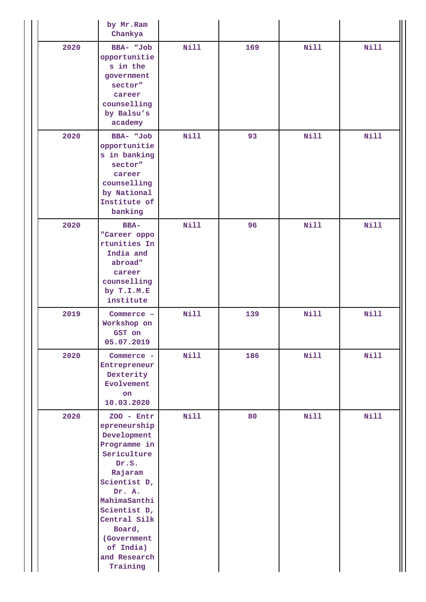|      | by Mr.Ram<br>Chankya                                                                                                                                                                                                                       |             |     |             |             |
|------|--------------------------------------------------------------------------------------------------------------------------------------------------------------------------------------------------------------------------------------------|-------------|-----|-------------|-------------|
| 2020 | BBA- "Job<br>opportunitie<br>s in the<br>government<br>sector"<br>career<br>counselling<br>by Balsu's<br>academy                                                                                                                           | Nill        | 169 | <b>Nill</b> | <b>Nill</b> |
| 2020 | BBA- "Job<br>opportunitie<br>s in banking<br>sector"<br>career<br>counselling<br>by National<br>Institute of<br>banking                                                                                                                    | Nill        | 93  | <b>Nill</b> | <b>Nill</b> |
| 2020 | <b>BBA-</b><br>"Career oppo<br>rtunities In<br>India and<br>abroad"<br>career<br>counselling<br>by T.I.M.E<br>institute                                                                                                                    | <b>Nill</b> | 96  | <b>Nill</b> | <b>Nill</b> |
| 2019 | Commerce -<br>Workshop on<br>GST on<br>05.07.2019                                                                                                                                                                                          | <b>Nill</b> | 139 | <b>Nill</b> | <b>Nill</b> |
| 2020 | Commerce -<br>Entrepreneur<br>Dexterity<br>Evolvement<br>on<br>10.03.2020                                                                                                                                                                  | Nill        | 186 | <b>Nill</b> | <b>Nill</b> |
| 2020 | $200 - Entr$<br>epreneurship<br>Development<br>Programme in<br>Sericulture<br>Dr.S.<br>Rajaram<br>Scientist D,<br>Dr. A.<br>MahimaSanthi<br>Scientist D,<br>Central Silk<br>Board,<br>(Government<br>of India)<br>and Research<br>Training | <b>Nill</b> | 80  | <b>Nill</b> | <b>Nill</b> |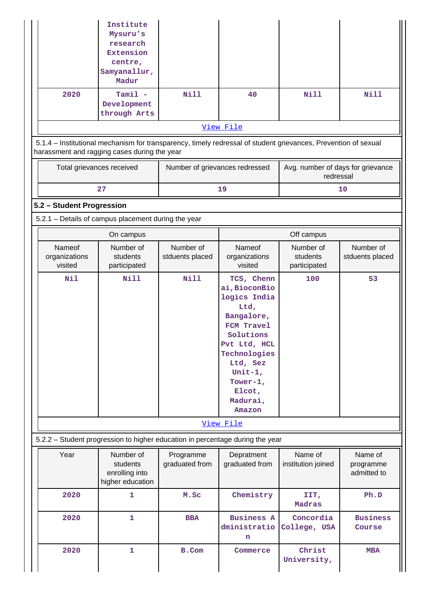|                                    | Institute<br>Mysuru's<br>research<br><b>Extension</b><br>centre,                                                                                               |                                |                                                                                                                                                                                                 |                                                |                                     |
|------------------------------------|----------------------------------------------------------------------------------------------------------------------------------------------------------------|--------------------------------|-------------------------------------------------------------------------------------------------------------------------------------------------------------------------------------------------|------------------------------------------------|-------------------------------------|
|                                    | Samyanallur,<br>Madur                                                                                                                                          |                                |                                                                                                                                                                                                 |                                                |                                     |
| 2020                               | $Tami1 -$<br>Development<br>through Arts                                                                                                                       | <b>Nill</b>                    | 40                                                                                                                                                                                              | <b>Nill</b>                                    | <b>Nill</b>                         |
|                                    |                                                                                                                                                                |                                | View File                                                                                                                                                                                       |                                                |                                     |
|                                    | 5.1.4 - Institutional mechanism for transparency, timely redressal of student grievances, Prevention of sexual<br>harassment and ragging cases during the year |                                |                                                                                                                                                                                                 |                                                |                                     |
| Total grievances received          |                                                                                                                                                                | Number of grievances redressed |                                                                                                                                                                                                 | Avg. number of days for grievance<br>redressal |                                     |
|                                    | 27                                                                                                                                                             |                                | 19                                                                                                                                                                                              |                                                | 10                                  |
| 5.2 - Student Progression          |                                                                                                                                                                |                                |                                                                                                                                                                                                 |                                                |                                     |
|                                    | 5.2.1 - Details of campus placement during the year                                                                                                            |                                |                                                                                                                                                                                                 |                                                |                                     |
|                                    | On campus                                                                                                                                                      |                                |                                                                                                                                                                                                 | Off campus                                     |                                     |
| Nameof<br>organizations<br>visited | Number of<br>students<br>participated                                                                                                                          | Number of<br>stduents placed   | Nameof<br>organizations<br>visited                                                                                                                                                              | Number of<br>students<br>participated          | Number of<br>stduents placed        |
| Nil                                | <b>Nill</b>                                                                                                                                                    | <b>Nill</b>                    | TCS, Chenn<br>ai, BioconBio<br>logics India<br>Ltd,<br>Bangalore,<br>FCM Travel<br>Solutions<br>Pvt Ltd, HCL<br>Technologies<br>Ltd, Sez<br>Unit-1,<br>Tower-1,<br>Elcot,<br>Madurai,<br>Amazon | 100                                            | 53                                  |
|                                    |                                                                                                                                                                |                                | View File                                                                                                                                                                                       |                                                |                                     |
|                                    | 5.2.2 - Student progression to higher education in percentage during the year                                                                                  |                                |                                                                                                                                                                                                 |                                                |                                     |
| Year                               | Number of<br>students<br>enrolling into<br>higher education                                                                                                    | Programme<br>graduated from    | Depratment<br>graduated from                                                                                                                                                                    | Name of<br>institution joined                  | Name of<br>programme<br>admitted to |
| 2020                               | 1                                                                                                                                                              | M.Sc                           | Chemistry                                                                                                                                                                                       | IIT,<br>Madras                                 | Ph.D                                |
| 2020                               | $\mathbf{1}$                                                                                                                                                   | <b>BBA</b>                     | <b>Business A</b><br>dministratio<br>n                                                                                                                                                          | Concordia<br>College, USA                      | <b>Business</b><br>Course           |
| 2020                               | $\mathbf{1}$                                                                                                                                                   | B.Com                          | Commerce                                                                                                                                                                                        | Christ<br>University,                          | <b>MBA</b>                          |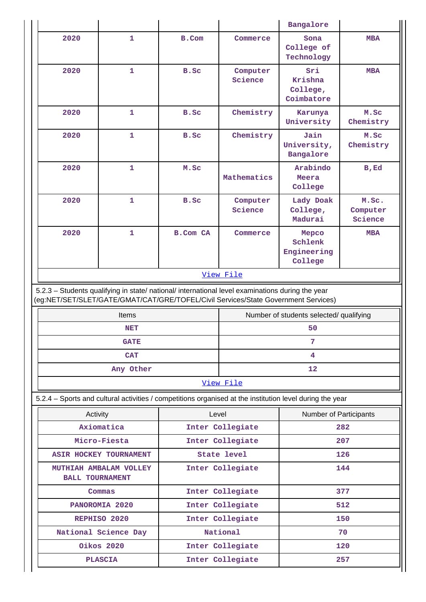|                                                                                                                                                                                        |                      |                    |                     | Bangalore                                                                                                |                              |  |
|----------------------------------------------------------------------------------------------------------------------------------------------------------------------------------------|----------------------|--------------------|---------------------|----------------------------------------------------------------------------------------------------------|------------------------------|--|
| 2020                                                                                                                                                                                   | 1                    | B.Com              | Commerce            | Sona<br>College of<br>Technology                                                                         | <b>MBA</b>                   |  |
| 2020                                                                                                                                                                                   | $\mathbf 1$          | B.Sc               | Computer<br>Science | Sri<br>Krishna<br>College,<br>Coimbatore                                                                 | <b>MBA</b>                   |  |
| 2020                                                                                                                                                                                   | $\mathbf{1}$         | B.Sc               | Chemistry           | Karunya<br>University                                                                                    | M.Sc<br>Chemistry            |  |
| 2020                                                                                                                                                                                   | $\mathbf{1}$         | B.Sc               | Chemistry           | Jain<br>University,<br>Bangalore                                                                         | M.Sc<br>Chemistry            |  |
| 2020                                                                                                                                                                                   | $\mathbf{1}$         | M.Sc               | Mathematics         | Arabindo<br>Meera<br>College                                                                             | $B$ , $Ed$                   |  |
| 2020                                                                                                                                                                                   | $\mathbf 1$          | B.Sc               | Computer<br>Science | Lady Doak<br>College,<br>Madurai                                                                         | M.Sc.<br>Computer<br>Science |  |
| 2020                                                                                                                                                                                   | $\mathbf{1}$         | <b>B.Com CA</b>    | Commerce            | Mepco<br>Schlenk<br>Engineering<br>College                                                               | <b>MBA</b>                   |  |
|                                                                                                                                                                                        |                      |                    | View File           |                                                                                                          |                              |  |
| 5.2.3 - Students qualifying in state/ national/ international level examinations during the year<br>(eg:NET/SET/SLET/GATE/GMAT/CAT/GRE/TOFEL/Civil Services/State Government Services) |                      |                    |                     |                                                                                                          |                              |  |
|                                                                                                                                                                                        | Items                |                    |                     | Number of students selected/ qualifying                                                                  |                              |  |
|                                                                                                                                                                                        | NET                  |                    |                     | 50                                                                                                       |                              |  |
|                                                                                                                                                                                        | <b>GATE</b>          |                    |                     |                                                                                                          |                              |  |
|                                                                                                                                                                                        | <b>CAT</b>           |                    |                     | 4                                                                                                        |                              |  |
|                                                                                                                                                                                        | Any Other            |                    |                     | 12                                                                                                       |                              |  |
|                                                                                                                                                                                        |                      |                    | View File           |                                                                                                          |                              |  |
|                                                                                                                                                                                        |                      |                    |                     | 5.2.4 - Sports and cultural activities / competitions organised at the institution level during the year |                              |  |
| Activity                                                                                                                                                                               |                      |                    | Level               | Number of Participants                                                                                   |                              |  |
|                                                                                                                                                                                        | Axiomatica           |                    | Inter Collegiate    |                                                                                                          | 282                          |  |
| Micro-Fiesta                                                                                                                                                                           |                      |                    | Inter Collegiate    |                                                                                                          | 207                          |  |
| ASIR HOCKEY TOURNAMENT                                                                                                                                                                 |                      | <b>State level</b> |                     | 126                                                                                                      |                              |  |
| MUTHIAH AMBALAM VOLLEY<br><b>BALL TOURNAMENT</b>                                                                                                                                       |                      | Inter Collegiate   |                     | 144                                                                                                      |                              |  |
|                                                                                                                                                                                        |                      |                    |                     |                                                                                                          |                              |  |
|                                                                                                                                                                                        | Commas               |                    | Inter Collegiate    |                                                                                                          | 377                          |  |
|                                                                                                                                                                                        | PANOROMIA 2020       |                    | Inter Collegiate    |                                                                                                          | 512                          |  |
|                                                                                                                                                                                        | REPHISO 2020         |                    | Inter Collegiate    |                                                                                                          | 150                          |  |
|                                                                                                                                                                                        | National Science Day |                    | National            |                                                                                                          | 70                           |  |
|                                                                                                                                                                                        | Oikos 2020           |                    | Inter Collegiate    |                                                                                                          | 120                          |  |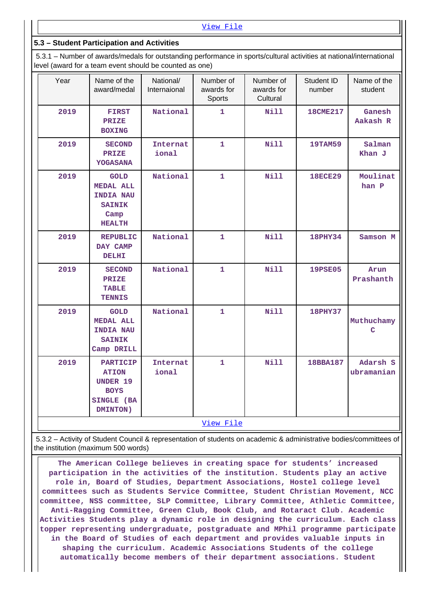[View File](https://assessmentonline.naac.gov.in/public/Postacc/Activities_Organised/6156_Activities_Organised_1614698382.xlsx)

### **5.3 – Student Participation and Activities**

 5.3.1 – Number of awards/medals for outstanding performance in sports/cultural activities at national/international level (award for a team event should be counted as one)

| Year      | Name of the<br>award/medal                                                                    | National/<br>Internaional | Number of<br>awards for<br>Sports | Number of<br>awards for<br>Cultural | Student ID<br>number | Name of the<br>student |
|-----------|-----------------------------------------------------------------------------------------------|---------------------------|-----------------------------------|-------------------------------------|----------------------|------------------------|
| 2019      | <b>FIRST</b><br>PRIZE<br><b>BOXING</b>                                                        | National                  | 1.                                | <b>Nill</b>                         | <b>18CME217</b>      | Ganesh<br>Aakash R     |
| 2019      | <b>SECOND</b><br><b>PRIZE</b><br><b>YOGASANA</b>                                              | Internat<br>ional         | 1                                 | Nill                                | <b>19TAM59</b>       | Salman<br>Khan J       |
| 2019      | <b>GOLD</b><br><b>MEDAL ALL</b><br><b>INDIA NAU</b><br><b>SAINIK</b><br>Camp<br><b>HEALTH</b> | National                  | $\mathbf{1}$                      | <b>Nill</b>                         | <b>18ECE29</b>       | Moulinat<br>han P      |
| 2019      | <b>REPUBLIC</b><br>DAY CAMP<br><b>DELHI</b>                                                   | National                  | 1                                 | <b>Nill</b>                         | <b>18PHY34</b>       | Samson M               |
| 2019      | <b>SECOND</b><br><b>PRIZE</b><br><b>TABLE</b><br><b>TENNIS</b>                                | National                  | 1                                 | <b>Nill</b>                         | <b>19PSE05</b>       | Arun<br>Prashanth      |
| 2019      | <b>GOLD</b><br><b>MEDAL ALL</b><br><b>INDIA NAU</b><br><b>SAINIK</b><br>Camp DRILL            | National                  | 1                                 | <b>Nill</b>                         | <b>18PHY37</b>       | Muthuchamy<br>Ć        |
| 2019      | <b>PARTICIP</b><br><b>ATION</b><br><b>UNDER 19</b><br><b>BOYS</b><br>SINGLE (BA<br>DMINTON)   | <b>Internat</b><br>ional  | 1                                 | <b>Nill</b>                         | 18BBA187             | Adarsh S<br>ubramanian |
| View File |                                                                                               |                           |                                   |                                     |                      |                        |

 5.3.2 – Activity of Student Council & representation of students on academic & administrative bodies/committees of the institution (maximum 500 words)

 **The American College believes in creating space for students' increased participation in the activities of the institution. Students play an active role in, Board of Studies, Department Associations, Hostel college level committees such as Students Service Committee, Student Christian Movement, NCC committee, NSS committee, SLP Committee, Library Committee, Athletic Committee, Anti-Ragging Committee, Green Club, Book Club, and Rotaract Club. Academic Activities Students play a dynamic role in designing the curriculum. Each class topper representing undergraduate, postgraduate and MPhil programme participate in the Board of Studies of each department and provides valuable inputs in shaping the curriculum. Academic Associations Students of the college automatically become members of their department associations. Student**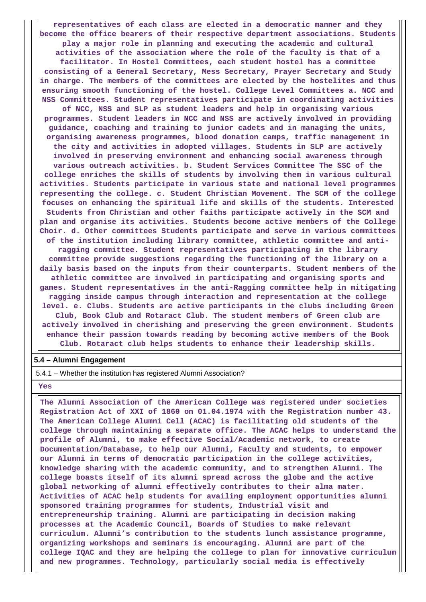**representatives of each class are elected in a democratic manner and they become the office bearers of their respective department associations. Students play a major role in planning and executing the academic and cultural activities of the association where the role of the faculty is that of a facilitator. In Hostel Committees, each student hostel has a committee consisting of a General Secretary, Mess Secretary, Prayer Secretary and Study in charge. The members of the committees are elected by the hostelites and thus ensuring smooth functioning of the hostel. College Level Committees a. NCC and**

**NSS Committees. Student representatives participate in coordinating activities of NCC, NSS and SLP as student leaders and help in organising various programmes. Student leaders in NCC and NSS are actively involved in providing guidance, coaching and training to junior cadets and in managing the units, organising awareness programmes, blood donation camps, traffic management in the city and activities in adopted villages. Students in SLP are actively involved in preserving environment and enhancing social awareness through various outreach activities. b. Student Services Committee The SSC of the college enriches the skills of students by involving them in various cultural activities. Students participate in various state and national level programmes representing the college. c. Student Christian Movement. The SCM of the college focuses on enhancing the spiritual life and skills of the students. Interested Students from Christian and other faiths participate actively in the SCM and plan and organise its activities. Students become active members of the College Choir. d. Other committees Students participate and serve in various committees of the institution including library committee, athletic committee and antiragging committee. Student representatives participating in the library committee provide suggestions regarding the functioning of the library on a daily basis based on the inputs from their counterparts. Student members of the athletic committee are involved in participating and organising sports and games. Student representatives in the anti-Ragging committee help in mitigating ragging inside campus through interaction and representation at the college level. e. Clubs. Students are active participants in the clubs including Green Club, Book Club and Rotaract Club. The student members of Green club are actively involved in cherishing and preserving the green environment. Students enhance their passion towards reading by becoming active members of the Book Club. Rotaract club helps students to enhance their leadership skills.**

#### **5.4 – Alumni Engagement**

5.4.1 – Whether the institution has registered Alumni Association?

#### **Yes**

 **The Alumni Association of the American College was registered under societies Registration Act of XXI of 1860 on 01.04.1974 with the Registration number 43. The American College Alumni Cell (ACAC) is facilitating old students of the college through maintaining a separate office. The ACAC helps to understand the profile of Alumni, to make effective Social/Academic network, to create Documentation/Database, to help our Alumni, Faculty and students, to empower our Alumni in terms of democratic participation in the college activities, knowledge sharing with the academic community, and to strengthen Alumni. The college boasts itself of its alumni spread across the globe and the active global networking of alumni effectively contributes to their alma mater. Activities of ACAC help students for availing employment opportunities alumni sponsored training programmes for students, Industrial visit and entrepreneurship training. Alumni are participating in decision making processes at the Academic Council, Boards of Studies to make relevant curriculum. Alumni's contribution to the students lunch assistance programme, organizing workshops and seminars is encouraging. Alumni are part of the college IQAC and they are helping the college to plan for innovative curriculum and new programmes. Technology, particularly social media is effectively**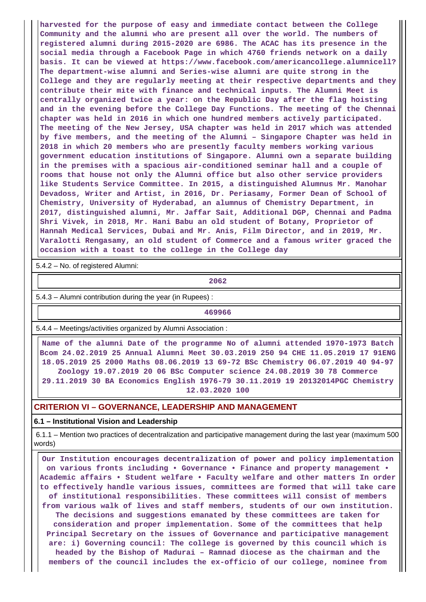**harvested for the purpose of easy and immediate contact between the College Community and the alumni who are present all over the world. The numbers of registered alumni during 2015-2020 are 6986. The ACAC has its presence in the social media through a Facebook Page in which 4760 friends network on a daily basis. It can be viewed at https://www.facebook.com/americancollege.alumnicell? The department-wise alumni and Series-wise alumni are quite strong in the College and they are regularly meeting at their respective departments and they contribute their mite with finance and technical inputs. The Alumni Meet is centrally organized twice a year: on the Republic Day after the flag hoisting and in the evening before the College Day Functions. The meeting of the Chennai chapter was held in 2016 in which one hundred members actively participated. The meeting of the New Jersey, USA chapter was held in 2017 which was attended by five members, and the meeting of the Alumni – Singapore Chapter was held in 2018 in which 20 members who are presently faculty members working various government education institutions of Singapore. Alumni own a separate building in the premises with a spacious air-conditioned seminar hall and a couple of rooms that house not only the Alumni office but also other service providers like Students Service Committee. In 2015, a distinguished Alumnus Mr. Manohar Devadoss, Writer and Artist, in 2016, Dr. Periasamy, Former Dean of School of Chemistry, University of Hyderabad, an alumnus of Chemistry Department, in 2017, distinguished alumni, Mr. Jaffar Sait, Additional DGP, Chennai and Padma Shri Vivek, in 2018, Mr. Hani Babu an old student of Botany, Proprietor of Hannah Medical Services, Dubai and Mr. Anis, Film Director, and in 2019, Mr. Varalotti Rengasamy, an old student of Commerce and a famous writer graced the occasion with a toast to the college in the College day**

5.4.2 – No. of registered Alumni:

**2062**

5.4.3 – Alumni contribution during the year (in Rupees) :

**469966**

5.4.4 – Meetings/activities organized by Alumni Association :

 **Name of the alumni Date of the programme No of alumni attended 1970-1973 Batch Bcom 24.02.2019 25 Annual Alumni Meet 30.03.2019 250 94 CHE 11.05.2019 17 91ENG 18.05.2019 25 2000 Maths 08.06.2019 13 69-72 BSc Chemistry 06.07.2019 40 94-97 Zoology 19.07.2019 20 06 BSc Computer science 24.08.2019 30 78 Commerce 29.11.2019 30 BA Economics English 1976-79 30.11.2019 19 20132014PGC Chemistry 12.03.2020 100**

### **CRITERION VI – GOVERNANCE, LEADERSHIP AND MANAGEMENT**

#### **6.1 – Institutional Vision and Leadership**

 6.1.1 – Mention two practices of decentralization and participative management during the last year (maximum 500 words)

 **Our Institution encourages decentralization of power and policy implementation on various fronts including • Governance • Finance and property management • Academic affairs • Student welfare • Faculty welfare and other matters In order to effectively handle various issues, committees are formed that will take care of institutional responsibilities. These committees will consist of members from various walk of lives and staff members, students of our own institution. The decisions and suggestions emanated by these committees are taken for consideration and proper implementation. Some of the committees that help Principal Secretary on the issues of Governance and participative management are: i) Governing council: The college is governed by this council which is headed by the Bishop of Madurai – Ramnad diocese as the chairman and the members of the council includes the ex-officio of our college, nominee from**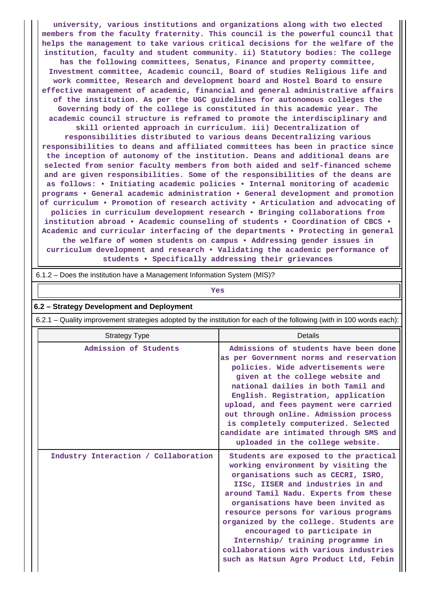**university, various institutions and organizations along with two elected members from the faculty fraternity. This council is the powerful council that helps the management to take various critical decisions for the welfare of the institution, faculty and student community. ii) Statutory bodies: The college has the following committees, Senatus, Finance and property committee, Investment committee, Academic council, Board of studies Religious life and work committee, Research and development board and Hostel Board to ensure effective management of academic, financial and general administrative affairs of the institution. As per the UGC guidelines for autonomous colleges the Governing body of the college is constituted in this academic year. The academic council structure is reframed to promote the interdisciplinary and skill oriented approach in curriculum. iii) Decentralization of responsibilities distributed to various deans Decentralizing various responsibilities to deans and affiliated committees has been in practice since the inception of autonomy of the institution. Deans and additional deans are selected from senior faculty members from both aided and self-financed scheme and are given responsibilities. Some of the responsibilities of the deans are as follows: • Initiating academic policies • Internal monitoring of academic programs • General academic administration • General development and promotion of curriculum • Promotion of research activity • Articulation and advocating of policies in curriculum development research • Bringing collaborations from institution abroad • Academic counseling of students • Coordination of CBCS • Academic and curricular interfacing of the departments • Protecting in general the welfare of women students on campus • Addressing gender issues in curriculum development and research • Validating the academic performance of**

**students • Specifically addressing their grievances**

6.1.2 – Does the institution have a Management Information System (MIS)?

*Yes* 

#### **6.2 – Strategy Development and Deployment**

6.2.1 – Quality improvement strategies adopted by the institution for each of the following (with in 100 words each):

| <b>Strategy Type</b>                 | Details                                                                                                                                                                                                                                                                                                                                                                                                                                                                            |
|--------------------------------------|------------------------------------------------------------------------------------------------------------------------------------------------------------------------------------------------------------------------------------------------------------------------------------------------------------------------------------------------------------------------------------------------------------------------------------------------------------------------------------|
| Admission of Students                | Admissions of students have been done<br>as per Government norms and reservation<br>policies. Wide advertisements were<br>given at the college website and<br>national dailies in both Tamil and<br>English. Registration, application<br>upload, and fees payment were carried<br>out through online. Admission process<br>is completely computerized. Selected<br>candidate are intimated through SMS and<br>uploaded in the college website.                                    |
| Industry Interaction / Collaboration | Students are exposed to the practical<br>working environment by visiting the<br>organisations such as CECRI, ISRO,<br>IISC, IISER and industries in and<br>around Tamil Nadu. Experts from these<br>organisations have been invited as<br>resource persons for various programs<br>organized by the college. Students are<br>encouraged to participate in<br>Internship/ training programme in<br>collaborations with various industries<br>such as Hatsun Agro Product Ltd, Febin |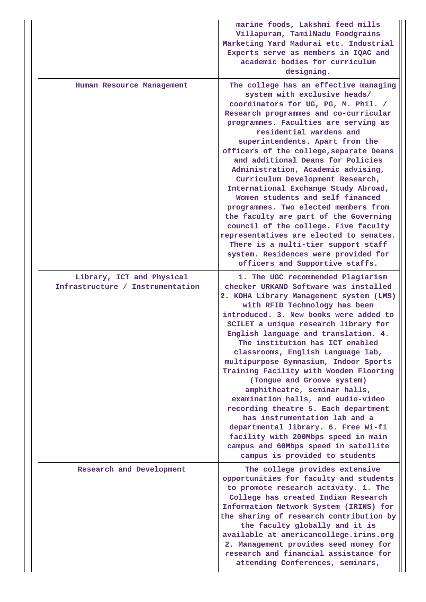|                                                               | marine foods, Lakshmi feed mills<br>Villapuram, TamilNadu Foodgrains<br>Marketing Yard Madurai etc. Industrial<br>Experts serve as members in IQAC and<br>academic bodies for curriculum<br>designing.                                                                                                                                                                                                                                                                                                                                                                                                                                                                                                                                                                                  |
|---------------------------------------------------------------|-----------------------------------------------------------------------------------------------------------------------------------------------------------------------------------------------------------------------------------------------------------------------------------------------------------------------------------------------------------------------------------------------------------------------------------------------------------------------------------------------------------------------------------------------------------------------------------------------------------------------------------------------------------------------------------------------------------------------------------------------------------------------------------------|
| Human Resource Management                                     | The college has an effective managing<br>system with exclusive heads/<br>coordinators for UG, PG, M. Phil. /<br>Research programmes and co-curricular<br>programmes. Faculties are serving as<br>residential wardens and<br>superintendents. Apart from the<br>officers of the college, separate Deans<br>and additional Deans for Policies<br>Administration, Academic advising,<br>Curriculum Development Research,<br>International Exchange Study Abroad,<br>Women students and self financed<br>programmes. Two elected members from<br>the faculty are part of the Governing<br>council of the college. Five faculty<br>representatives are elected to senates.<br>There is a multi-tier support staff<br>system. Residences were provided for<br>officers and Supportive staffs. |
| Library, ICT and Physical<br>Infrastructure / Instrumentation | 1. The UGC recommended Plagiarism<br>checker URKAND Software was installed<br>2. KOHA Library Management system (LMS)<br>with RFID Technology has been<br>introduced. 3. New books were added to<br>SCILET a unique research library for<br>English language and translation. 4.<br>The institution has ICT enabled<br>classrooms, English Language lab,<br>multipurpose Gymnasium, Indoor Sports<br>Training Facility with Wooden Flooring<br>(Tongue and Groove system)<br>amphitheatre, seminar halls,<br>examination halls, and audio-video<br>recording theatre 5. Each department<br>has instrumentation lab and a<br>departmental library. 6. Free Wi-fi<br>facility with 200Mbps speed in main<br>campus and 60Mbps speed in satellite<br>campus is provided to students        |
| Research and Development                                      | The college provides extensive<br>opportunities for faculty and students<br>to promote research activity. 1. The<br>College has created Indian Research<br>Information Network System (IRINS) for<br>the sharing of research contribution by<br>the faculty globally and it is<br>available at americancollege.irins.org<br>2. Management provides seed money for<br>research and financial assistance for<br>attending Conferences, seminars,                                                                                                                                                                                                                                                                                                                                          |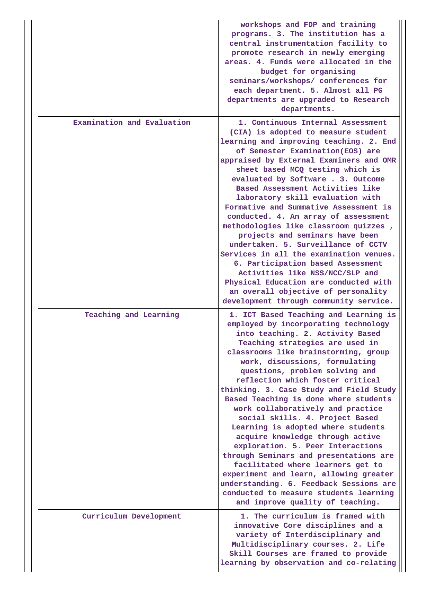|                            | workshops and FDP and training<br>programs. 3. The institution has a<br>central instrumentation facility to<br>promote research in newly emerging<br>areas. 4. Funds were allocated in the<br>budget for organising<br>seminars/workshops/ conferences for<br>each department. 5. Almost all PG<br>departments are upgraded to Research<br>departments.                                                                                                                                                                                                                                                                                                                                                                                                                                                                           |
|----------------------------|-----------------------------------------------------------------------------------------------------------------------------------------------------------------------------------------------------------------------------------------------------------------------------------------------------------------------------------------------------------------------------------------------------------------------------------------------------------------------------------------------------------------------------------------------------------------------------------------------------------------------------------------------------------------------------------------------------------------------------------------------------------------------------------------------------------------------------------|
| Examination and Evaluation | 1. Continuous Internal Assessment<br>(CIA) is adopted to measure student<br>learning and improving teaching. 2. End<br>of Semester Examination(EOS) are<br>appraised by External Examiners and OMR<br>sheet based MCQ testing which is<br>evaluated by Software . 3. Outcome<br>Based Assessment Activities like<br>laboratory skill evaluation with<br>Formative and Summative Assessment is<br>conducted. 4. An array of assessment<br>methodologies like classroom quizzes,<br>projects and seminars have been<br>undertaken. 5. Surveillance of CCTV<br>Services in all the examination venues.<br>6. Participation based Assessment<br>Activities like NSS/NCC/SLP and<br>Physical Education are conducted with<br>an overall objective of personality                                                                       |
|                            | development through community service.                                                                                                                                                                                                                                                                                                                                                                                                                                                                                                                                                                                                                                                                                                                                                                                            |
| Teaching and Learning      | 1. ICT Based Teaching and Learning is<br>employed by incorporating technology<br>into teaching. 2. Activity Based<br>Teaching strategies are used in<br>classrooms like brainstorming, group<br>work, discussions, formulating<br>questions, problem solving and<br>reflection which foster critical<br>thinking. 3. Case Study and Field Study<br>Based Teaching is done where students<br>work collaboratively and practice<br>social skills. 4. Project Based<br>Learning is adopted where students<br>acquire knowledge through active<br>exploration. 5. Peer Interactions<br>through Seminars and presentations are<br>facilitated where learners get to<br>experiment and learn, allowing greater<br>understanding. 6. Feedback Sessions are<br>conducted to measure students learning<br>and improve quality of teaching. |
| Curriculum Development     | 1. The curriculum is framed with<br>innovative Core disciplines and a<br>variety of Interdisciplinary and<br>Multidisciplinary courses. 2. Life<br>Skill Courses are framed to provide<br>learning by observation and co-relating                                                                                                                                                                                                                                                                                                                                                                                                                                                                                                                                                                                                 |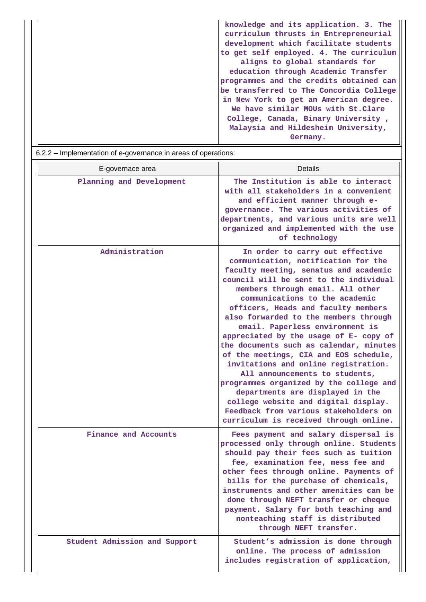| Germany. |
|----------|
|----------|

| E-governace area              | <b>Details</b>                                                                                                                                                                                                                                                                                                                                                                                                                                                                                                                                                                                                                                                                                                                                                        |
|-------------------------------|-----------------------------------------------------------------------------------------------------------------------------------------------------------------------------------------------------------------------------------------------------------------------------------------------------------------------------------------------------------------------------------------------------------------------------------------------------------------------------------------------------------------------------------------------------------------------------------------------------------------------------------------------------------------------------------------------------------------------------------------------------------------------|
| Planning and Development      | The Institution is able to interact<br>with all stakeholders in a convenient<br>and efficient manner through e-<br>governance. The various activities of<br>departments, and various units are well<br>organized and implemented with the use<br>of technology                                                                                                                                                                                                                                                                                                                                                                                                                                                                                                        |
| Administration                | In order to carry out effective<br>communication, notification for the<br>faculty meeting, senatus and academic<br>council will be sent to the individual<br>members through email. All other<br>communications to the academic<br>officers, Heads and faculty members<br>also forwarded to the members through<br>email. Paperless environment is<br>appreciated by the usage of E- copy of<br>the documents such as calendar, minutes<br>of the meetings, CIA and EOS schedule,<br>invitations and online registration.<br>All announcements to students,<br>programmes organized by the college and<br>departments are displayed in the<br>college website and digital display.<br>Feedback from various stakeholders on<br>curriculum is received through online. |
| Finance and Accounts          | Fees payment and salary dispersal is<br>processed only through online. Students<br>should pay their fees such as tuition<br>fee, examination fee, mess fee and<br>other fees through online. Payments of<br>bills for the purchase of chemicals,<br>instruments and other amenities can be<br>done through NEFT transfer or cheque<br>payment. Salary for both teaching and<br>nonteaching staff is distributed<br>through NEFT transfer.                                                                                                                                                                                                                                                                                                                             |
| Student Admission and Support | Student's admission is done through<br>online. The process of admission<br>includes registration of application,                                                                                                                                                                                                                                                                                                                                                                                                                                                                                                                                                                                                                                                      |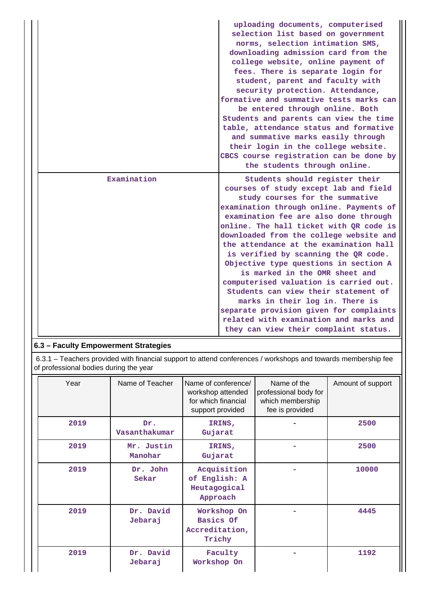|             | uploading documents, computerised<br>selection list based on government<br>norms, selection intimation SMS,<br>downloading admission card from the<br>college website, online payment of<br>fees. There is separate login for<br>student, parent and faculty with<br>security protection. Attendance,<br>formative and summative tests marks can<br>be entered through online. Both<br>Students and parents can view the time<br>table, attendance status and formative<br>and summative marks easily through<br>their login in the college website.<br>CBCS course registration can be done by<br>the students through online.                                                                      |
|-------------|------------------------------------------------------------------------------------------------------------------------------------------------------------------------------------------------------------------------------------------------------------------------------------------------------------------------------------------------------------------------------------------------------------------------------------------------------------------------------------------------------------------------------------------------------------------------------------------------------------------------------------------------------------------------------------------------------|
| Examination | Students should register their<br>courses of study except lab and field<br>study courses for the summative<br>examination through online. Payments of<br>examination fee are also done through<br>online. The hall ticket with QR code is<br>downloaded from the college website and<br>the attendance at the examination hall<br>is verified by scanning the QR code.<br>Objective type questions in section A<br>is marked in the OMR sheet and<br>computerised valuation is carried out.<br>Students can view their statement of<br>marks in their log in. There is<br>separate provision given for complaints<br>related with examination and marks and<br>they can view their complaint status. |

# **6.3 – Faculty Empowerment Strategies**

 6.3.1 – Teachers provided with financial support to attend conferences / workshops and towards membership fee of professional bodies during the year

| Year | Name of Teacher       | Name of conference/<br>workshop attended<br>for which financial<br>support provided | Name of the<br>professional body for<br>which membership<br>fee is provided | Amount of support |
|------|-----------------------|-------------------------------------------------------------------------------------|-----------------------------------------------------------------------------|-------------------|
| 2019 | Dr.<br>Vasanthakumar  | IRINS,<br>Gujarat                                                                   |                                                                             | 2500              |
| 2019 | Mr. Justin<br>Manohar | IRINS,<br>Gujarat                                                                   |                                                                             | 2500              |
| 2019 | Dr. John<br>Sekar     | Acquisition<br>of English: A<br>Heutagogical<br>Approach                            |                                                                             | 10000             |
| 2019 | Dr. David<br>Jebaraj  | Workshop On<br>Basics Of<br>Accreditation,<br>Trichy                                |                                                                             | 4445              |
| 2019 | Dr. David<br>Jebaraj  | Faculty<br>Workshop On                                                              |                                                                             | 1192              |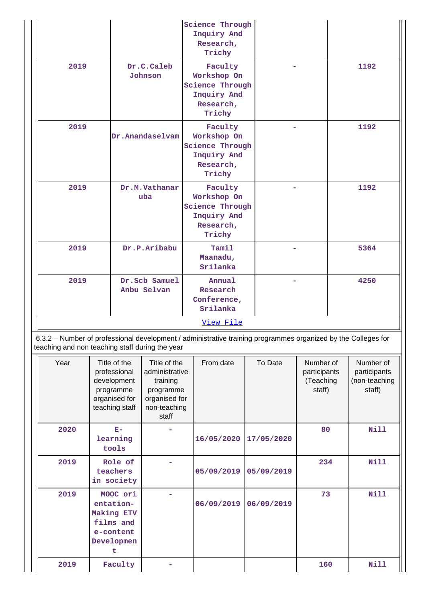|                                                                                                                                                                  |  |                                                                                             | <b>Science Through</b><br>Inquiry And<br>Research,<br>Trichy                                      |                                               |                                                                                 |            |            |                                                  |      |                                                      |
|------------------------------------------------------------------------------------------------------------------------------------------------------------------|--|---------------------------------------------------------------------------------------------|---------------------------------------------------------------------------------------------------|-----------------------------------------------|---------------------------------------------------------------------------------|------------|------------|--------------------------------------------------|------|------------------------------------------------------|
| 2019                                                                                                                                                             |  |                                                                                             | Dr.C.Caleb<br>Johnson                                                                             |                                               | Faculty<br>Workshop On<br>Science Through<br>Inquiry And<br>Research,<br>Trichy |            |            |                                                  | 1192 |                                                      |
| 2019<br>Dr.Anandaselvam                                                                                                                                          |  |                                                                                             | Faculty<br>Workshop On<br>Science Through<br>Inquiry And<br>Research,<br>Trichy                   |                                               |                                                                                 |            | 1192       |                                                  |      |                                                      |
| 2019                                                                                                                                                             |  |                                                                                             | Dr.M.Vathanar<br>uba                                                                              |                                               | Faculty<br>Workshop On<br>Science Through<br>Inquiry And<br>Research,<br>Trichy |            |            |                                                  | 1192 |                                                      |
| 2019                                                                                                                                                             |  |                                                                                             | Dr.P.Aribabu                                                                                      |                                               | Tamil<br>Maanadu,<br>Srilanka                                                   |            |            |                                                  | 5364 |                                                      |
| 2019                                                                                                                                                             |  |                                                                                             | Dr.Scb Samuel<br>Anbu Selvan                                                                      | Annual<br>Research<br>Conference,<br>Srilanka |                                                                                 |            |            |                                                  | 4250 |                                                      |
|                                                                                                                                                                  |  |                                                                                             | View File                                                                                         |                                               |                                                                                 |            |            |                                                  |      |                                                      |
| 6.3.2 - Number of professional development / administrative training programmes organized by the Colleges for<br>teaching and non teaching staff during the year |  |                                                                                             |                                                                                                   |                                               |                                                                                 |            |            |                                                  |      |                                                      |
| Year                                                                                                                                                             |  | Title of the<br>professional<br>development<br>programme<br>organised for<br>teaching staff | Title of the<br>administrative<br>training<br>programme<br>organised for<br>non-teaching<br>staff |                                               | From date                                                                       |            | To Date    | Number of<br>participants<br>(Teaching<br>staff) |      | Number of<br>participants<br>(non-teaching<br>staff) |
| 2020                                                                                                                                                             |  | $\mathbf{E}-$<br>learning<br>tools                                                          |                                                                                                   | 16/05/2020                                    |                                                                                 | 17/05/2020 | 80         |                                                  | Nill |                                                      |
| 2019                                                                                                                                                             |  | Role of<br>teachers<br>in society                                                           |                                                                                                   |                                               | 05/09/2019                                                                      |            | 05/09/2019 | 234                                              |      | <b>Nill</b>                                          |
| 2019                                                                                                                                                             |  | MOOC ori<br>entation-<br>Making ETV<br>films and<br>e-content<br>Developmen<br>t            |                                                                                                   |                                               | 06/09/2019                                                                      |            | 06/09/2019 | 73                                               |      | <b>Nill</b>                                          |
| 2019                                                                                                                                                             |  | Faculty                                                                                     |                                                                                                   |                                               |                                                                                 |            |            | 160                                              |      | <b>Nill</b>                                          |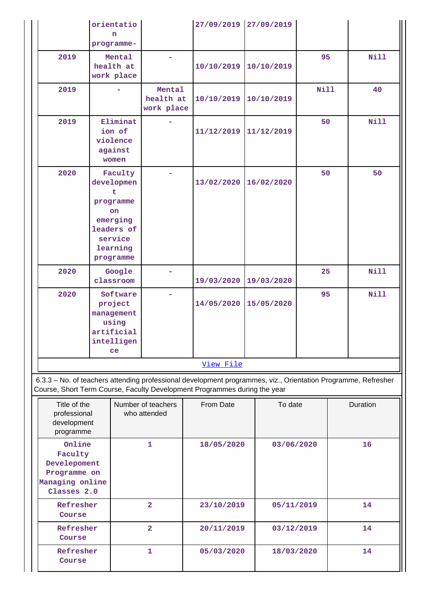|           | orientatio<br>n<br>programme-                                                                               |                                   | 27/09/2019 27/09/2019 |            |      |             |
|-----------|-------------------------------------------------------------------------------------------------------------|-----------------------------------|-----------------------|------------|------|-------------|
| 2019      | Mental<br>health at<br>work place                                                                           | ÷                                 | 10/10/2019            | 10/10/2019 | 95   | Nill        |
| 2019      |                                                                                                             | Mental<br>health at<br>work place | 10/10/2019            | 10/10/2019 | Nill | 40          |
| 2019      | Eliminat<br>ion of<br>violence<br>against<br>women                                                          |                                   | 11/12/2019            | 11/12/2019 | 50   | Nill        |
| 2020      | Faculty<br>developmen<br>ŧ<br>programme<br>on<br>emerging<br>leaders of<br>service<br>learning<br>programme |                                   | 13/02/2020            | 16/02/2020 | 50   | 50          |
| 2020      | Google<br>classroom                                                                                         |                                   | 19/03/2020            | 19/03/2020 | 25   | <b>Nill</b> |
| 2020      | Software<br>project<br>management<br>using<br>artificial<br>intelligen<br>ce                                |                                   | 14/05/2020            | 15/05/2020 | 95   | Nill        |
| View File |                                                                                                             |                                   |                       |            |      |             |

 6.3.3 – No. of teachers attending professional development programmes, viz., Orientation Programme, Refresher Course, Short Term Course, Faculty Development Programmes during the year

| Title of the<br>professional<br>development<br>programme                            | Number of teachers<br>who attended | From Date  | To date    | Duration |
|-------------------------------------------------------------------------------------|------------------------------------|------------|------------|----------|
| Online<br>Faculty<br>Develepoment<br>Programme on<br>Managing online<br>Classes 2.0 | 1                                  | 18/05/2020 | 03/06/2020 | 16       |
| Refresher<br>Course                                                                 | $\overline{2}$                     | 23/10/2019 | 05/11/2019 | 14       |
| Refresher<br>Course                                                                 | $\overline{2}$                     | 20/11/2019 | 03/12/2019 | 14       |
| Refresher<br>Course                                                                 | 1                                  | 05/03/2020 | 18/03/2020 | 14       |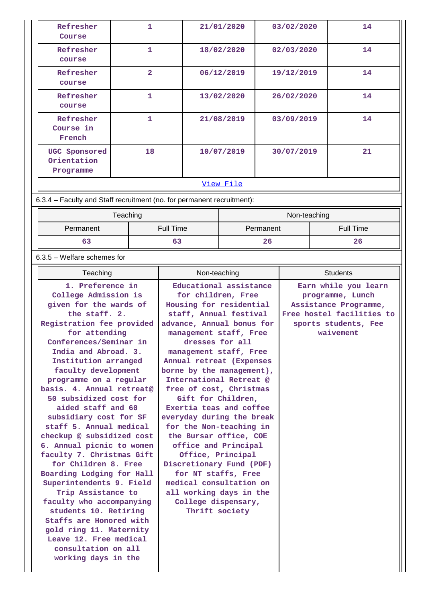| Refresher<br>Course                                                    | 1                |  | 21/01/2020 | 03/02/2020   | 14        |  |  |
|------------------------------------------------------------------------|------------------|--|------------|--------------|-----------|--|--|
| Refresher<br>course                                                    | $\mathbf{1}$     |  | 18/02/2020 | 02/03/2020   | 14        |  |  |
| Refresher<br>course                                                    | 2                |  | 06/12/2019 | 19/12/2019   | 14        |  |  |
| Refresher<br>course                                                    | $\mathbf{1}$     |  | 13/02/2020 | 26/02/2020   | 14        |  |  |
| Refresher<br>Course in<br>French                                       | $\mathbf{1}$     |  | 21/08/2019 | 03/09/2019   | 14        |  |  |
| UGC Sponsored<br>Orientation<br>Programme                              | 18               |  | 10/07/2019 | 30/07/2019   | 21        |  |  |
|                                                                        | View File        |  |            |              |           |  |  |
| 6.3.4 - Faculty and Staff recruitment (no. for permanent recruitment): |                  |  |            |              |           |  |  |
|                                                                        | Teaching         |  |            | Non-teaching |           |  |  |
| Permanent                                                              | <b>Full Time</b> |  |            | Permanent    | Full Time |  |  |
| 63                                                                     | 63               |  |            | 26           | 26        |  |  |

6.3.5 – Welfare schemes for

| 1. Preference in<br>Educational assistance<br>Earn while you learn<br>College Admission is<br>for children, Free<br>programme, Lunch<br>given for the wards of<br>Housing for residential<br>Assistance Programme,<br>the staff. 2.<br>staff, Annual festival<br>Free hostel facilities to<br>Registration fee provided<br>advance, Annual bonus for<br>sports students, Fee<br>for attending<br>waivement<br>management staff, Free<br>Conferences/Seminar in<br>dresses for all<br>India and Abroad. 3.<br>management staff, Free<br>Institution arranged<br>Annual retreat (Expenses<br>faculty development<br>borne by the management),<br>International Retreat @<br>programme on a regular<br>basis. 4. Annual retreat@<br>free of cost, Christmas<br>50 subsidized cost for<br>Gift for Children,<br>aided staff and 60<br>Exertia teas and coffee<br>subsidiary cost for SF<br>everyday during the break<br>staff 5. Annual medical<br>for the Non-teaching in<br>checkup @ subsidized cost<br>the Bursar office, COE<br>office and Principal<br>6. Annual picnic to women<br>faculty 7. Christmas Gift<br>Office, Principal<br>for Children 8. Free<br>Discretionary Fund (PDF)<br>Boarding Lodging for Hall<br>for NT staffs, Free<br>Superintendents 9. Field<br>medical consultation on<br>Trip Assistance to<br>all working days in the<br>faculty who accompanying<br>College dispensary,<br>Thrift society<br>students 10. Retiring<br>Staffs are Honored with<br>gold ring 11. Maternity<br>Leave 12. Free medical<br>consultation on all<br>working days in the |  |
|----------------------------------------------------------------------------------------------------------------------------------------------------------------------------------------------------------------------------------------------------------------------------------------------------------------------------------------------------------------------------------------------------------------------------------------------------------------------------------------------------------------------------------------------------------------------------------------------------------------------------------------------------------------------------------------------------------------------------------------------------------------------------------------------------------------------------------------------------------------------------------------------------------------------------------------------------------------------------------------------------------------------------------------------------------------------------------------------------------------------------------------------------------------------------------------------------------------------------------------------------------------------------------------------------------------------------------------------------------------------------------------------------------------------------------------------------------------------------------------------------------------------------------------------------------------------------------|--|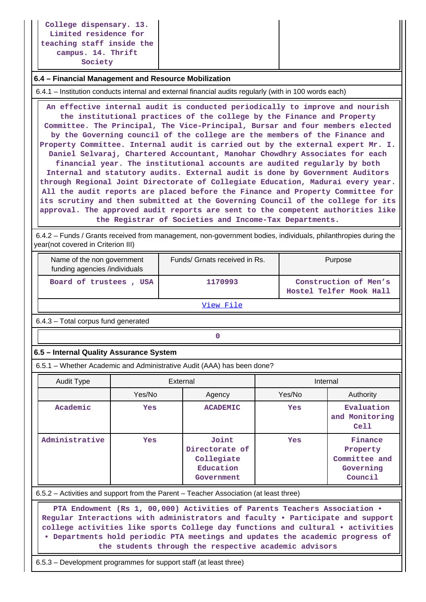**College dispensary. 13. Limited residence for teaching staff inside the campus. 14. Thrift Society**

#### **6.4 – Financial Management and Resource Mobilization**

6.4.1 – Institution conducts internal and external financial audits regularly (with in 100 words each)

 **An effective internal audit is conducted periodically to improve and nourish the institutional practices of the college by the Finance and Property Committee. The Principal, The Vice-Principal, Bursar and four members elected by the Governing council of the college are the members of the Finance and Property Committee. Internal audit is carried out by the external expert Mr. I. Daniel Selvaraj, Chartered Accountant, Manohar Chowdhry Associates for each financial year. The institutional accounts are audited regularly by both Internal and statutory audits. External audit is done by Government Auditors through Regional Joint Directorate of Collegiate Education, Madurai every year. All the audit reports are placed before the Finance and Property Committee for its scrutiny and then submitted at the Governing Council of the college for its approval. The approved audit reports are sent to the competent authorities like the Registrar of Societies and Income-Tax Departments.**

 6.4.2 – Funds / Grants received from management, non-government bodies, individuals, philanthropies during the year(not covered in Criterion III)

| Name of the non government<br>funding agencies /individuals | Funds/ Grnats received in Rs. | Purpose                                          |
|-------------------------------------------------------------|-------------------------------|--------------------------------------------------|
| Board of trustees, USA                                      | 1170993                       | Construction of Men's<br>Hostel Telfer Mook Hall |

[View File](https://assessmentonline.naac.gov.in/public/Postacc/Funds_or_Grants/6156_Funds_or_Grants_1604668055.xlsx)

6.4.3 – Total corpus fund generated

# **0**

### **6.5 – Internal Quality Assurance System**

6.5.1 – Whether Academic and Administrative Audit (AAA) has been done?

| <b>Audit Type</b> | External   |                                                                  | Internal   |                                                              |  |  |
|-------------------|------------|------------------------------------------------------------------|------------|--------------------------------------------------------------|--|--|
|                   | Yes/No     | Agency                                                           | Yes/No     | Authority                                                    |  |  |
| Academic          | <b>Yes</b> | <b>ACADEMIC</b>                                                  | Yes        | Evaluation<br>and Monitoring<br>Ce11                         |  |  |
| Administrative    | <b>Yes</b> | Joint<br>Directorate of<br>Collegiate<br>Education<br>Government | <b>Yes</b> | Finance<br>Property<br>Committee and<br>Governing<br>Council |  |  |

6.5.2 – Activities and support from the Parent – Teacher Association (at least three)

 **PTA Endowment (Rs 1, 00,000) Activities of Parents Teachers Association • Regular Interactions with administrators and faculty • Participate and support college activities like sports College day functions and cultural • activities • Departments hold periodic PTA meetings and updates the academic progress of the students through the respective academic advisors**

6.5.3 – Development programmes for support staff (at least three)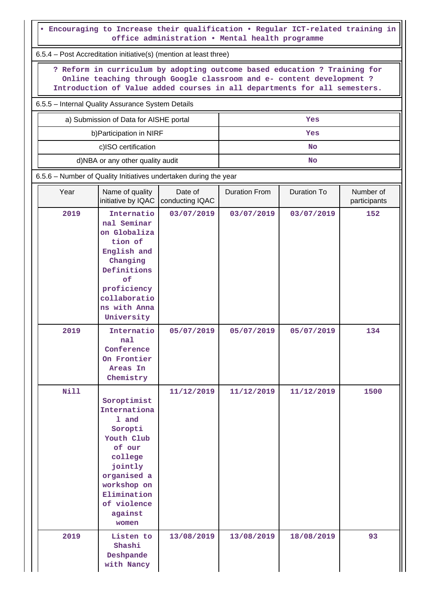| . Encouraging to Increase their qualification . Regular ICT-related training in<br>office administration . Mental health programme |                                                                                                                                                                                                                                 |                            |                      |             |                           |  |  |  |  |  |
|------------------------------------------------------------------------------------------------------------------------------------|---------------------------------------------------------------------------------------------------------------------------------------------------------------------------------------------------------------------------------|----------------------------|----------------------|-------------|---------------------------|--|--|--|--|--|
| 6.5.4 – Post Accreditation initiative(s) (mention at least three)                                                                  |                                                                                                                                                                                                                                 |                            |                      |             |                           |  |  |  |  |  |
|                                                                                                                                    | ? Reform in curriculum by adopting outcome based education ? Training for<br>Online teaching through Google classroom and e- content development ?<br>Introduction of Value added courses in all departments for all semesters. |                            |                      |             |                           |  |  |  |  |  |
|                                                                                                                                    | 6.5.5 - Internal Quality Assurance System Details                                                                                                                                                                               |                            |                      |             |                           |  |  |  |  |  |
|                                                                                                                                    | a) Submission of Data for AISHE portal<br>Yes                                                                                                                                                                                   |                            |                      |             |                           |  |  |  |  |  |
|                                                                                                                                    | b) Participation in NIRF                                                                                                                                                                                                        |                            |                      | Yes         |                           |  |  |  |  |  |
|                                                                                                                                    | c)ISO certification                                                                                                                                                                                                             |                            |                      | <b>No</b>   |                           |  |  |  |  |  |
|                                                                                                                                    | d)NBA or any other quality audit                                                                                                                                                                                                |                            |                      | No          |                           |  |  |  |  |  |
|                                                                                                                                    | 6.5.6 - Number of Quality Initiatives undertaken during the year                                                                                                                                                                |                            |                      |             |                           |  |  |  |  |  |
| Year                                                                                                                               | Name of quality<br>initiative by IQAC                                                                                                                                                                                           | Date of<br>conducting IQAC | <b>Duration From</b> | Duration To | Number of<br>participants |  |  |  |  |  |
| 2019                                                                                                                               | Internatio<br>nal Seminar<br>on Globaliza<br>tion of<br>English and<br>Changing<br>Definitions<br>оf<br>proficiency<br>collaboratio<br>ns with Anna<br>University                                                               | 03/07/2019                 | 03/07/2019           | 03/07/2019  | 152                       |  |  |  |  |  |
| 2019                                                                                                                               | Internatio<br>nal<br>Conference<br>On Frontier<br>Areas In<br>Chemistry                                                                                                                                                         | 05/07/2019                 | 05/07/2019           | 05/07/2019  | 134                       |  |  |  |  |  |
| Nill                                                                                                                               | Soroptimist<br>Internationa<br>1 and<br>Soropti<br>Youth Club<br>of our<br>college<br>jointly<br>organised a<br>workshop on<br>Elimination<br>of violence<br>against<br>women                                                   | 11/12/2019                 | 11/12/2019           | 11/12/2019  | 1500                      |  |  |  |  |  |
| 2019                                                                                                                               | Listen to<br>Shashi<br>Deshpande<br>with Nancy                                                                                                                                                                                  | 13/08/2019                 | 13/08/2019           | 18/08/2019  | 93                        |  |  |  |  |  |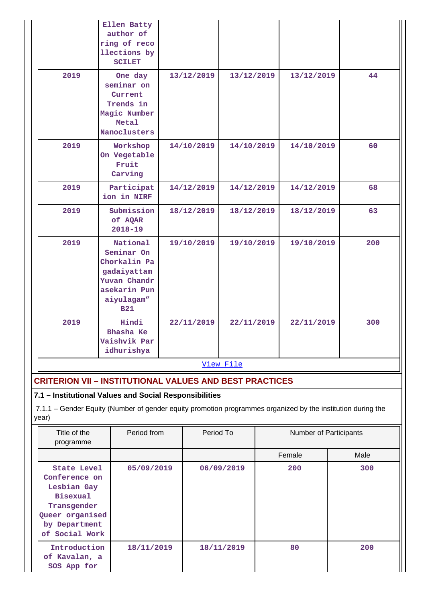|      | Ellen Batty<br>author of<br>ring of reco<br>llections by<br><b>SCILET</b>                                         |            |            |            |     |
|------|-------------------------------------------------------------------------------------------------------------------|------------|------------|------------|-----|
| 2019 | One day<br>seminar on<br>Current<br>Trends in<br>Magic Number<br>Metal<br>Nanoclusters                            | 13/12/2019 | 13/12/2019 | 13/12/2019 | 44  |
| 2019 | Workshop<br>On Vegetable<br>Fruit<br>Carving                                                                      | 14/10/2019 | 14/10/2019 | 14/10/2019 | 60  |
| 2019 | Participat<br>ion in NIRF                                                                                         | 14/12/2019 | 14/12/2019 | 14/12/2019 | 68  |
| 2019 | Submission<br>of AQAR<br>$2018 - 19$                                                                              | 18/12/2019 | 18/12/2019 | 18/12/2019 | 63  |
| 2019 | National<br>Seminar On<br>Chorkalin Pa<br>gadaiyattam<br>Yuvan Chandr<br>asekarin Pun<br>aiyulagam"<br><b>B21</b> | 19/10/2019 | 19/10/2019 | 19/10/2019 | 200 |
| 2019 | Hindi<br>Bhasha Ke<br>Vaishvik Par<br>idhurishya                                                                  | 22/11/2019 | 22/11/2019 | 22/11/2019 | 300 |
|      |                                                                                                                   |            | View File  |            |     |
|      | <b>CRITERION VII - INSTITUTIONAL VALUES AND BEST PRACTICES</b>                                                    |            |            |            |     |
|      | 7.1 - Institutional Values and Social Responsibilities                                                            |            |            |            |     |

7.1.1 – Gender Equity (Number of gender equity promotion programmes organized by the institution during the year)

| Title of the<br>programme                                                                                                    | Period from | Period To  | <b>Number of Participants</b> |      |  |  |
|------------------------------------------------------------------------------------------------------------------------------|-------------|------------|-------------------------------|------|--|--|
|                                                                                                                              |             |            | Female                        | Male |  |  |
| State Level<br>Conference on<br>Lesbian Gay<br>Bisexual<br>Transgender<br>Queer organised<br>by Department<br>of Social Work | 05/09/2019  | 06/09/2019 | 200                           | 300  |  |  |
| Introduction<br>of Kavalan, a<br>SOS App for                                                                                 | 18/11/2019  | 18/11/2019 | 80                            | 200  |  |  |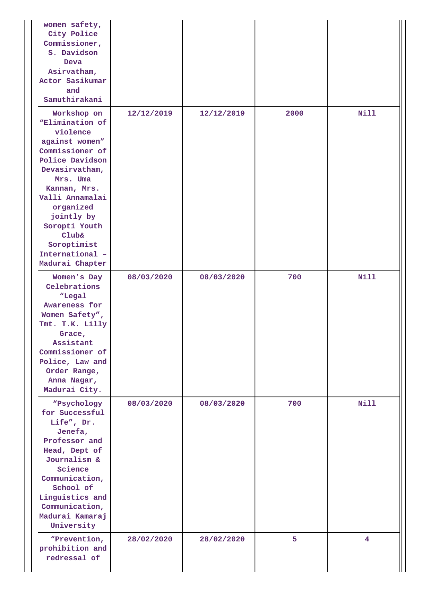| women safety,<br>City Police<br>Commissioner,<br>S. Davidson<br>Deva<br>Asirvatham,<br>Actor Sasikumar<br>and<br>Samuthirakani                                                                                                                                                                         |            |            |      |             |
|--------------------------------------------------------------------------------------------------------------------------------------------------------------------------------------------------------------------------------------------------------------------------------------------------------|------------|------------|------|-------------|
| Workshop on<br><i><b>WElimination of</b></i><br>violence<br>against women"<br>Commissioner of<br>Police Davidson<br>Devasirvatham,<br>Mrs. Uma<br>Kannan, Mrs.<br>Valli Annamalai<br>organized<br>jointly by<br>Soropti Youth<br><b>Club&amp;</b><br>Soroptimist<br>International -<br>Madurai Chapter | 12/12/2019 | 12/12/2019 | 2000 | <b>Nill</b> |
| Women's Day<br>Celebrations<br>"Legal<br>Awareness for<br>Women Safety",<br>Tmt. T.K. Lilly<br>Grace,<br>Assistant<br>Commissioner of<br>Police, Law and<br>Order Range,<br>Anna Nagar,<br>Madurai City.                                                                                               | 08/03/2020 | 08/03/2020 | 700  | <b>Nill</b> |
| "Psychology<br>for Successful<br>Life", Dr.<br>Jenefa,<br>Professor and<br>Head, Dept of<br>Journalism &<br>Science<br>Communication,<br>School of<br>Linguistics and<br>Communication,<br>Madurai Kamaraj<br>University                                                                               | 08/03/2020 | 08/03/2020 | 700  | <b>Nill</b> |
| "Prevention,<br>prohibition and<br>redressal of                                                                                                                                                                                                                                                        | 28/02/2020 | 28/02/2020 | 5    | 4           |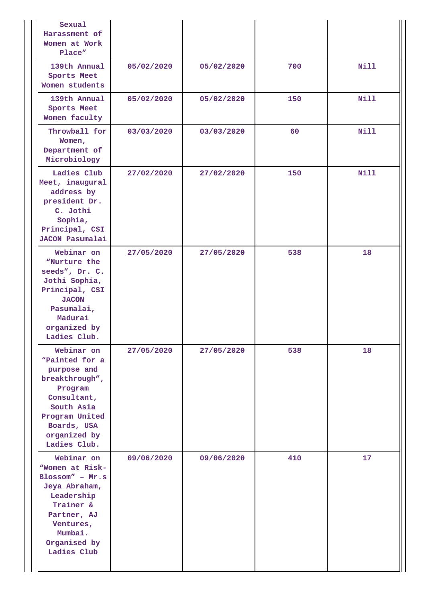| Sexual<br>Harassment of<br>Women at Work<br>Place"                                                                                                                     |            |            |     |             |
|------------------------------------------------------------------------------------------------------------------------------------------------------------------------|------------|------------|-----|-------------|
| 139th Annual<br>Sports Meet<br>Women students                                                                                                                          | 05/02/2020 | 05/02/2020 | 700 | Nill        |
| 139th Annual<br>Sports Meet<br>Women faculty                                                                                                                           | 05/02/2020 | 05/02/2020 | 150 | Nill        |
| Throwball for<br>Women,<br>Department of<br>Microbiology                                                                                                               | 03/03/2020 | 03/03/2020 | 60  | Nill        |
| Ladies Club<br>Meet, inaugural<br>address by<br>president Dr.<br>C. Jothi<br>Sophia,<br>Principal, CSI<br><b>JACON Pasumalai</b>                                       | 27/02/2020 | 27/02/2020 | 150 | <b>Nill</b> |
| Webinar on<br>"Nurture the<br>seeds", Dr. C.<br>Jothi Sophia,<br>Principal, CSI<br><b>JACON</b><br>Pasumalai,<br>Madurai<br>organized by<br>Ladies Club.               | 27/05/2020 | 27/05/2020 | 538 | 18          |
| Webinar on<br>"Painted for a<br>purpose and<br>breakthrough",<br>Program<br>Consultant,<br>South Asia<br>Program United<br>Boards, USA<br>organized by<br>Ladies Club. | 27/05/2020 | 27/05/2020 | 538 | 18          |
| Webinar on<br>"Women at Risk-<br>Blossom" - Mr.s<br>Jeya Abraham,<br>Leadership<br>Trainer &<br>Partner, AJ<br>Ventures,<br>Mumbai.<br>Organised by<br>Ladies Club     | 09/06/2020 | 09/06/2020 | 410 | 17          |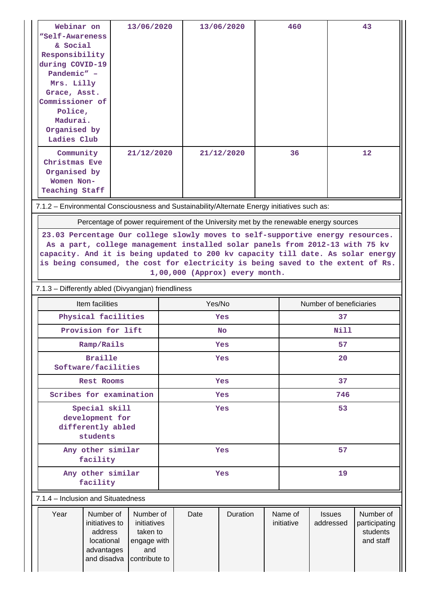| Webinar on<br>"Self-Awareness<br>& Social<br>Responsibility<br>during COVID-19<br>Pandemic" -<br>Mrs. Lilly<br>Grace, Asst.<br>Commissioner of<br>Police,<br>Madurai.<br>Organised by<br>Ladies Club                                                                                                                                                                   |                                                                    | 13/06/2020                                          |            |            | 13/06/2020 |    | 460                   | 43                                                                                    |                                                     |  |
|------------------------------------------------------------------------------------------------------------------------------------------------------------------------------------------------------------------------------------------------------------------------------------------------------------------------------------------------------------------------|--------------------------------------------------------------------|-----------------------------------------------------|------------|------------|------------|----|-----------------------|---------------------------------------------------------------------------------------|-----------------------------------------------------|--|
| Community<br>Christmas Eve<br>Organised by<br>Women Non-<br><b>Teaching Staff</b>                                                                                                                                                                                                                                                                                      |                                                                    | 21/12/2020                                          |            |            | 21/12/2020 |    | 36                    |                                                                                       | $12 \overline{ }$                                   |  |
| 7.1.2 - Environmental Consciousness and Sustainability/Alternate Energy initiatives such as:                                                                                                                                                                                                                                                                           |                                                                    |                                                     |            |            |            |    |                       |                                                                                       |                                                     |  |
|                                                                                                                                                                                                                                                                                                                                                                        |                                                                    |                                                     |            |            |            |    |                       | Percentage of power requirement of the University met by the renewable energy sources |                                                     |  |
| 23.03 Percentage Our college slowly moves to self-supportive energy resources.<br>As a part, college management installed solar panels from 2012-13 with 75 kv<br>capacity. And it is being updated to 200 kv capacity till date. As solar energy<br>is being consumed, the cost for electricity is being saved to the extent of Rs.<br>1,00,000 (Approx) every month. |                                                                    |                                                     |            |            |            |    |                       |                                                                                       |                                                     |  |
| 7.1.3 - Differently abled (Divyangjan) friendliness                                                                                                                                                                                                                                                                                                                    |                                                                    |                                                     |            |            |            |    |                       |                                                                                       |                                                     |  |
|                                                                                                                                                                                                                                                                                                                                                                        | Item facilities                                                    |                                                     |            |            | Yes/No     |    |                       | Number of beneficiaries                                                               |                                                     |  |
|                                                                                                                                                                                                                                                                                                                                                                        | Physical facilities                                                |                                                     |            | <b>Yes</b> |            |    |                       | 37                                                                                    |                                                     |  |
|                                                                                                                                                                                                                                                                                                                                                                        | Provision for lift                                                 |                                                     |            |            | <b>No</b>  |    | Nill                  |                                                                                       |                                                     |  |
|                                                                                                                                                                                                                                                                                                                                                                        | Ramp/Rails                                                         |                                                     |            |            | Yes        |    | 57                    |                                                                                       |                                                     |  |
|                                                                                                                                                                                                                                                                                                                                                                        | <b>Braille</b><br>Software/facilities                              |                                                     |            |            | <b>Yes</b> | 20 |                       |                                                                                       |                                                     |  |
|                                                                                                                                                                                                                                                                                                                                                                        | Rest Rooms                                                         |                                                     |            |            | <b>Yes</b> | 37 |                       |                                                                                       |                                                     |  |
|                                                                                                                                                                                                                                                                                                                                                                        | Scribes for examination                                            |                                                     | <b>Yes</b> |            |            |    | 746                   |                                                                                       |                                                     |  |
| Special skill<br>development for<br>differently abled<br>students                                                                                                                                                                                                                                                                                                      |                                                                    |                                                     |            | Yes        |            |    |                       | 53                                                                                    |                                                     |  |
|                                                                                                                                                                                                                                                                                                                                                                        | Any other similar<br>facility                                      |                                                     |            |            | Yes        |    |                       | 57                                                                                    |                                                     |  |
| Any other similar<br>facility                                                                                                                                                                                                                                                                                                                                          |                                                                    |                                                     |            |            | Yes        |    |                       | 19                                                                                    |                                                     |  |
| 7.1.4 - Inclusion and Situatedness                                                                                                                                                                                                                                                                                                                                     |                                                                    |                                                     |            |            |            |    |                       |                                                                                       |                                                     |  |
| Year                                                                                                                                                                                                                                                                                                                                                                   | Number of<br>initiatives to<br>address<br>locational<br>advantages | Number of<br>initiatives<br>taken to<br>engage with |            | Date       | Duration   |    | Name of<br>initiative | <b>Issues</b><br>addressed                                                            | Number of<br>participating<br>students<br>and staff |  |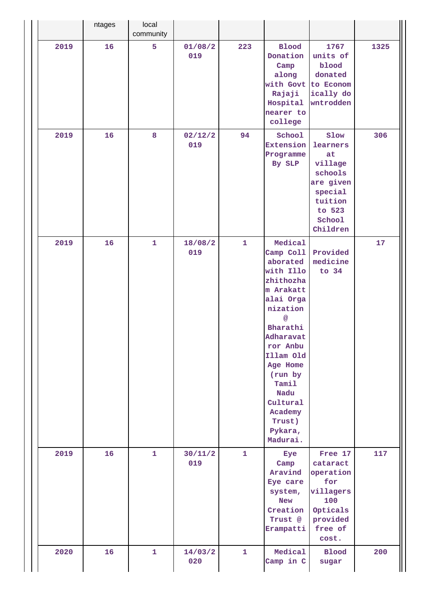|      | ntages | local<br>community |                |              |                                                                                                                                                                                                                                                         |                                                                                                                 |      |
|------|--------|--------------------|----------------|--------------|---------------------------------------------------------------------------------------------------------------------------------------------------------------------------------------------------------------------------------------------------------|-----------------------------------------------------------------------------------------------------------------|------|
| 2019 | 16     | 5                  | 01/08/2<br>019 | 223          | <b>Blood</b><br>Donation<br>Camp<br>along<br>with Govt to Econom<br>Rajaji<br>Hospital<br>nearer to<br>college                                                                                                                                          | 1767<br>units of<br>blood<br>donated<br>ically do<br>wntrodden                                                  | 1325 |
| 2019 | 16     | 8                  | 02/12/2<br>019 | 94           | School<br><b>Extension</b><br>Programme<br>By SLP                                                                                                                                                                                                       | Slow<br>learners<br>at<br>village<br>schools<br>are given<br>special<br>tuition<br>to 523<br>School<br>Children | 306  |
| 2019 | 16     | $\mathbf{1}$       | 18/08/2<br>019 | $\mathbf{1}$ | Medical<br>Camp Coll<br>aborated<br>with Illo<br>zhithozha<br>m Arakatt<br>alai Orga<br>nization<br>@<br>Bharathi<br>Adharavat<br>ror Anbu<br>Illam Old<br>Age Home<br>(run by<br>Tamil<br>Nadu<br>Cultural<br>Academy<br>Trust)<br>Pykara,<br>Madurai. | Provided<br>medicine<br>to $34$                                                                                 | 17   |
| 2019 | 16     | $\mathbf{1}$       | 30/11/2<br>019 | $\mathbf{1}$ | Eye<br>Camp<br>Aravind<br>Eye care<br>system,<br><b>New</b><br>Creation<br>Trust @<br>Erampatti                                                                                                                                                         | Free 17<br>cataract<br>operation<br>for<br>villagers<br>100<br>Opticals<br>provided<br>free of<br>cost.         | 117  |
| 2020 | 16     | $\mathbf{1}$       | 14/03/2<br>020 | $\mathbf{1}$ | Medical<br>Camp in C                                                                                                                                                                                                                                    | <b>Blood</b><br>sugar                                                                                           | 200  |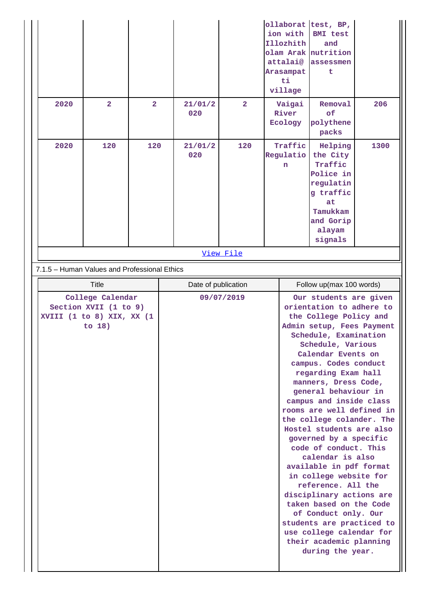|                                                                                    |                         |                |  |                     |                         |                           | ollaborat<br>ion with<br>Illozhith<br>olam Arak<br>attalai@<br>Arasampat<br>ti<br>village | test, BP,<br><b>BMI</b> test<br>and<br>nutrition<br>assessmen<br>t                                                                                                                                                                                                                                                                                                                                                                                                                                                                                                                                                                                                                                                                      |      |
|------------------------------------------------------------------------------------|-------------------------|----------------|--|---------------------|-------------------------|---------------------------|-------------------------------------------------------------------------------------------|-----------------------------------------------------------------------------------------------------------------------------------------------------------------------------------------------------------------------------------------------------------------------------------------------------------------------------------------------------------------------------------------------------------------------------------------------------------------------------------------------------------------------------------------------------------------------------------------------------------------------------------------------------------------------------------------------------------------------------------------|------|
| 2020                                                                               | $\overline{\mathbf{2}}$ | $\overline{2}$ |  | 21/01/2<br>020      | $\overline{\mathbf{2}}$ |                           | Vaigai<br>River<br>Ecology                                                                | Removal<br>of<br>polythene<br>packs                                                                                                                                                                                                                                                                                                                                                                                                                                                                                                                                                                                                                                                                                                     | 206  |
| 2020                                                                               | 120                     | 120            |  | 21/01/2<br>020      | 120                     | Traffic<br>Regulatio<br>n |                                                                                           | Helping<br>the City<br>Traffic<br>Police in<br>regulatin<br>g traffic<br>at<br>Tamukkam<br>and Gorip<br>alayam<br>signals                                                                                                                                                                                                                                                                                                                                                                                                                                                                                                                                                                                                               | 1300 |
|                                                                                    |                         |                |  |                     | View File               |                           |                                                                                           |                                                                                                                                                                                                                                                                                                                                                                                                                                                                                                                                                                                                                                                                                                                                         |      |
| 7.1.5 - Human Values and Professional Ethics                                       |                         |                |  |                     |                         |                           |                                                                                           |                                                                                                                                                                                                                                                                                                                                                                                                                                                                                                                                                                                                                                                                                                                                         |      |
|                                                                                    | <b>Title</b>            |                |  | Date of publication |                         | Follow up(max 100 words)  |                                                                                           |                                                                                                                                                                                                                                                                                                                                                                                                                                                                                                                                                                                                                                                                                                                                         |      |
| College Calendar<br>Section XVII (1 to 9)<br>XVIII (1 to 8) XIX, XX (1<br>to $18)$ |                         |                |  |                     | 09/07/2019              |                           |                                                                                           | Our students are given<br>orientation to adhere to<br>the College Policy and<br>Admin setup, Fees Payment<br>Schedule, Examination<br>Schedule, Various<br>Calendar Events on<br>campus. Codes conduct<br>regarding Exam hall<br>manners, Dress Code,<br>general behaviour in<br>campus and inside class<br>rooms are well defined in<br>the college colander. The<br>Hostel students are also<br>governed by a specific<br>code of conduct. This<br>calendar is also<br>available in pdf format<br>in college website for<br>reference. All the<br>disciplinary actions are<br>taken based on the Code<br>of Conduct only. Our<br>students are practiced to<br>use college calendar for<br>their academic planning<br>during the year. |      |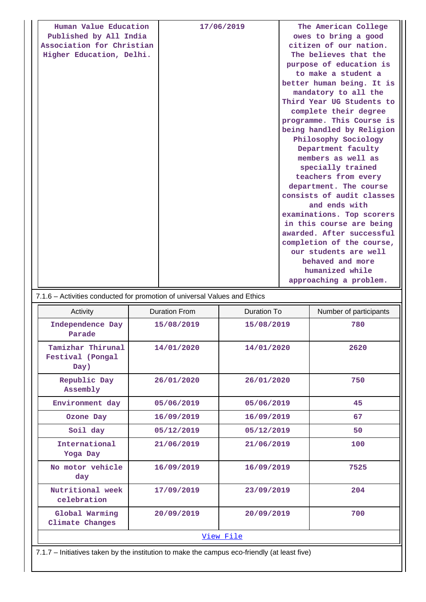| Human Value Education     | 17/06/2019 | The American College      |
|---------------------------|------------|---------------------------|
| Published by All India    |            | owes to bring a good      |
| Association for Christian |            | citizen of our nation.    |
| Higher Education, Delhi.  |            | The believes that the     |
|                           |            | purpose of education is   |
|                           |            | to make a student a       |
|                           |            | better human being. It is |
|                           |            | mandatory to all the      |
|                           |            | Third Year UG Students to |
|                           |            | complete their degree     |
|                           |            | programme. This Course is |
|                           |            | being handled by Religion |
|                           |            | Philosophy Sociology      |
|                           |            | Department faculty        |
|                           |            | members as well as        |
|                           |            | specially trained         |
|                           |            | teachers from every       |
|                           |            | department. The course    |
|                           |            | consists of audit classes |
|                           |            | and ends with             |
|                           |            | examinations. Top scorers |
|                           |            | in this course are being  |
|                           |            | awarded. After successful |
|                           |            | completion of the course, |
|                           |            | our students are well     |
|                           |            | behaved and more          |
|                           |            | humanized while           |
|                           |            | approaching a problem.    |

7.1.6 – Activities conducted for promotion of universal Values and Ethics

| Activity                                      | Duration From | Duration To | Number of participants |  |
|-----------------------------------------------|---------------|-------------|------------------------|--|
| Independence Day<br>Parade                    | 15/08/2019    | 15/08/2019  | 780                    |  |
| Tamizhar Thirunal<br>Festival (Pongal<br>Day) | 14/01/2020    | 14/01/2020  | 2620                   |  |
| Republic Day<br>Assembly                      | 26/01/2020    | 26/01/2020  | 750                    |  |
| Environment day                               | 05/06/2019    | 05/06/2019  | 45                     |  |
| Ozone Day                                     | 16/09/2019    | 16/09/2019  | 67                     |  |
| Soil day                                      | 05/12/2019    | 05/12/2019  | 50                     |  |
| International<br>Yoga Day                     | 21/06/2019    | 21/06/2019  | 100                    |  |
| No motor vehicle<br>day                       | 16/09/2019    | 16/09/2019  | 7525                   |  |
| Nutritional week<br>celebration               | 17/09/2019    | 23/09/2019  | 204                    |  |
| Global Warming<br>Climate Changes             | 20/09/2019    | 20/09/2019  | 700                    |  |
| View File                                     |               |             |                        |  |

7.1.7 – Initiatives taken by the institution to make the campus eco-friendly (at least five)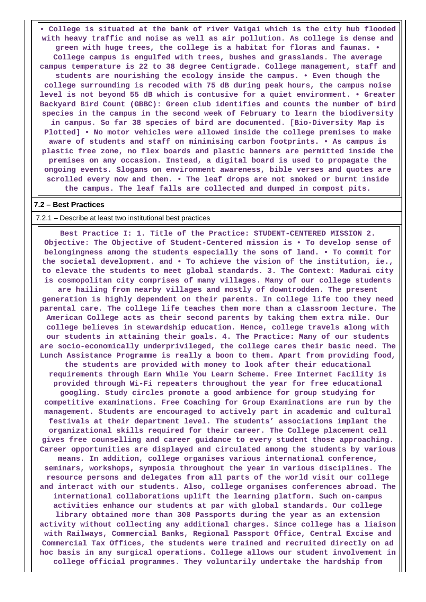**• College is situated at the bank of river Vaigai which is the city hub flooded with heavy traffic and noise as well as air pollution. As college is dense and green with huge trees, the college is a habitat for floras and faunas. • College campus is engulfed with trees, bushes and grasslands. The average campus temperature is 22 to 38 degree Centigrade. College management, staff and students are nourishing the ecology inside the campus. • Even though the college surrounding is recoded with 75 dB during peak hours, the campus noise level is not beyond 55 dB which is contusive for a quiet environment. • Greater Backyard Bird Count (GBBC): Green club identifies and counts the number of bird species in the campus in the second week of February to learn the biodiversity in campus. So far 38 species of bird are documented. [Bio-Diversity Map is Plotted] • No motor vehicles were allowed inside the college premises to make aware of students and staff on minimising carbon footprints. • As campus is plastic free zone, no flex boards and plastic banners are permitted inside the premises on any occasion. Instead, a digital board is used to propagate the ongoing events. Slogans on environment awareness, bible verses and quotes are scrolled every now and then. • The leaf drops are not smoked or burnt inside the campus. The leaf falls are collected and dumped in compost pits.**

## **7.2 – Best Practices**

#### 7.2.1 – Describe at least two institutional best practices

 **Best Practice I: 1. Title of the Practice: STUDENT-CENTERED MISSION 2. Objective: The Objective of Student-Centered mission is • To develop sense of belongingness among the students especially the sons of land. • To commit for the societal development. and • To achieve the vision of the institution, ie., to elevate the students to meet global standards. 3. The Context: Madurai city is cosmopolitan city comprises of many villages. Many of our college students are hailing from nearby villages and mostly of downtrodden. The present generation is highly dependent on their parents. In college life too they need parental care. The college life teaches them more than a classroom lecture. The American College acts as their second parents by taking them extra mile. Our college believes in stewardship education. Hence, college travels along with our students in attaining their goals. 4. The Practice: Many of our students are socio-economically underprivileged, the college cares their basic need. The Lunch Assistance Programme is really a boon to them. Apart from providing food, the students are provided with money to look after their educational requirements through Earn While You Learn Scheme. Free Internet Facility is provided through Wi-Fi repeaters throughout the year for free educational googling. Study circles promote a good ambience for group studying for competitive examinations. Free Coaching for Group Examinations are run by the management. Students are encouraged to actively part in academic and cultural festivals at their department level. The students' associations implant the organizational skills required for their career. The College placement cell gives free counselling and career guidance to every student those approaching. Career opportunities are displayed and circulated among the students by various means. In addition, college organises various international conference, seminars, workshops, symposia throughout the year in various disciplines. The resource persons and delegates from all parts of the world visit our college and interact with our students. Also, college organises conferences abroad. The international collaborations uplift the learning platform. Such on-campus activities enhance our students at par with global standards. Our college library obtained more than 300 Passports during the year as an extension activity without collecting any additional charges. Since college has a liaison with Railways, Commercial Banks, Regional Passport Office, Central Excise and Commercial Tax Offices, the students were trained and recruited directly on ad hoc basis in any surgical operations. College allows our student involvement in college official programmes. They voluntarily undertake the hardship from**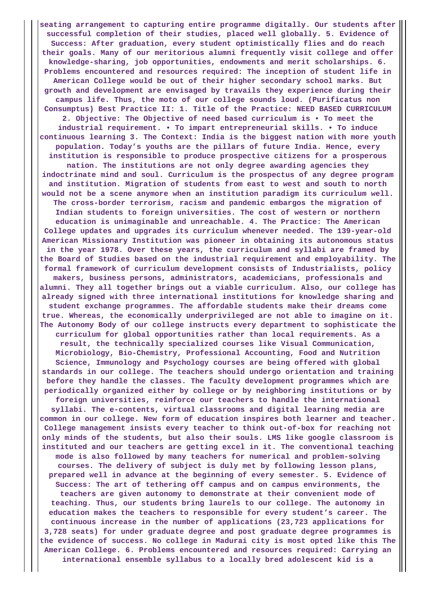**seating arrangement to capturing entire programme digitally. Our students after successful completion of their studies, placed well globally. 5. Evidence of Success: After graduation, every student optimistically flies and do reach their goals. Many of our meritorious alumni frequently visit college and offer knowledge-sharing, job opportunities, endowments and merit scholarships. 6. Problems encountered and resources required: The inception of student life in American College would be out of their higher secondary school marks. But growth and development are envisaged by travails they experience during their campus life. Thus, the moto of our college sounds loud. (Purificatus non Consumptus) Best Practice II: 1. Title of the Practice: NEED BASED CURRICULUM 2. Objective: The Objective of need based curriculum is • To meet the industrial requirement. • To impart entrepreneurial skills. • To induce continuous learning 3. The Context: India is the biggest nation with more youth population. Today's youths are the pillars of future India. Hence, every institution is responsible to produce prospective citizens for a prosperous nation. The institutions are not only degree awarding agencies they indoctrinate mind and soul. Curriculum is the prospectus of any degree program and institution. Migration of students from east to west and south to north would not be a scene anymore when an institution paradigm its curriculum well. The cross-border terrorism, racism and pandemic embargos the migration of Indian students to foreign universities. The cost of western or northern education is unimaginable and unreachable. 4. The Practice: The American College updates and upgrades its curriculum whenever needed. The 139-year-old American Missionary Institution was pioneer in obtaining its autonomous status in the year 1978. Over these years, the curriculum and syllabi are framed by the Board of Studies based on the industrial requirement and employability. The formal framework of curriculum development consists of Industrialists, policy makers, business persons, administrators, academicians, professionals and alumni. They all together brings out a viable curriculum. Also, our college has already signed with three international institutions for knowledge sharing and student exchange programmes. The affordable students make their dreams come true. Whereas, the economically underprivileged are not able to imagine on it. The Autonomy Body of our college instructs every department to sophisticate the curriculum for global opportunities rather than local requirements. As a result, the technically specialized courses like Visual Communication, Microbiology, Bio-Chemistry, Professional Accounting, Food and Nutrition Science, Immunology and Psychology courses are being offered with global standards in our college. The teachers should undergo orientation and training before they handle the classes. The faculty development programmes which are periodically organized either by college or by neighboring institutions or by foreign universities, reinforce our teachers to handle the international syllabi. The e-contents, virtual classrooms and digital learning media are common in our college. New form of education inspires both learner and teacher. College management insists every teacher to think out-of-box for reaching not only minds of the students, but also their souls. LMS like google classroom is instituted and our teachers are getting excel in it. The conventional teaching mode is also followed by many teachers for numerical and problem-solving courses. The delivery of subject is duly met by following lesson plans, prepared well in advance at the beginning of every semester. 5. Evidence of Success: The art of tethering off campus and on campus environments, the teachers are given autonomy to demonstrate at their convenient mode of teaching. Thus, our students bring laurels to our college. The autonomy in education makes the teachers to responsible for every student's career. The continuous increase in the number of applications (23,723 applications for 3,728 seats) for under graduate degree and post graduate degree programmes is the evidence of success. No college in Madurai city is most opted like this The American College. 6. Problems encountered and resources required: Carrying an international ensemble syllabus to a locally bred adolescent kid is a**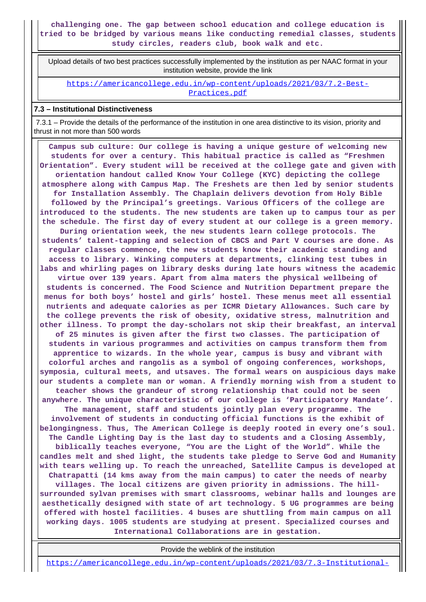**challenging one. The gap between school education and college education is tried to be bridged by various means like conducting remedial classes, students study circles, readers club, book walk and etc.**

 Upload details of two best practices successfully implemented by the institution as per NAAC format in your institution website, provide the link

[https://americancollege.edu.in/wp-content/uploads/2021/03/7.2-Best-](https://americancollege.edu.in/wp-content/uploads/2021/03/7.2-Best-Practices.pdf)[Practices.pdf](https://americancollege.edu.in/wp-content/uploads/2021/03/7.2-Best-Practices.pdf)

# **7.3 – Institutional Distinctiveness**

 7.3.1 – Provide the details of the performance of the institution in one area distinctive to its vision, priority and thrust in not more than 500 words

 **Campus sub culture: Our college is having a unique gesture of welcoming new students for over a century. This habitual practice is called as "Freshmen Orientation". Every student will be received at the college gate and given with orientation handout called Know Your College (KYC) depicting the college atmosphere along with Campus Map. The Freshets are then led by senior students for Installation Assembly. The Chaplain delivers devotion from Holy Bible followed by the Principal's greetings. Various Officers of the college are introduced to the students. The new students are taken up to campus tour as per the schedule. The first day of every student at our college is a green memory. During orientation week, the new students learn college protocols. The students' talent-tapping and selection of CBCS and Part V courses are done. As regular classes commence, the new students know their academic standing and access to library. Winking computers at departments, clinking test tubes in labs and whirling pages on library desks during late hours witness the academic virtue over 139 years. Apart from alma maters the physical wellbeing of students is concerned. The Food Science and Nutrition Department prepare the menus for both boys' hostel and girls' hostel. These menus meet all essential nutrients and adequate calories as per ICMR Dietary Allowances. Such care by the college prevents the risk of obesity, oxidative stress, malnutrition and other illness. To prompt the day-scholars not skip their breakfast, an interval of 25 minutes is given after the first two classes. The participation of students in various programmes and activities on campus transform them from apprentice to wizards. In the whole year, campus is busy and vibrant with colorful arches and rangolis as a symbol of ongoing conferences, workshops, symposia, cultural meets, and utsaves. The formal wears on auspicious days make our students a complete man or woman. A friendly morning wish from a student to teacher shows the grandeur of strong relationship that could not be seen anywhere. The unique characteristic of our college is 'Participatory Mandate'. The management, staff and students jointly plan every programme. The involvement of students in conducting official functions is the exhibit of belongingness. Thus, The American College is deeply rooted in every one's soul. The Candle Lighting Day is the last day to students and a Closing Assembly, biblically teaches everyone, "You are the Light of the World". While the candles melt and shed light, the students take pledge to Serve God and Humanity with tears welling up. To reach the unreached, Satellite Campus is developed at Chatrapatti (14 kms away from the main campus) to cater the needs of nearby villages. The local citizens are given priority in admissions. The hillsurrounded sylvan premises with smart classrooms, webinar halls and lounges are aesthetically designed with state of art technology. 5 UG programmes are being offered with hostel facilities. 4 buses are shuttling from main campus on all working days. 1005 students are studying at present. Specialized courses and International Collaborations are in gestation.**

Provide the weblink of the institution

[https://americancollege.edu.in/wp-content/uploads/2021/03/7.3-Institutional-](https://americancollege.edu.in/wp-content/uploads/2021/03/7.3-Institutional-Distinctiveness-1.pdf)